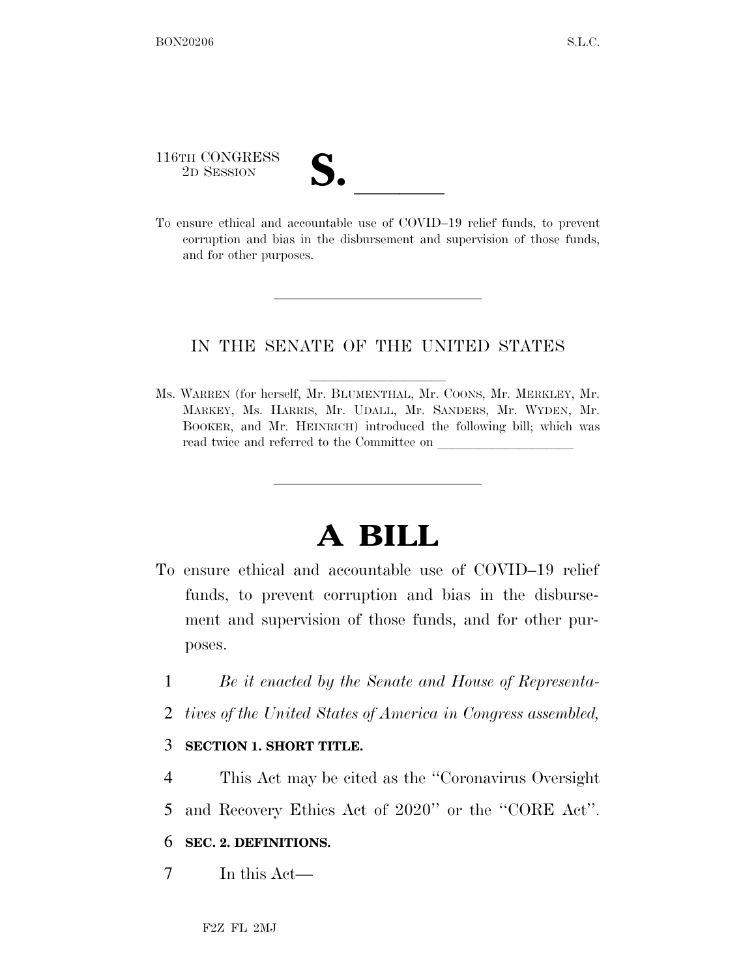116TH CONGRESS 116TH CONGRESS<br>
2D SESSION<br>
To ensure ethical and accountable use of COVID–19 relief funds, to prevent

corruption and bias in the disbursement and supervision of those funds, and for other purposes.

## IN THE SENATE OF THE UNITED STATES

Ms. WARREN (for herself, Mr. BLUMENTHAL, Mr. COONS, Mr. MERKLEY, Mr. MARKEY, Ms. HARRIS, Mr. UDALL, Mr. SANDERS, Mr. WYDEN, Mr. BOOKER, and Mr. HEINRICH) introduced the following bill; which was read twice and referred to the Committee on

# **A BILL**

- To ensure ethical and accountable use of COVID–19 relief funds, to prevent corruption and bias in the disbursement and supervision of those funds, and for other purposes.
	- 1 *Be it enacted by the Senate and House of Representa-*
	- 2 *tives of the United States of America in Congress assembled,*

#### 3 **SECTION 1. SHORT TITLE.**

- 4 This Act may be cited as the ''Coronavirus Oversight
- 5 and Recovery Ethics Act of 2020'' or the ''CORE Act''.

### 6 **SEC. 2. DEFINITIONS.**

7 In this Act—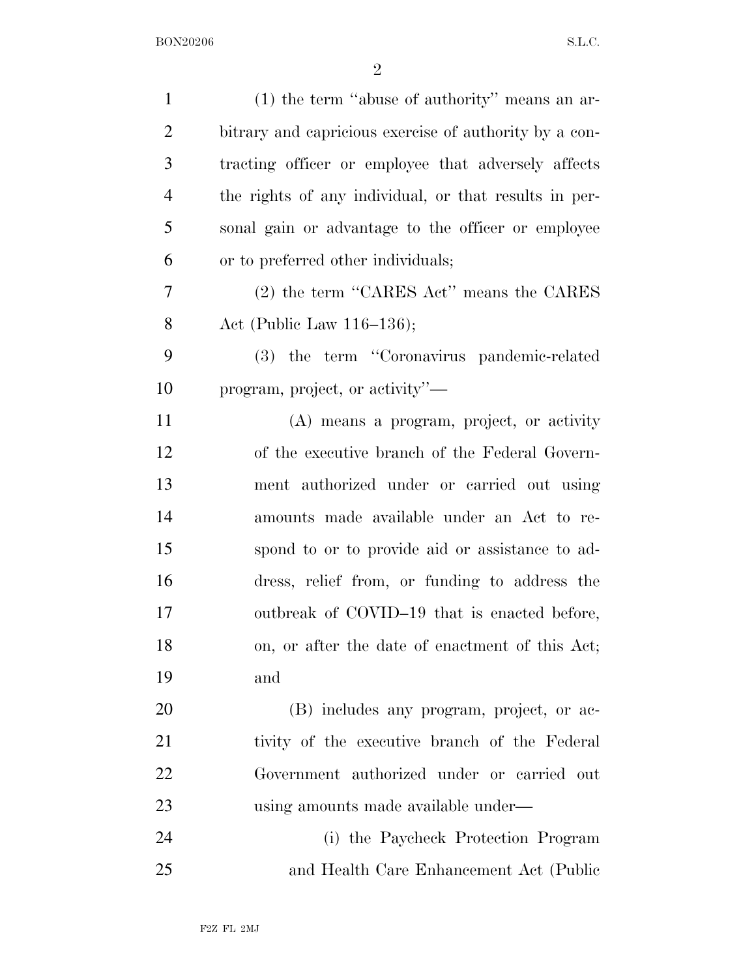| $\mathbf{1}$   | $(1)$ the term "abuse of authority" means an ar-       |
|----------------|--------------------------------------------------------|
| $\overline{2}$ | bitrary and capricious exercise of authority by a con- |
| 3              | tracting officer or employee that adversely affects    |
| $\overline{4}$ | the rights of any individual, or that results in per-  |
| 5              | sonal gain or advantage to the officer or employee     |
| 6              | or to preferred other individuals;                     |
| 7              | $(2)$ the term "CARES Act" means the CARES             |
| 8              | Act (Public Law $116-136$ );                           |
| 9              | (3) the term "Coronavirus pandemic-related             |
| 10             | program, project, or activity"—                        |
| 11             | (A) means a program, project, or activity              |
| 12             | of the executive branch of the Federal Govern-         |
| 13             | ment authorized under or carried out using             |
| 14             | amounts made available under an Act to re-             |
| 15             | spond to or to provide aid or assistance to ad-        |
| 16             | dress, relief from, or funding to address the          |
| 17             | outbreak of COVID-19 that is enacted before,           |
| 18             | on, or after the date of enactment of this Act;        |
| 19             | and                                                    |
| 20             | (B) includes any program, project, or ac-              |
| 21             | tivity of the executive branch of the Federal          |
| 22             | Government authorized under or carried out             |
| 23             | using amounts made available under—                    |
| 24             | (i) the Paycheck Protection Program                    |
| 25             | and Health Care Enhancement Act (Public                |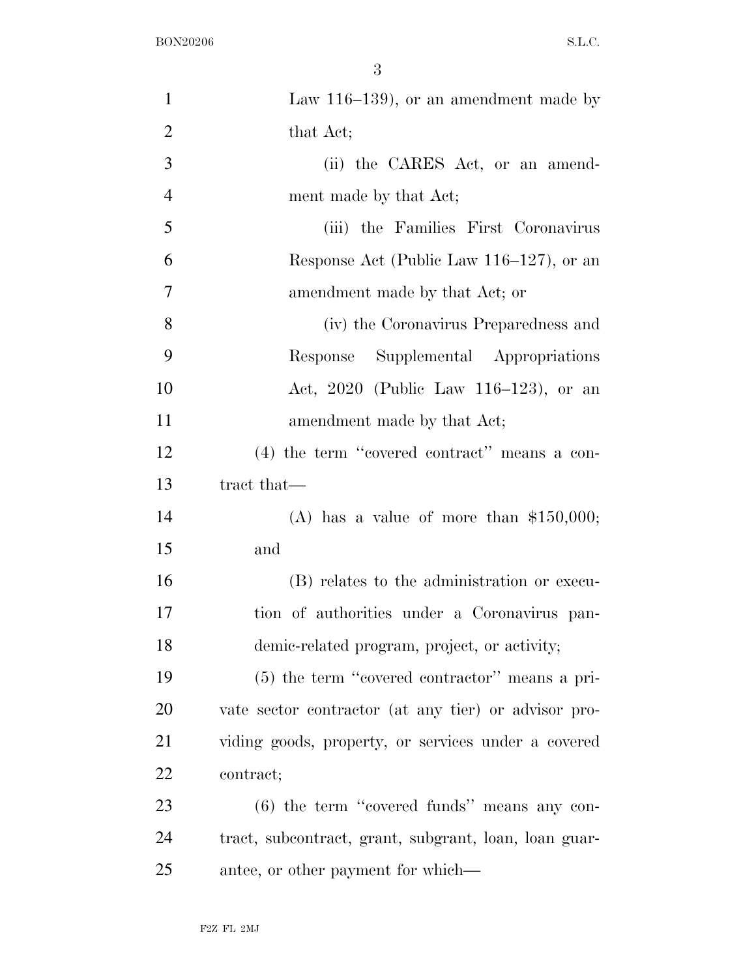| $\mathbf{1}$   | Law $116-139$ , or an amendment made by               |
|----------------|-------------------------------------------------------|
| $\overline{2}$ | that Act;                                             |
| 3              | (ii) the CARES Act, or an amend-                      |
| $\overline{4}$ | ment made by that Act;                                |
| 5              | (iii) the Families First Coronavirus                  |
| 6              | Response Act (Public Law $116-127$ ), or an           |
| $\tau$         | amendment made by that Act; or                        |
| $8\,$          | (iv) the Coronavirus Preparedness and                 |
| 9              | Response Supplemental Appropriations                  |
| 10             | Act, 2020 (Public Law 116–123), or an                 |
| 11             | amendment made by that Act;                           |
| 12             | $(4)$ the term "covered contract" means a con-        |
| 13             | tract that—                                           |
| 14             | (A) has a value of more than $$150,000;$              |
| 15             | and                                                   |
| 16             | (B) relates to the administration or execu-           |
| 17             | tion of authorities under a Coronavirus pan-          |
| 18             | demic-related program, project, or activity;          |
| 19             | $(5)$ the term "covered contractor" means a pri-      |
| <b>20</b>      | vate sector contractor (at any tier) or advisor pro-  |
| 21             | viding goods, property, or services under a covered   |
| 22             | contract;                                             |
| 23             | $(6)$ the term "covered funds" means any con-         |
| 24             | tract, subcontract, grant, subgrant, loan, loan guar- |
| 25             | antee, or other payment for which—                    |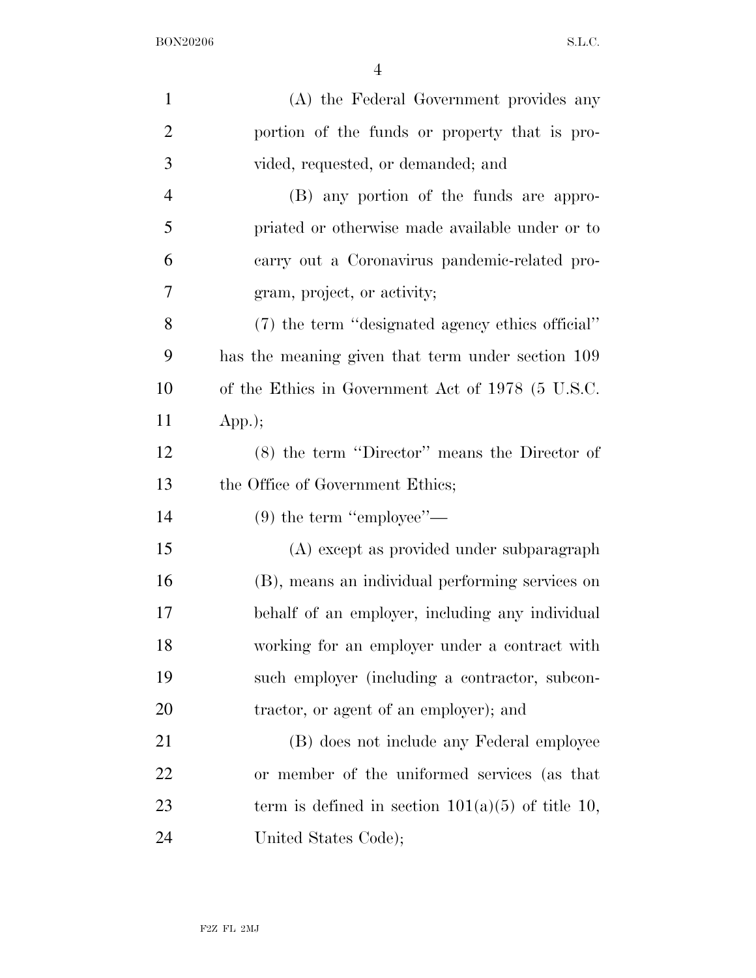| $\mathbf{1}$   | (A) the Federal Government provides any             |
|----------------|-----------------------------------------------------|
| $\overline{2}$ | portion of the funds or property that is pro-       |
| 3              | vided, requested, or demanded; and                  |
| $\overline{4}$ | (B) any portion of the funds are appro-             |
| 5              | priated or otherwise made available under or to     |
| 6              | carry out a Coronavirus pandemic-related pro-       |
| 7              | gram, project, or activity;                         |
| 8              | (7) the term "designated agency ethics official"    |
| 9              | has the meaning given that term under section 109   |
| 10             | of the Ethics in Government Act of 1978 (5 U.S.C.   |
| 11             | App.);                                              |
| 12             | (8) the term "Director" means the Director of       |
| 13             | the Office of Government Ethics;                    |
| 14             | $(9)$ the term "employee"—                          |
| 15             | (A) except as provided under subparagraph           |
| 16             | (B), means an individual performing services on     |
| 17             | behalf of an employer, including any individual     |
| 18             | working for an employer under a contract with       |
| 19             | such employer (including a contractor, subcon-      |
| 20             | tractor, or agent of an employer); and              |
| 21             | (B) does not include any Federal employee           |
| 22             | or member of the uniformed services (as that        |
| 23             | term is defined in section $101(a)(5)$ of title 10, |
| 24             | United States Code);                                |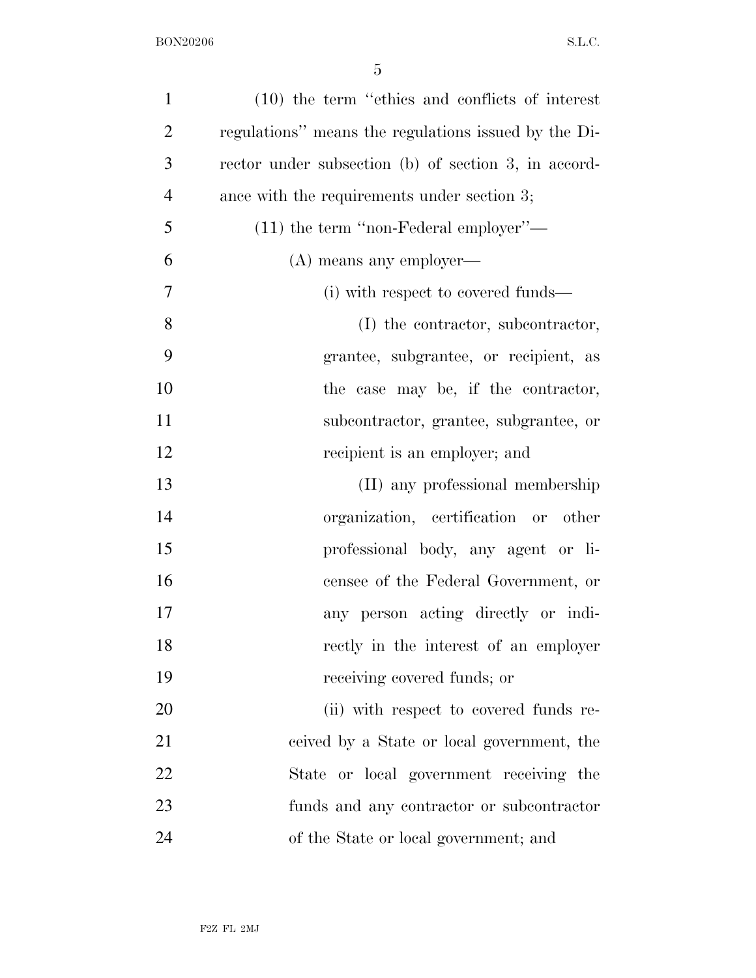| $\mathbf{1}$   | $(10)$ the term "ethics and conflicts of interest"   |
|----------------|------------------------------------------------------|
| $\overline{2}$ | regulations" means the regulations issued by the Di- |
| 3              | rector under subsection (b) of section 3, in accord- |
| $\overline{4}$ | ance with the requirements under section 3;          |
| 5              | $(11)$ the term "non-Federal employer"—              |
| 6              | (A) means any employer—                              |
| 7              | (i) with respect to covered funds—                   |
| 8              | (I) the contractor, subcontractor,                   |
| 9              | grantee, subgrantee, or recipient, as                |
| 10             | the case may be, if the contractor,                  |
| 11             | subcontractor, grantee, subgrantee, or               |
| 12             | recipient is an employer; and                        |
| 13             | (II) any professional membership                     |
| 14             | organization, certification or other                 |
| 15             | professional body, any agent or li-                  |
| 16             | censee of the Federal Government, or                 |
| 17             | any person acting directly or indi-                  |
| 18             | rectly in the interest of an employer                |
| 19             | receiving covered funds; or                          |
| 20             | (ii) with respect to covered funds re-               |
| 21             | ceived by a State or local government, the           |
| 22             | State or local government receiving the              |
| 23             | funds and any contractor or subcontractor            |
| 24             | of the State or local government; and                |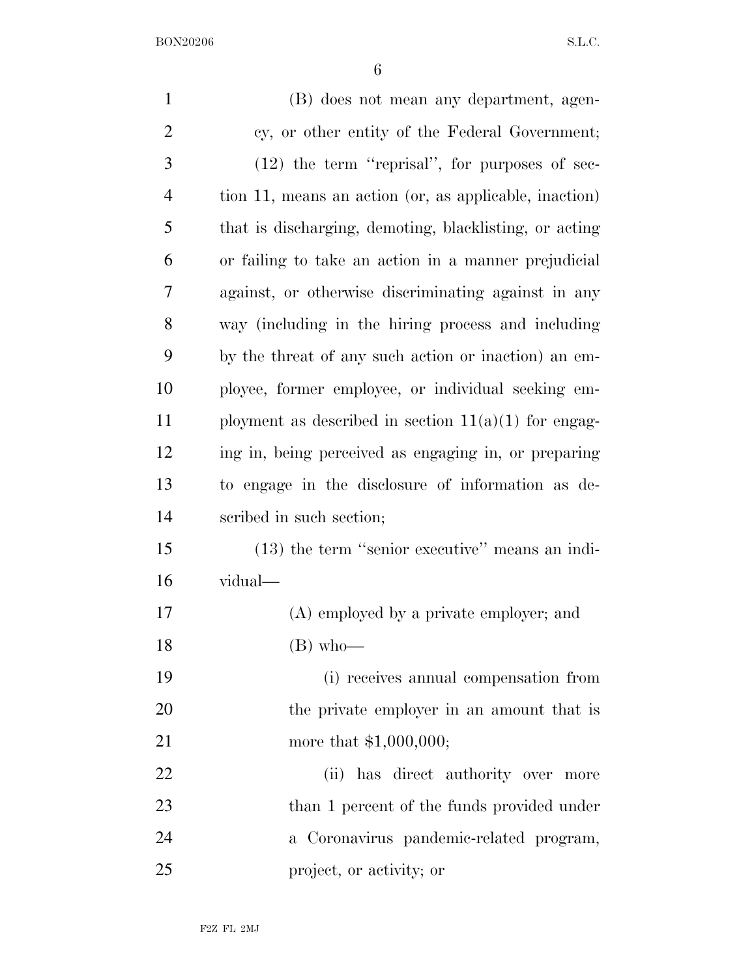| $\mathbf{1}$   | (B) does not mean any department, agen-                |
|----------------|--------------------------------------------------------|
| $\overline{2}$ | cy, or other entity of the Federal Government;         |
| 3              | $(12)$ the term "reprisal", for purposes of sec-       |
| 4              | tion 11, means an action (or, as applicable, inaction) |
| 5              | that is discharging, demoting, blacklisting, or acting |
| 6              | or failing to take an action in a manner prejudicial   |
| 7              | against, or otherwise discriminating against in any    |
| 8              | way (including in the hiring process and including     |
| 9              | by the threat of any such action or inaction) an em-   |
| 10             | ployee, former employee, or individual seeking em-     |
| 11             | ployment as described in section $11(a)(1)$ for engag- |
| 12             | ing in, being perceived as engaging in, or preparing   |
| 13             | to engage in the disclosure of information as de-      |
| 14             | scribed in such section;                               |
| 15             | $(13)$ the term "senior executive" means an indi-      |
| 16             | vidual-                                                |
| 17             | (A) employed by a private employer; and                |
| 18             | $(B)$ who-                                             |
| 19             | (i) receives annual compensation from                  |
| 20             | the private employer in an amount that is              |
| 21             | more that $$1,000,000;$                                |
| 22             | (ii) has direct authority over more                    |
| 23             | than 1 percent of the funds provided under             |
| 24             | a Coronavirus pandemic-related program,                |
| 25             | project, or activity; or                               |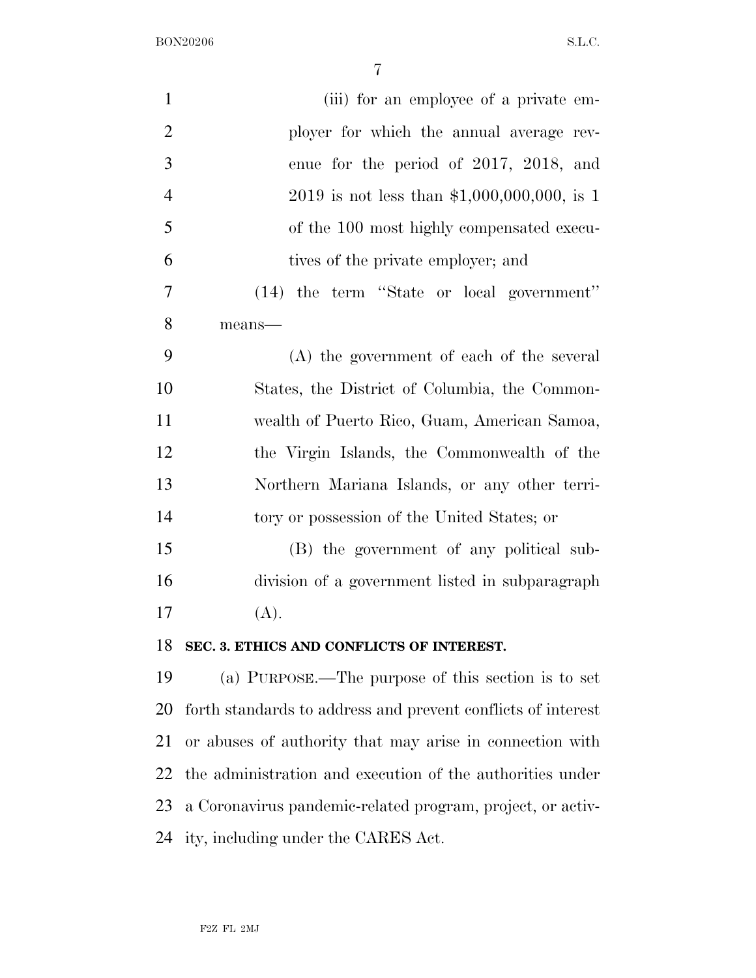| $\mathbf{1}$   | (iii) for an employee of a private em-                       |
|----------------|--------------------------------------------------------------|
| $\overline{2}$ | ployer for which the annual average rev-                     |
| 3              | enue for the period of 2017, 2018, and                       |
| $\overline{4}$ | $2019$ is not less than \$1,000,000,000, is 1                |
| 5              | of the 100 most highly compensated execu-                    |
| 6              | tives of the private employer; and                           |
| 7              | (14) the term "State or local government"                    |
| 8              | means-                                                       |
| 9              | (A) the government of each of the several                    |
| 10             | States, the District of Columbia, the Common-                |
| 11             | wealth of Puerto Rico, Guam, American Samoa,                 |
| 12             | the Virgin Islands, the Commonwealth of the                  |
| 13             | Northern Mariana Islands, or any other terri-                |
| 14             | tory or possession of the United States; or                  |
| 15             | (B) the government of any political sub-                     |
| 16             | division of a government listed in subparagraph              |
| 17             | (A).                                                         |
| 18             | SEC. 3. ETHICS AND CONFLICTS OF INTEREST.                    |
| 19             | (a) PURPOSE.—The purpose of this section is to set           |
| 20             | forth standards to address and prevent conflicts of interest |
| 21             | or abuses of authority that may arise in connection with     |
| 22             | the administration and execution of the authorities under    |
| 23             | a Coronavirus pandemic-related program, project, or activ-   |
| 24             | ity, including under the CARES Act.                          |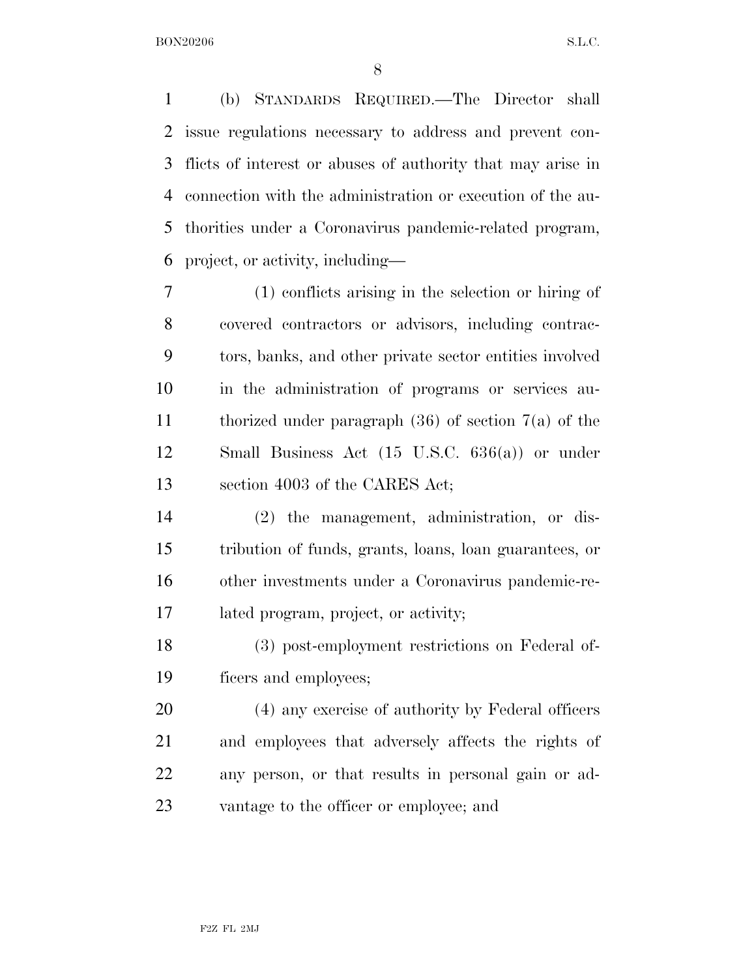(b) STANDARDS REQUIRED.—The Director shall issue regulations necessary to address and prevent con- flicts of interest or abuses of authority that may arise in connection with the administration or execution of the au- thorities under a Coronavirus pandemic-related program, project, or activity, including—

 (1) conflicts arising in the selection or hiring of covered contractors or advisors, including contrac- tors, banks, and other private sector entities involved in the administration of programs or services au- thorized under paragraph (36) of section 7(a) of the Small Business Act (15 U.S.C. 636(a)) or under section 4003 of the CARES Act;

 (2) the management, administration, or dis- tribution of funds, grants, loans, loan guarantees, or other investments under a Coronavirus pandemic-re-lated program, project, or activity;

 (3) post-employment restrictions on Federal of-ficers and employees;

 (4) any exercise of authority by Federal officers and employees that adversely affects the rights of any person, or that results in personal gain or ad-vantage to the officer or employee; and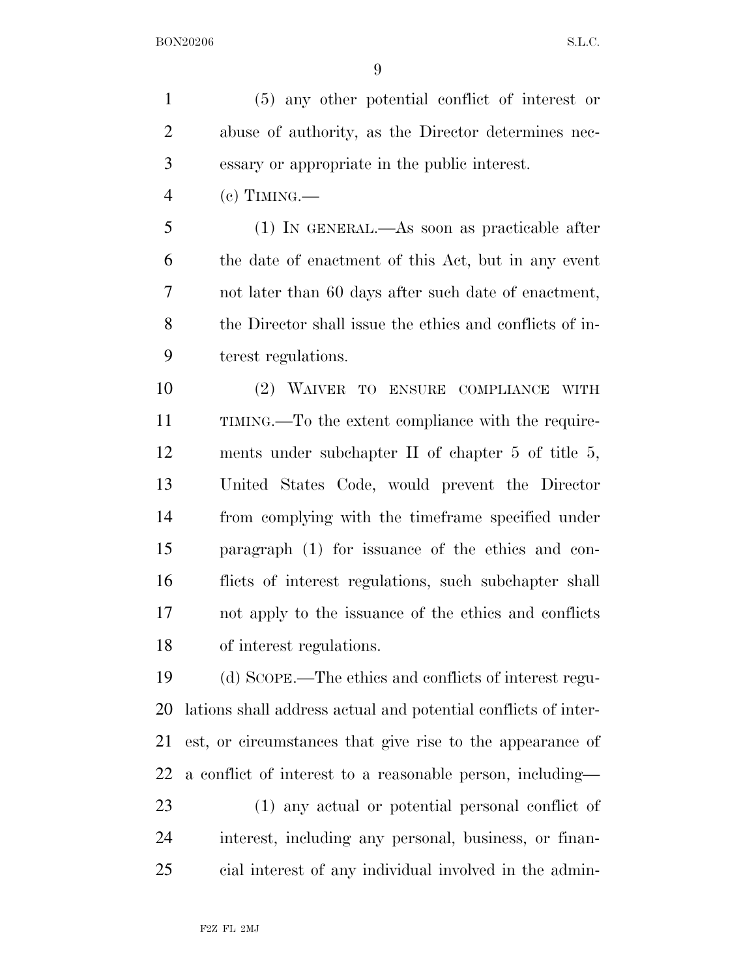(5) any other potential conflict of interest or abuse of authority, as the Director determines nec-essary or appropriate in the public interest.

(c) TIMING.—

 (1) IN GENERAL.—As soon as practicable after the date of enactment of this Act, but in any event not later than 60 days after such date of enactment, the Director shall issue the ethics and conflicts of in-terest regulations.

 (2) WAIVER TO ENSURE COMPLIANCE WITH TIMING.—To the extent compliance with the require- ments under subchapter II of chapter 5 of title 5, United States Code, would prevent the Director from complying with the timeframe specified under paragraph (1) for issuance of the ethics and con- flicts of interest regulations, such subchapter shall not apply to the issuance of the ethics and conflicts of interest regulations.

 (d) SCOPE.—The ethics and conflicts of interest regu- lations shall address actual and potential conflicts of inter- est, or circumstances that give rise to the appearance of a conflict of interest to a reasonable person, including—

 (1) any actual or potential personal conflict of interest, including any personal, business, or finan-cial interest of any individual involved in the admin-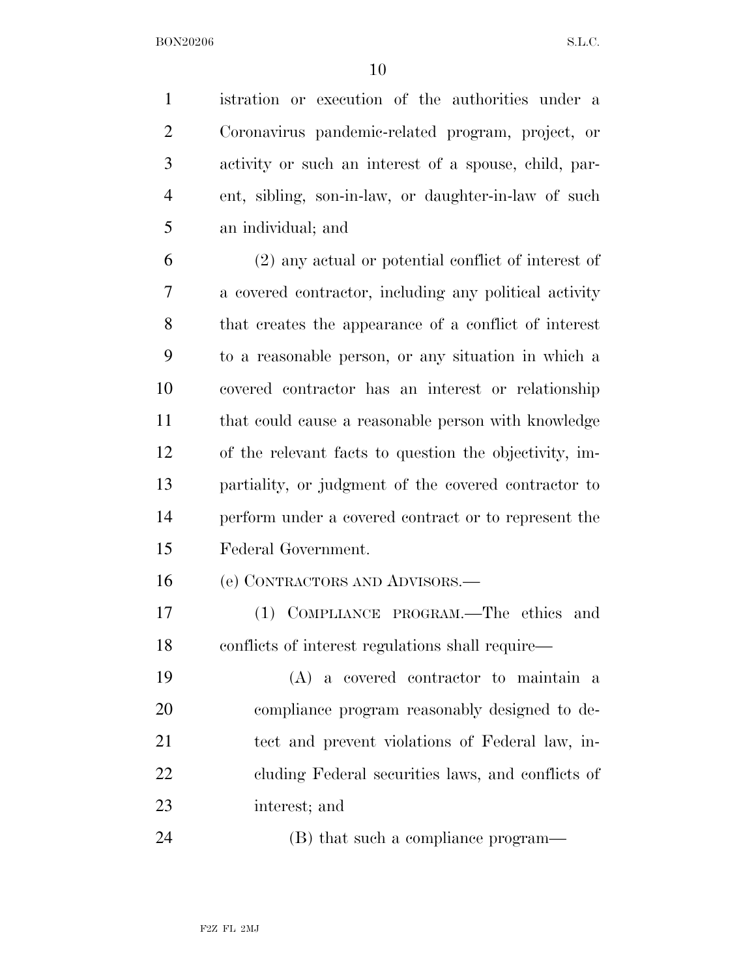istration or execution of the authorities under a Coronavirus pandemic-related program, project, or activity or such an interest of a spouse, child, par- ent, sibling, son-in-law, or daughter-in-law of such an individual; and

 (2) any actual or potential conflict of interest of a covered contractor, including any political activity that creates the appearance of a conflict of interest to a reasonable person, or any situation in which a covered contractor has an interest or relationship that could cause a reasonable person with knowledge of the relevant facts to question the objectivity, im- partiality, or judgment of the covered contractor to perform under a covered contract or to represent the Federal Government.

(e) CONTRACTORS AND ADVISORS.—

 (1) COMPLIANCE PROGRAM.—The ethics and conflicts of interest regulations shall require—

 (A) a covered contractor to maintain a compliance program reasonably designed to de- tect and prevent violations of Federal law, in- cluding Federal securities laws, and conflicts of interest; and

24 (B) that such a compliance program—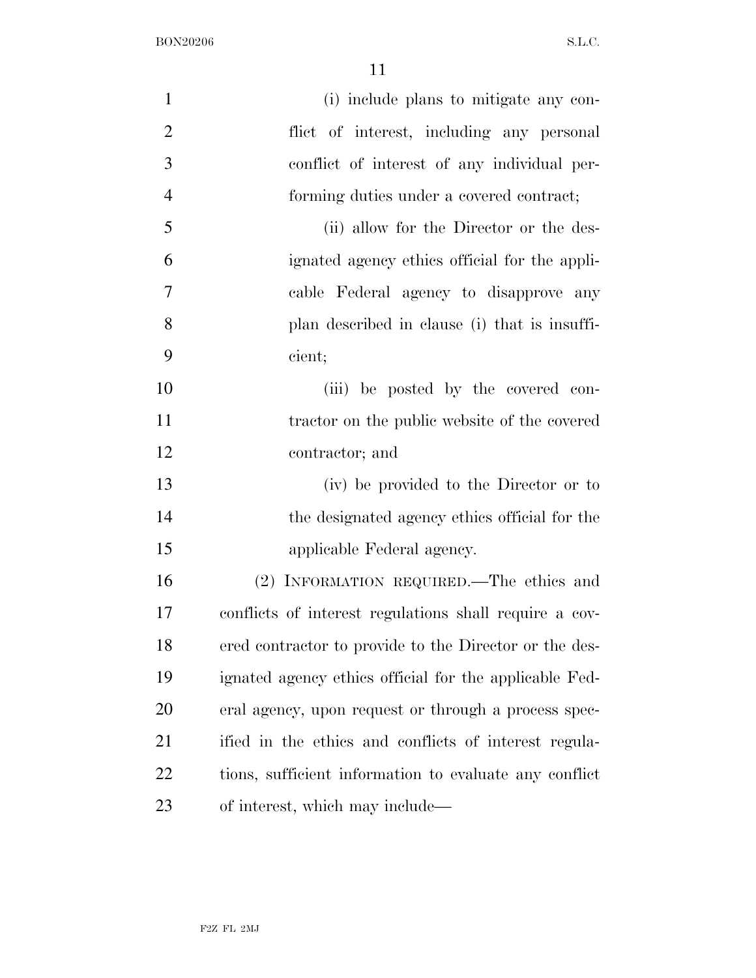| $\mathbf{1}$   | (i) include plans to mitigate any con-                 |
|----------------|--------------------------------------------------------|
| $\overline{2}$ | flict of interest, including any personal              |
| 3              | conflict of interest of any individual per-            |
| $\overline{4}$ | forming duties under a covered contract;               |
| 5              | (ii) allow for the Director or the des-                |
| 6              | ignated agency ethics official for the appli-          |
| 7              | cable Federal agency to disapprove any                 |
| 8              | plan described in clause (i) that is insuffi-          |
| 9              | cient;                                                 |
| 10             | (iii) be posted by the covered con-                    |
| 11             | tractor on the public website of the covered           |
| 12             | contractor; and                                        |
| 13             | (iv) be provided to the Director or to                 |
| 14             | the designated agency ethics official for the          |
| 15             | applicable Federal agency.                             |
| 16             | (2) INFORMATION REQUIRED.—The ethics and               |
| 17             | conflicts of interest regulations shall require a cov- |
| 18             | ered contractor to provide to the Director or the des- |
| 19             | ignated agency ethics official for the applicable Fed- |
| 20             | eral agency, upon request or through a process spec-   |
| 21             | ified in the ethics and conflicts of interest regula-  |
| 22             | tions, sufficient information to evaluate any conflict |
| 23             | of interest, which may include—                        |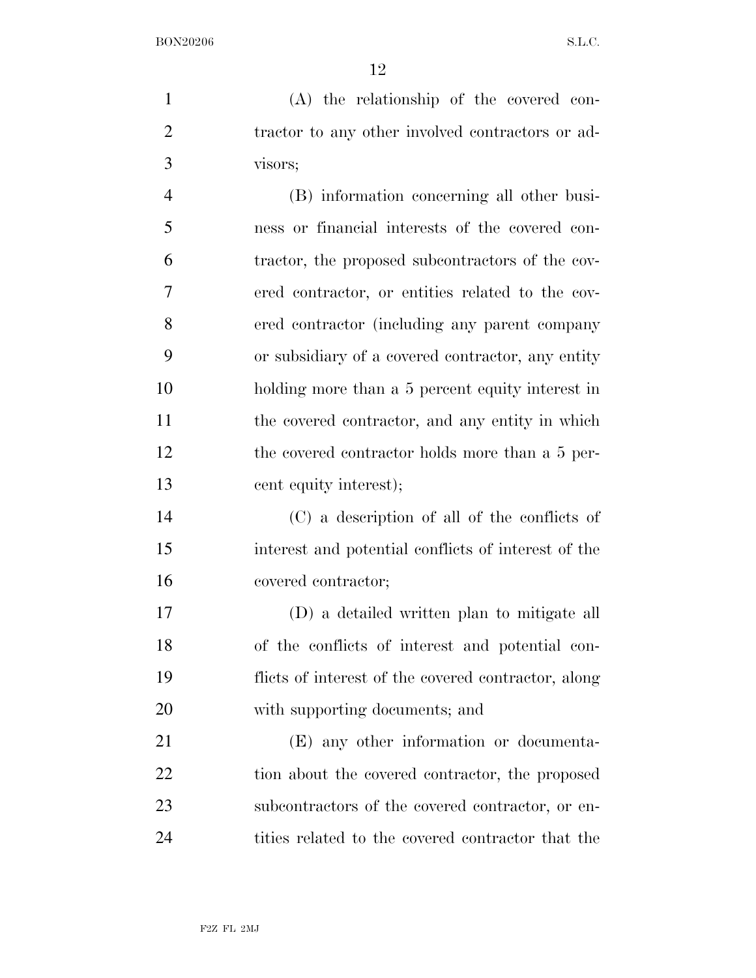(A) the relationship of the covered con-2 tractor to any other involved contractors or ad-visors;

 (B) information concerning all other busi- ness or financial interests of the covered con- tractor, the proposed subcontractors of the cov- ered contractor, or entities related to the cov- ered contractor (including any parent company or subsidiary of a covered contractor, any entity holding more than a 5 percent equity interest in 11 the covered contractor, and any entity in which the covered contractor holds more than a 5 per-cent equity interest);

 (C) a description of all of the conflicts of interest and potential conflicts of interest of the covered contractor;

 (D) a detailed written plan to mitigate all of the conflicts of interest and potential con- flicts of interest of the covered contractor, along with supporting documents; and

 (E) any other information or documenta-22 tion about the covered contractor, the proposed subcontractors of the covered contractor, or en-24 tities related to the covered contractor that the

F2Z FL 2MJ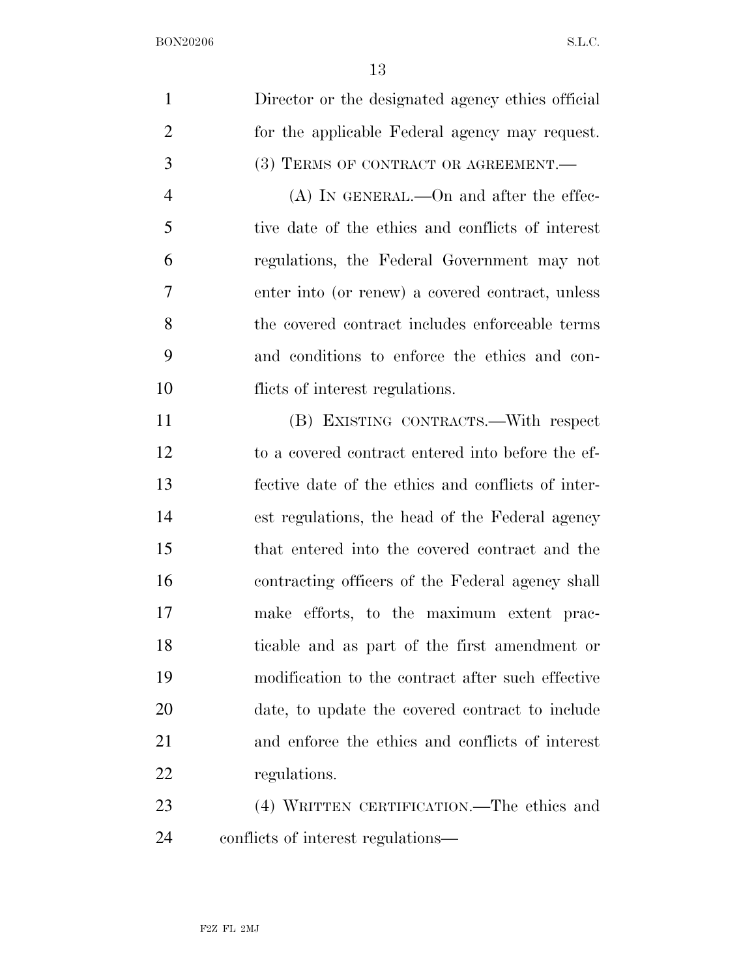| $\mathbf{1}$   | Director or the designated agency ethics official  |
|----------------|----------------------------------------------------|
| $\overline{2}$ | for the applicable Federal agency may request.     |
| 3              | (3) TERMS OF CONTRACT OR AGREEMENT.-               |
| $\overline{4}$ | $(A)$ In GENERAL.—On and after the effec-          |
| 5              | tive date of the ethics and conflicts of interest  |
| 6              | regulations, the Federal Government may not        |
| 7              | enter into (or renew) a covered contract, unless   |
| 8              | the covered contract includes enforceable terms    |
| 9              | and conditions to enforce the ethics and con-      |
| 10             | flicts of interest regulations.                    |
| 11             | (B) EXISTING CONTRACTS.—With respect               |
| 12             | to a covered contract entered into before the ef-  |
| 13             | fective date of the ethics and conflicts of inter- |
| 14             | est regulations, the head of the Federal agency    |
| 15             | that entered into the covered contract and the     |
| 16             | contracting officers of the Federal agency shall   |
| 17             | make efforts, to the maximum extent prac-          |
| 18             | ticable and as part of the first amendment or      |
| 19             | modification to the contract after such effective  |
| 20             | date, to update the covered contract to include    |
| 21             | and enforce the ethics and conflicts of interest   |
| 22             | regulations.                                       |
| 23             | (4) WRITTEN CERTIFICATION.—The ethics and          |
| 24             | conflicts of interest regulations—                 |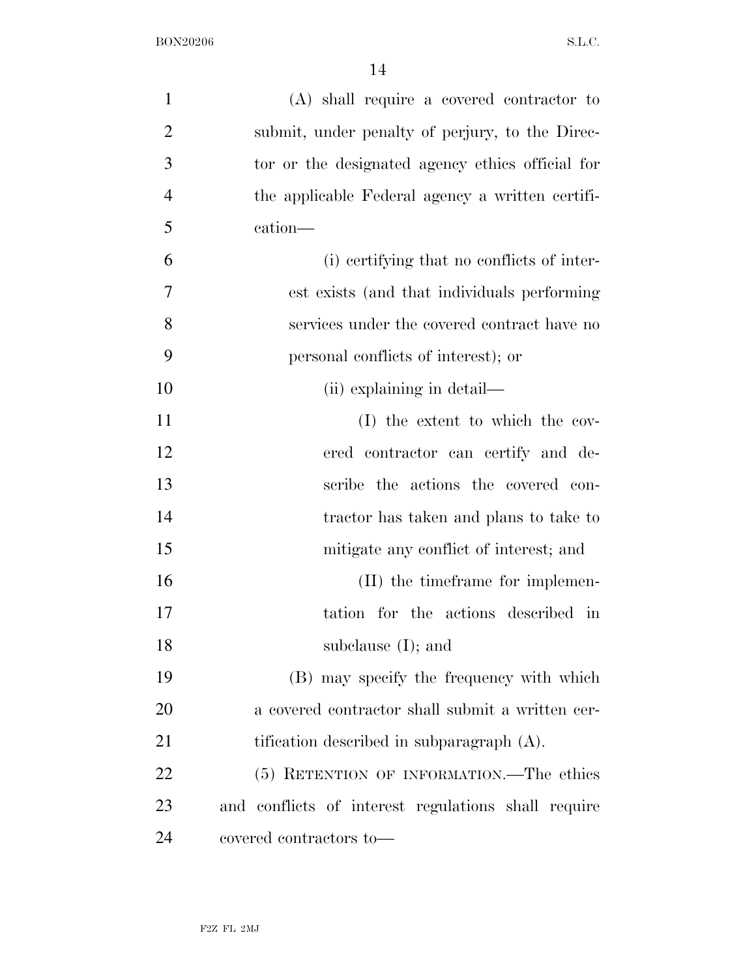| $\mathbf{1}$   | $(A)$ shall require a covered contractor to         |
|----------------|-----------------------------------------------------|
| $\overline{2}$ | submit, under penalty of perjury, to the Direc-     |
| 3              | tor or the designated agency ethics official for    |
| $\overline{4}$ | the applicable Federal agency a written certifi-    |
| 5              | cation-                                             |
| 6              | (i) certifying that no conflicts of inter-          |
| 7              | est exists (and that individuals performing         |
| 8              | services under the covered contract have no         |
| 9              | personal conflicts of interest); or                 |
| 10             | (ii) explaining in detail—                          |
| 11             | (I) the extent to which the cov-                    |
| 12             | ered contractor can certify and de-                 |
| 13             | scribe the actions the covered con-                 |
| 14             | tractor has taken and plans to take to              |
| 15             | mitigate any conflict of interest; and              |
| 16             | (II) the timeframe for implemen-                    |
| 17             | tation for the actions described in                 |
| 18             | subclause $(I)$ ; and                               |
| 19             | (B) may specify the frequency with which            |
| 20             | a covered contractor shall submit a written cer-    |
| 21             | tification described in subparagraph $(A)$ .        |
| 22             | (5) RETENTION OF INFORMATION.—The ethics            |
| 23             | and conflicts of interest regulations shall require |
| 24             | covered contractors to—                             |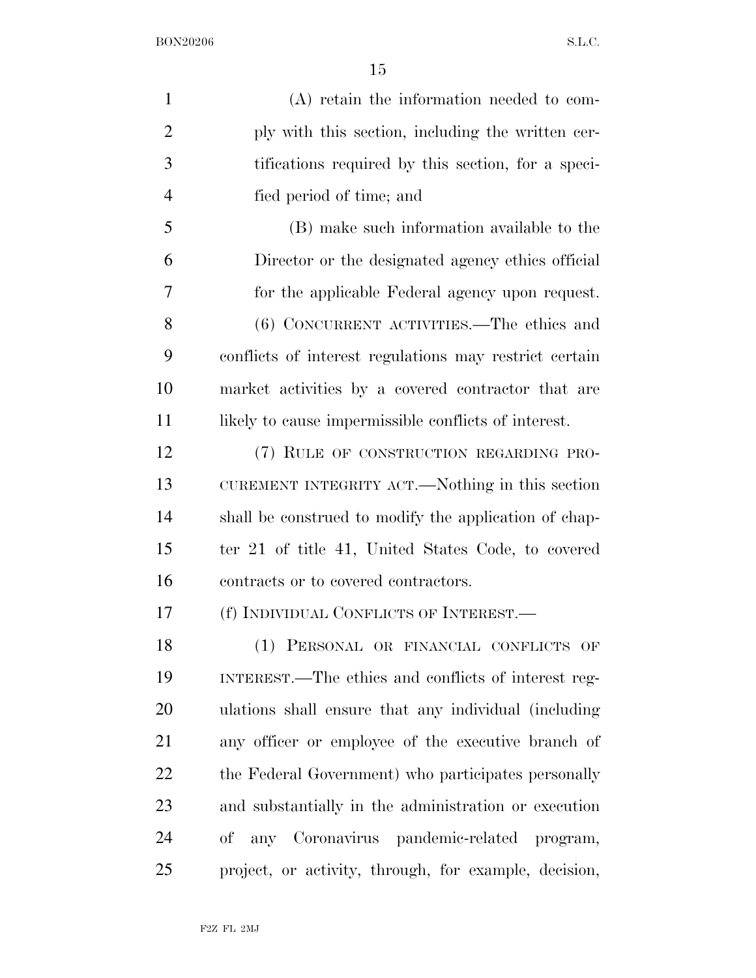| $\mathbf{1}$   | $(A)$ retain the information needed to com-            |
|----------------|--------------------------------------------------------|
| $\overline{2}$ | ply with this section, including the written cer-      |
| 3              | tifications required by this section, for a speci-     |
| 4              | fied period of time; and                               |
| 5              | (B) make such information available to the             |
| 6              | Director or the designated agency ethics official      |
| 7              | for the applicable Federal agency upon request.        |
| 8              | (6) CONCURRENT ACTIVITIES.—The ethics and              |
| 9              | conflicts of interest regulations may restrict certain |
| 10             | market activities by a covered contractor that are     |
| 11             | likely to cause impermissible conflicts of interest.   |
| 12             | (7) RULE OF CONSTRUCTION REGARDING PRO-                |
| 13             | CUREMENT INTEGRITY ACT.—Nothing in this section        |
| 14             | shall be construed to modify the application of chap-  |
| 15             | ter 21 of title 41, United States Code, to covered     |
| 16             | contracts or to covered contractors.                   |
| 17             | (f) INDIVIDUAL CONFLICTS OF INTEREST.                  |
| 18             | (1) PERSONAL OR FINANCIAL CONFLICTS OF                 |
| 19             | INTEREST.—The ethics and conflicts of interest reg-    |
| 20             | ulations shall ensure that any individual (including   |
| 21             | any officer or employee of the executive branch of     |
| 22             | the Federal Government) who participates personally    |
| 23             | and substantially in the administration or execution   |
| 24             | of any Coronavirus pandemic-related program,           |
| 25             | project, or activity, through, for example, decision,  |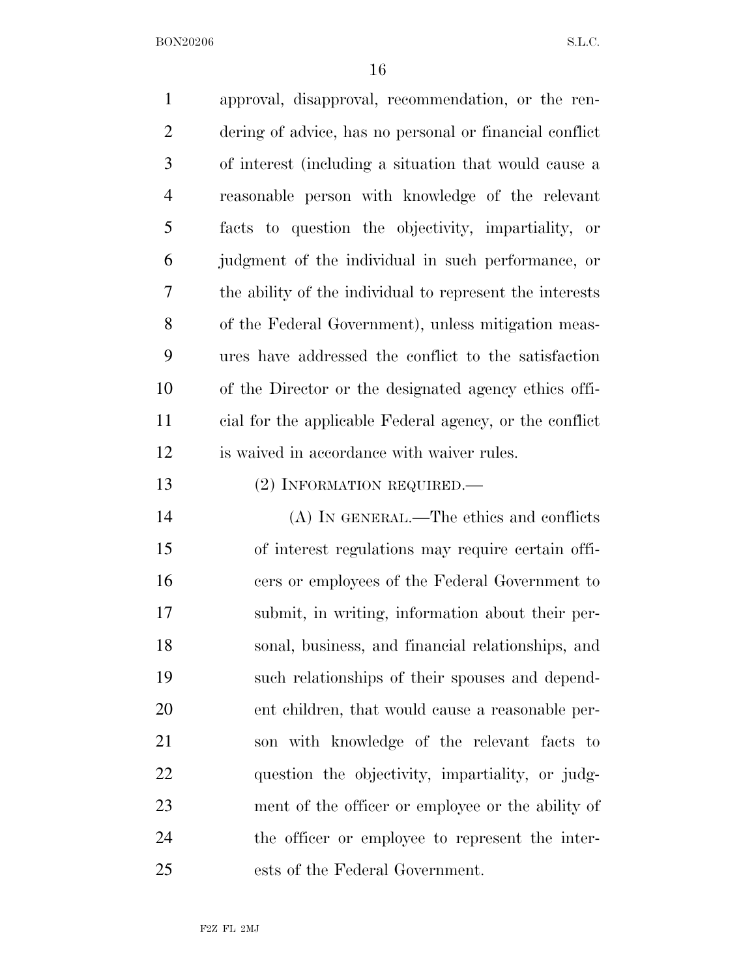| $\mathbf{1}$   | approval, disapproval, recommendation, or the ren-       |
|----------------|----------------------------------------------------------|
| $\overline{2}$ | dering of advice, has no personal or financial conflict  |
| 3              | of interest (including a situation that would cause a    |
| $\overline{4}$ | reasonable person with knowledge of the relevant         |
| 5              | facts to question the objectivity, impartiality, or      |
| 6              | judgment of the individual in such performance, or       |
| 7              | the ability of the individual to represent the interests |
| 8              | of the Federal Government), unless mitigation meas-      |
| 9              | ures have addressed the conflict to the satisfaction     |
| 10             | of the Director or the designated agency ethics offi-    |
| 11             | cial for the applicable Federal agency, or the conflict  |
| 12             | is waived in accordance with waiver rules.               |
| 13             | (2) INFORMATION REQUIRED.                                |
| 14             | (A) IN GENERAL.—The ethics and conflicts                 |
| 15             | of interest regulations may require certain offi-        |
| 16             | cers or employees of the Federal Government to           |
| 17             | submit, in writing, information about their per-         |
| 18             | sonal, business, and financial relationships, and        |
| 19             | such relationships of their spouses and depend-          |
| 20             | ent children, that would cause a reasonable per-         |
| 21             | son with knowledge of the relevant facts to              |
| 22             | question the objectivity, impartiality, or judg-         |
| 23             | ment of the officer or employee or the ability of        |
| 24             | the officer or employee to represent the inter-          |
| 25             | ests of the Federal Government.                          |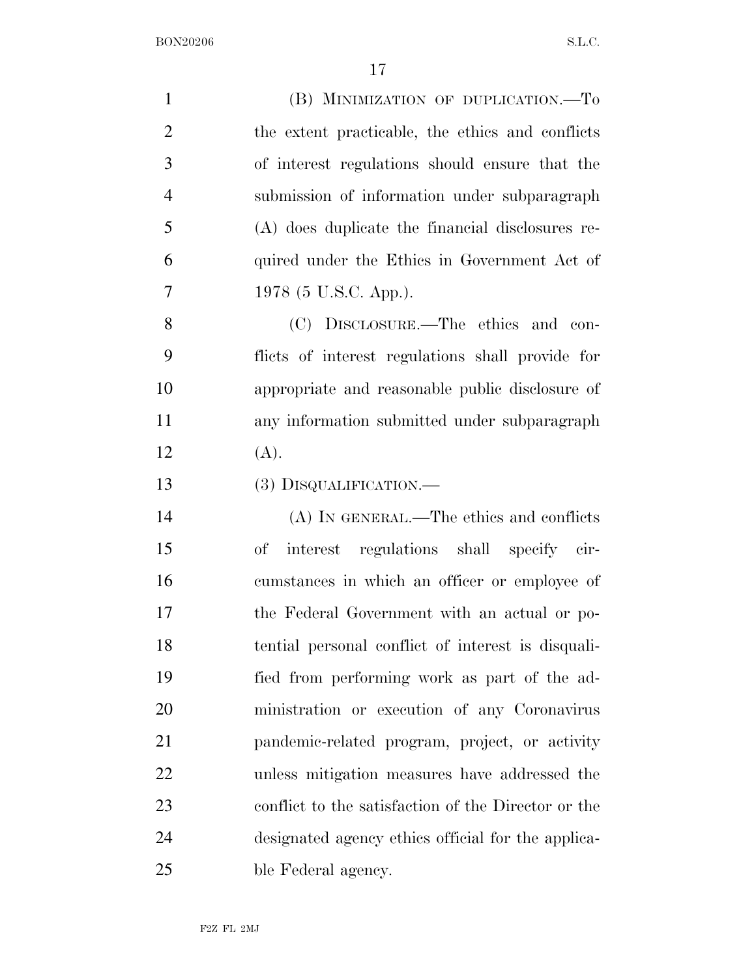| $\mathbf{1}$   | (B) MINIMIZATION OF DUPLICATION.-To                 |
|----------------|-----------------------------------------------------|
| $\overline{2}$ | the extent practicable, the ethics and conflicts    |
| 3              | of interest regulations should ensure that the      |
| $\overline{4}$ | submission of information under subparagraph        |
| 5              | (A) does duplicate the financial disclosures re-    |
| 6              | quired under the Ethics in Government Act of        |
| 7              | 1978 (5 U.S.C. App.).                               |
| 8              | (C) DISCLOSURE.—The ethics and con-                 |
| 9              | flicts of interest regulations shall provide for    |
| 10             | appropriate and reasonable public disclosure of     |
| 11             | any information submitted under subparagraph        |
| 12             | (A).                                                |
| 13             | (3) DISQUALIFICATION.—                              |
| 14             | (A) IN GENERAL.—The ethics and conflicts            |
| 15             | interest regulations shall specify cir-<br>of       |
| 16             | cumstances in which an officer or employee of       |
| 17             | the Federal Government with an actual or po-        |
| 18             | tential personal conflict of interest is disquali-  |
| 19             | fied from performing work as part of the ad-        |
| 20             | ministration or execution of any Coronavirus        |
| 21             | pandemic-related program, project, or activity      |
| 22             | unless mitigation measures have addressed the       |
| 23             | conflict to the satisfaction of the Director or the |
| 24             | designated agency ethics official for the applica-  |
| 25             | ble Federal agency.                                 |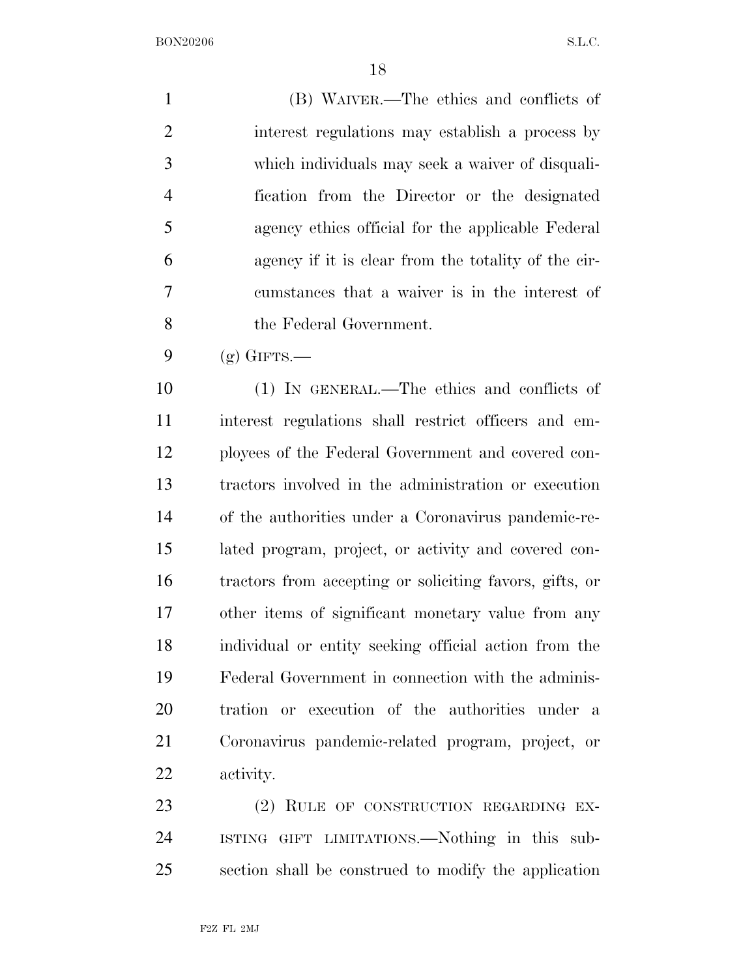(B) WAIVER.—The ethics and conflicts of interest regulations may establish a process by which individuals may seek a waiver of disquali- fication from the Director or the designated agency ethics official for the applicable Federal agency if it is clear from the totality of the cir- cumstances that a waiver is in the interest of the Federal Government.

 $9 \quad$  (g) GIFTS.—

 (1) IN GENERAL.—The ethics and conflicts of interest regulations shall restrict officers and em- ployees of the Federal Government and covered con- tractors involved in the administration or execution of the authorities under a Coronavirus pandemic-re- lated program, project, or activity and covered con- tractors from accepting or soliciting favors, gifts, or other items of significant monetary value from any individual or entity seeking official action from the Federal Government in connection with the adminis- tration or execution of the authorities under a Coronavirus pandemic-related program, project, or activity.

23 (2) RULE OF CONSTRUCTION REGARDING EX- ISTING GIFT LIMITATIONS.—Nothing in this sub-section shall be construed to modify the application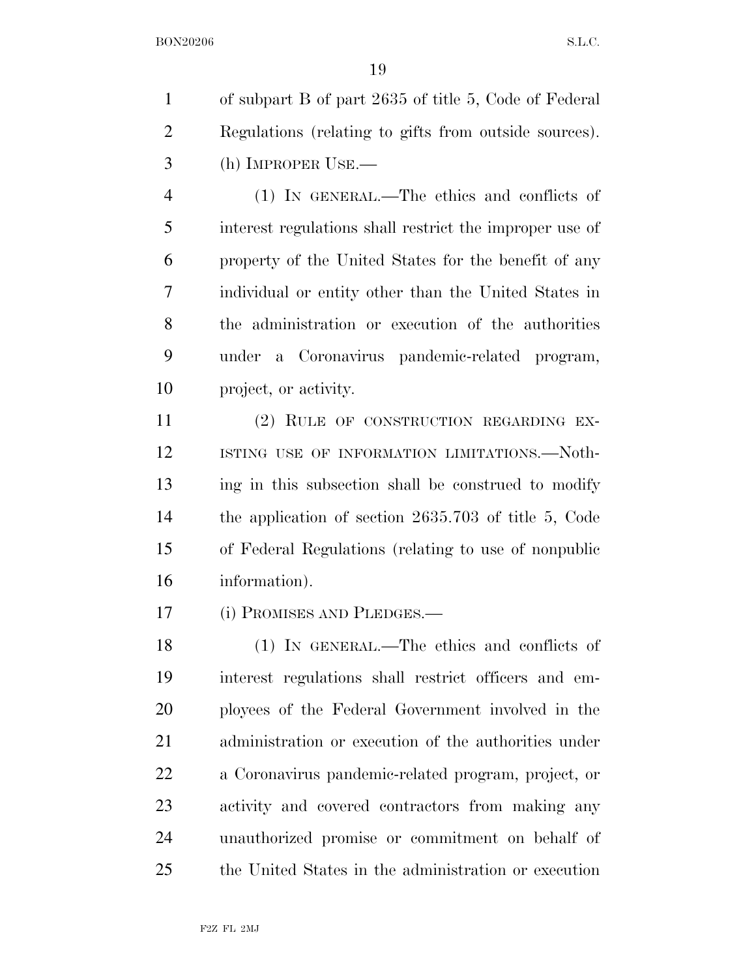of subpart B of part 2635 of title 5, Code of Federal Regulations (relating to gifts from outside sources). (h) IMPROPER USE.—

 (1) IN GENERAL.—The ethics and conflicts of interest regulations shall restrict the improper use of property of the United States for the benefit of any individual or entity other than the United States in the administration or execution of the authorities under a Coronavirus pandemic-related program, project, or activity.

 (2) RULE OF CONSTRUCTION REGARDING EX-12 ISTING USE OF INFORMATION LIMITATIONS. Noth- ing in this subsection shall be construed to modify the application of section 2635.703 of title 5, Code of Federal Regulations (relating to use of nonpublic information).

(i) PROMISES AND PLEDGES.—

 (1) IN GENERAL.—The ethics and conflicts of interest regulations shall restrict officers and em- ployees of the Federal Government involved in the administration or execution of the authorities under a Coronavirus pandemic-related program, project, or activity and covered contractors from making any unauthorized promise or commitment on behalf of the United States in the administration or execution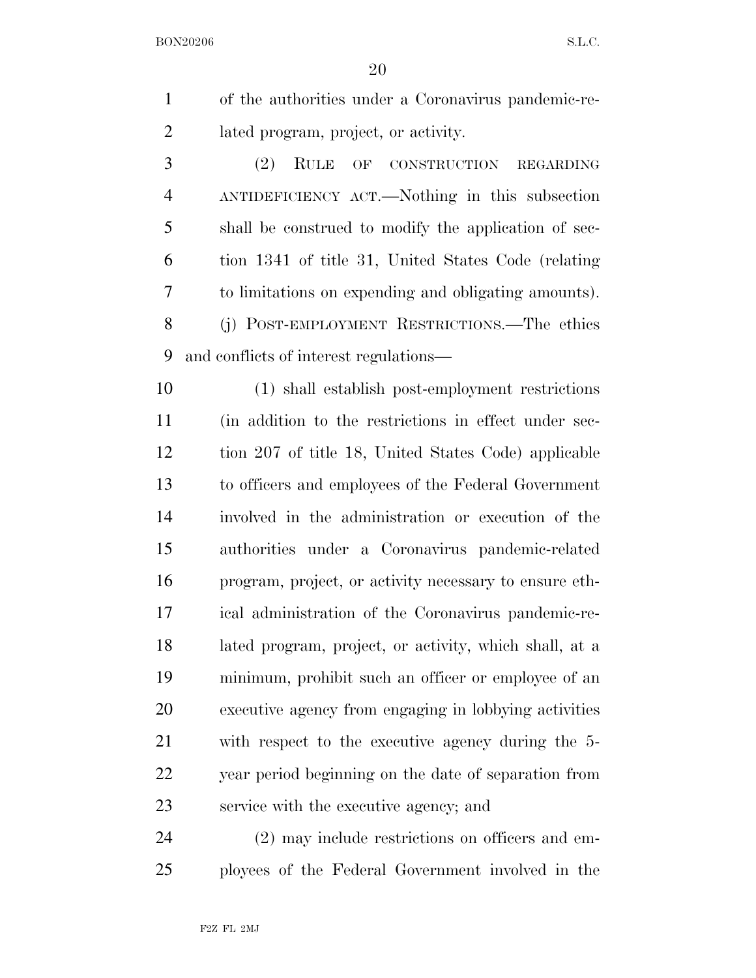|                | of the authorities under a Coronavirus pandemic-re- |
|----------------|-----------------------------------------------------|
| 2              | lated program, project, or activity.                |
| 3              | (2) RULE OF CONSTRUCTION REGARDING                  |
| $\overline{4}$ | ANTIDEFICIENCY ACT.—Nothing in this subsection      |

 shall be construed to modify the application of sec- tion 1341 of title 31, United States Code (relating to limitations on expending and obligating amounts). (j) POST-EMPLOYMENT RESTRICTIONS.—The ethics and conflicts of interest regulations—

 (1) shall establish post-employment restrictions (in addition to the restrictions in effect under sec- tion 207 of title 18, United States Code) applicable to officers and employees of the Federal Government involved in the administration or execution of the authorities under a Coronavirus pandemic-related program, project, or activity necessary to ensure eth- ical administration of the Coronavirus pandemic-re- lated program, project, or activity, which shall, at a minimum, prohibit such an officer or employee of an executive agency from engaging in lobbying activities with respect to the executive agency during the 5- year period beginning on the date of separation from service with the executive agency; and

 (2) may include restrictions on officers and em-ployees of the Federal Government involved in the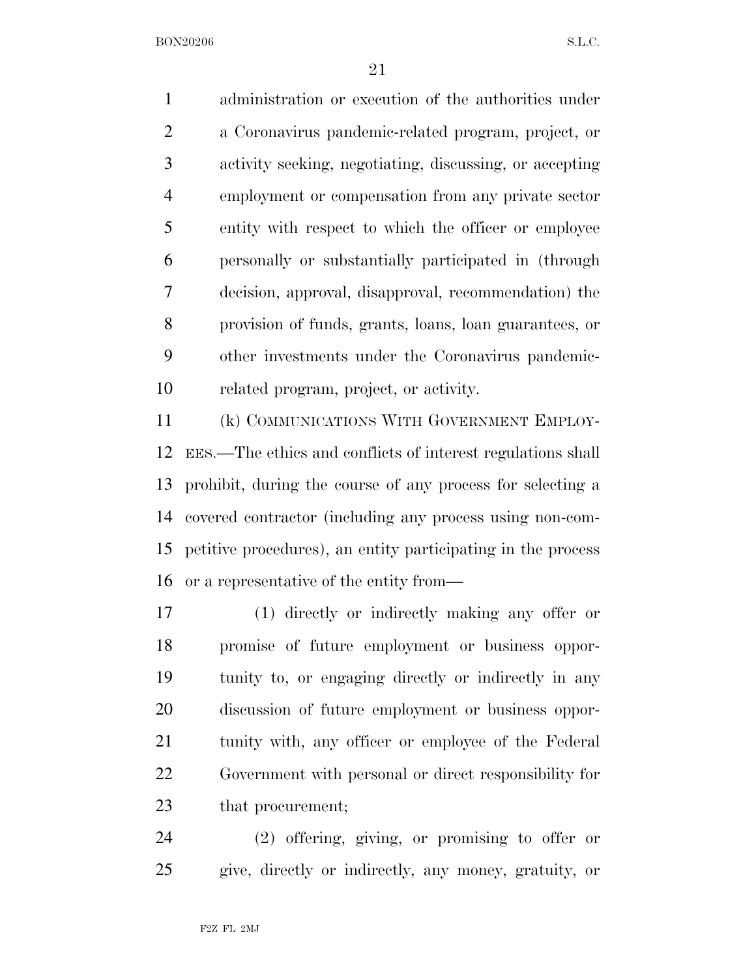administration or execution of the authorities under a Coronavirus pandemic-related program, project, or activity seeking, negotiating, discussing, or accepting employment or compensation from any private sector entity with respect to which the officer or employee personally or substantially participated in (through decision, approval, disapproval, recommendation) the provision of funds, grants, loans, loan guarantees, or other investments under the Coronavirus pandemic-related program, project, or activity.

 (k) COMMUNICATIONS WITH GOVERNMENT EMPLOY- EES.—The ethics and conflicts of interest regulations shall prohibit, during the course of any process for selecting a covered contractor (including any process using non-com- petitive procedures), an entity participating in the process or a representative of the entity from—

 (1) directly or indirectly making any offer or promise of future employment or business oppor- tunity to, or engaging directly or indirectly in any discussion of future employment or business oppor-21 tunity with, any officer or employee of the Federal Government with personal or direct responsibility for that procurement;

 (2) offering, giving, or promising to offer or give, directly or indirectly, any money, gratuity, or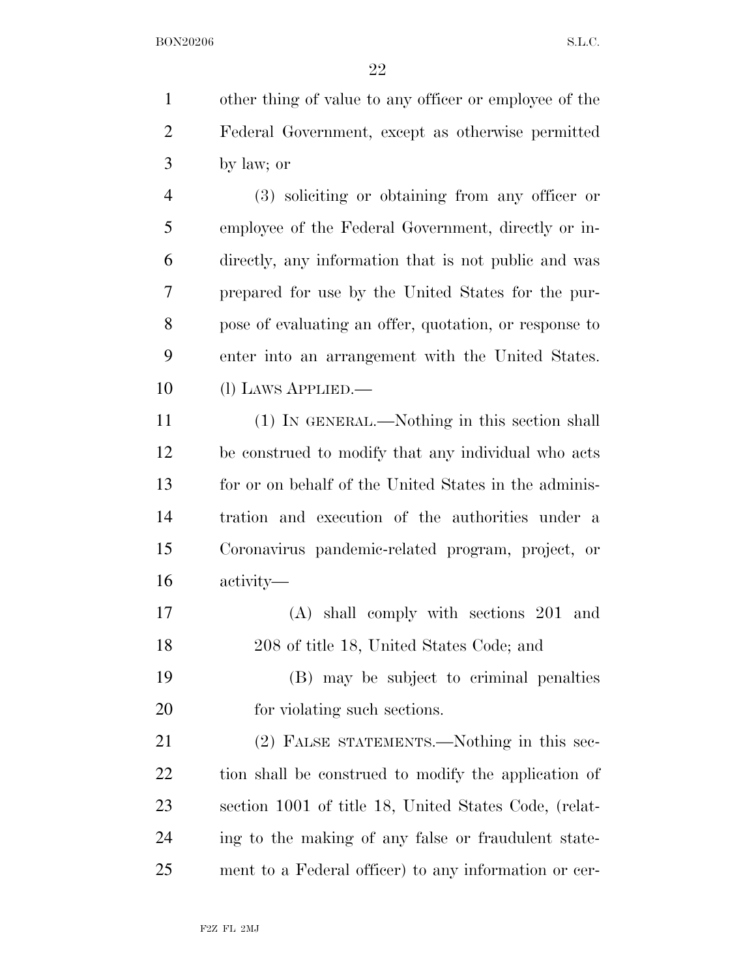other thing of value to any officer or employee of the Federal Government, except as otherwise permitted by law; or

 (3) soliciting or obtaining from any officer or employee of the Federal Government, directly or in- directly, any information that is not public and was prepared for use by the United States for the pur- pose of evaluating an offer, quotation, or response to enter into an arrangement with the United States. 10 (1) LAWS APPLIED.

 (1) IN GENERAL.—Nothing in this section shall be construed to modify that any individual who acts for or on behalf of the United States in the adminis- tration and execution of the authorities under a Coronavirus pandemic-related program, project, or activity—

 (A) shall comply with sections 201 and 208 of title 18, United States Code; and

 (B) may be subject to criminal penalties for violating such sections.

21 (2) FALSE STATEMENTS.—Nothing in this sec- tion shall be construed to modify the application of section 1001 of title 18, United States Code, (relat- ing to the making of any false or fraudulent state-ment to a Federal officer) to any information or cer-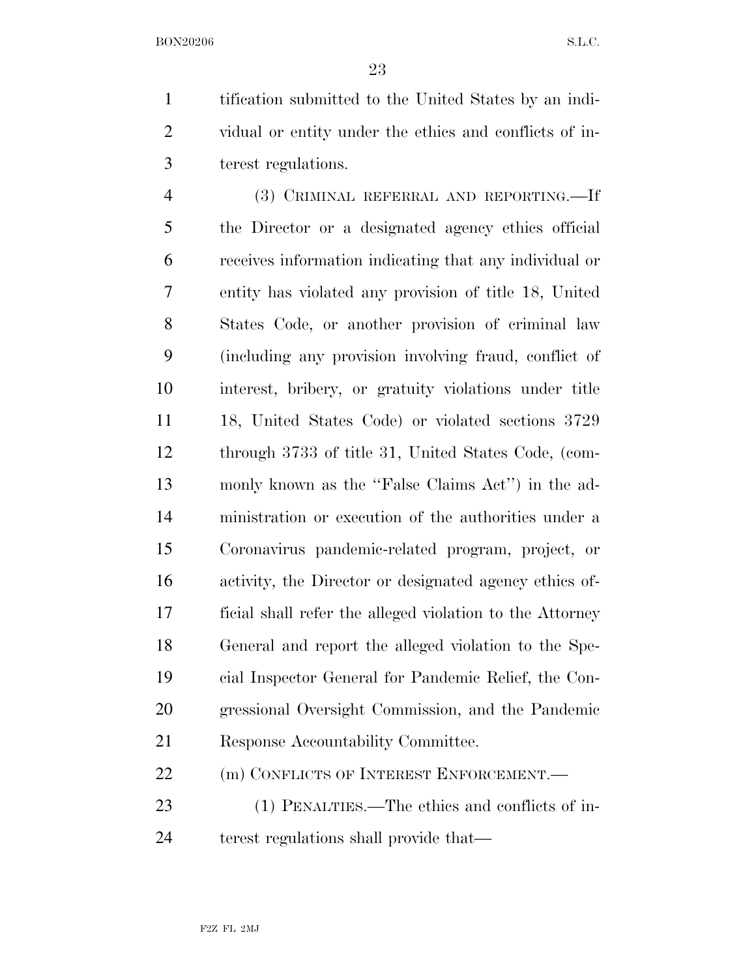tification submitted to the United States by an indi- vidual or entity under the ethics and conflicts of in-terest regulations.

 (3) CRIMINAL REFERRAL AND REPORTING.—If the Director or a designated agency ethics official receives information indicating that any individual or entity has violated any provision of title 18, United States Code, or another provision of criminal law (including any provision involving fraud, conflict of interest, bribery, or gratuity violations under title 18, United States Code) or violated sections 3729 through 3733 of title 31, United States Code, (com- monly known as the ''False Claims Act'') in the ad- ministration or execution of the authorities under a Coronavirus pandemic-related program, project, or activity, the Director or designated agency ethics of- ficial shall refer the alleged violation to the Attorney General and report the alleged violation to the Spe- cial Inspector General for Pandemic Relief, the Con- gressional Oversight Commission, and the Pandemic Response Accountability Committee.

22 (m) CONFLICTS OF INTEREST ENFORCEMENT.

 (1) PENALTIES.—The ethics and conflicts of in-24 terest regulations shall provide that—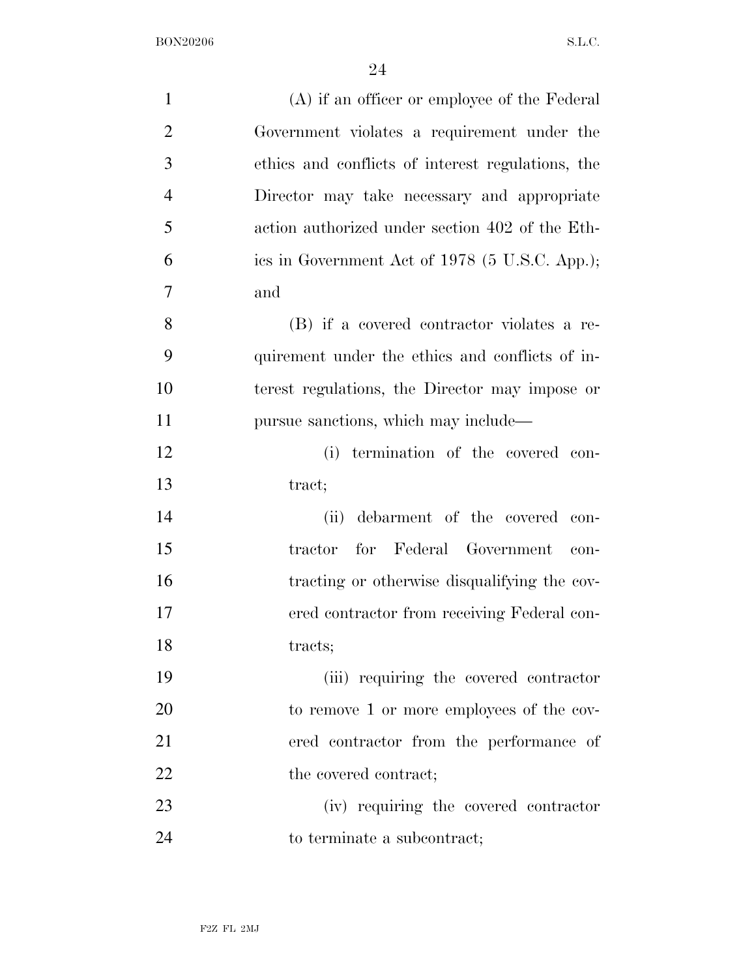| $\mathbf{1}$   | (A) if an officer or employee of the Federal      |
|----------------|---------------------------------------------------|
| $\overline{2}$ | Government violates a requirement under the       |
| 3              | ethics and conflicts of interest regulations, the |
| $\overline{4}$ | Director may take necessary and appropriate       |
| 5              | action authorized under section 402 of the Eth-   |
| 6              | ics in Government Act of 1978 (5 U.S.C. App.);    |
| 7              | and                                               |
| 8              | (B) if a covered contractor violates a re-        |
| 9              | quirement under the ethics and conflicts of in-   |
| 10             | terest regulations, the Director may impose or    |
| 11             | pursue sanctions, which may include—              |
| 12             | termination of the covered con-<br>(i)            |
| 13             | tract;                                            |
| 14             | debarment of the covered con-<br>(ii)             |
| 15             | for Federal Government<br>tractor<br>con-         |
| 16             | tracting or otherwise disqualifying the cov-      |
| 17             | ered contractor from receiving Federal con-       |
| 18             | tracts;                                           |
| 19             | (iii) requiring the covered contractor            |
| 20             | to remove 1 or more employees of the cov-         |
| 21             | ered contractor from the performance of           |
| 22             | the covered contract;                             |
| 23             | (iv) requiring the covered contractor             |
| 24             | to terminate a subcontract;                       |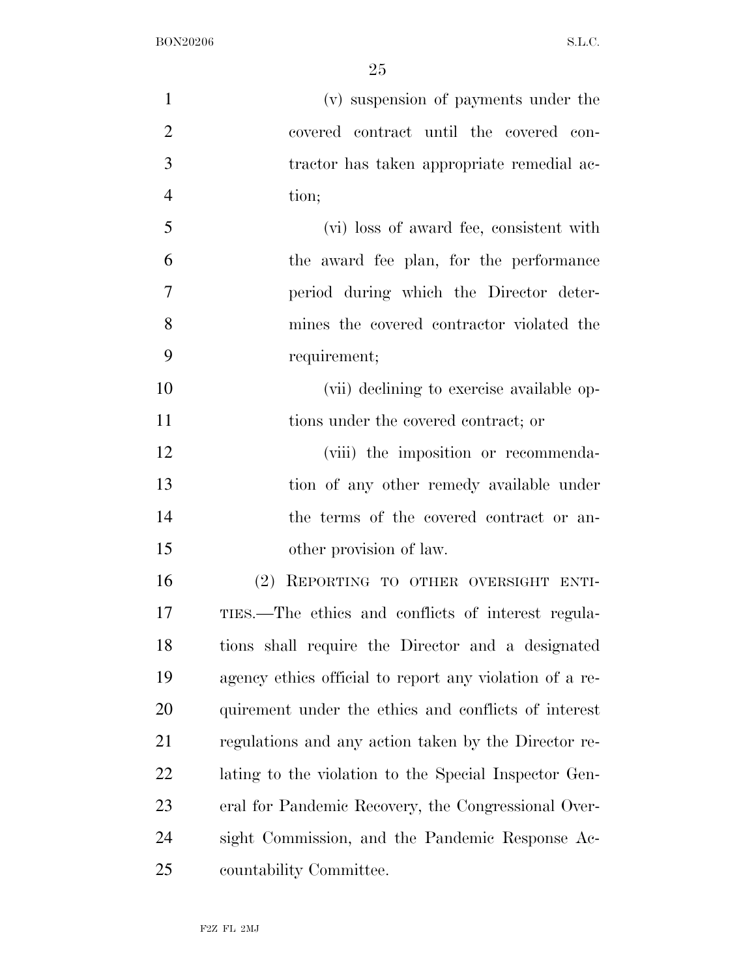| $\mathbf{1}$   | (v) suspension of payments under the                    |
|----------------|---------------------------------------------------------|
| $\overline{2}$ | covered contract until the covered con-                 |
| 3              | tractor has taken appropriate remedial ac-              |
| $\overline{4}$ | tion;                                                   |
| 5              | (vi) loss of award fee, consistent with                 |
| 6              | the award fee plan, for the performance                 |
| 7              | period during which the Director deter-                 |
| 8              | mines the covered contractor violated the               |
| 9              | requirement;                                            |
| 10             | (vii) declining to exercise available op-               |
| 11             | tions under the covered contract; or                    |
| 12             | (viii) the imposition or recommenda-                    |
| 13             | tion of any other remedy available under                |
| 14             | the terms of the covered contract or an-                |
| 15             | other provision of law.                                 |
| 16             | (2) REPORTING TO OTHER OVERSIGHT ENTI-                  |
| 17             | TIES.—The ethics and conflicts of interest regula-      |
| 18             | tions shall require the Director and a designated       |
| 19             | agency ethics official to report any violation of a re- |
| 20             | quirement under the ethics and conflicts of interest    |
| 21             | regulations and any action taken by the Director re-    |
| 22             | lating to the violation to the Special Inspector Gen-   |
| 23             | eral for Pandemic Recovery, the Congressional Over-     |
| 24             | sight Commission, and the Pandemic Response Ac-         |
| 25             | countability Committee.                                 |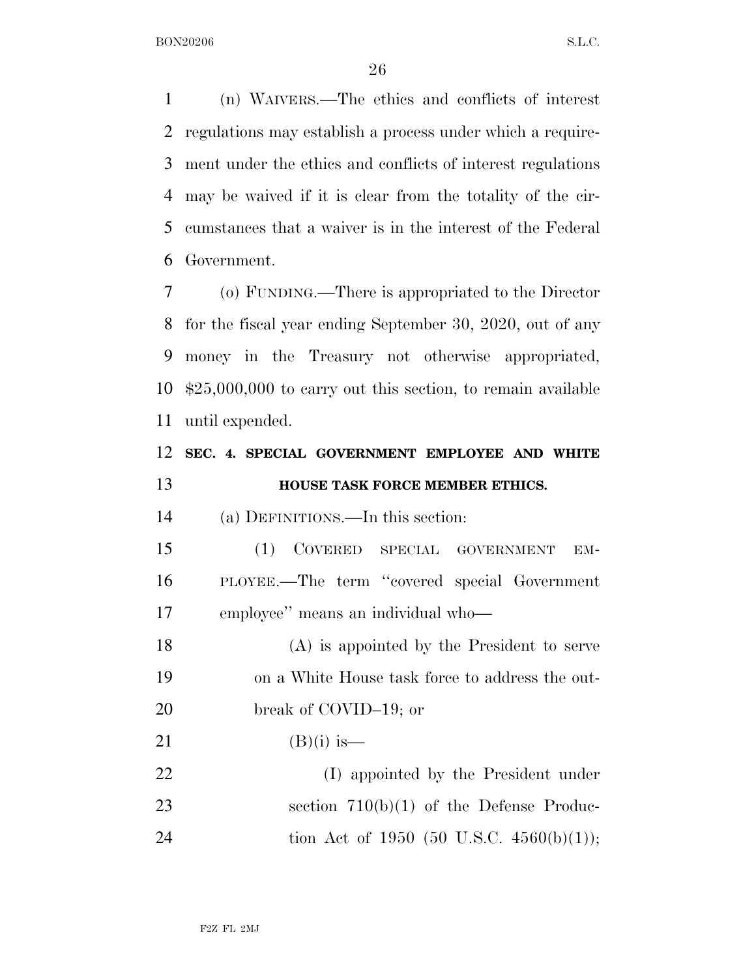(n) WAIVERS.—The ethics and conflicts of interest regulations may establish a process under which a require- ment under the ethics and conflicts of interest regulations may be waived if it is clear from the totality of the cir- cumstances that a waiver is in the interest of the Federal Government.

 (o) FUNDING.—There is appropriated to the Director for the fiscal year ending September 30, 2020, out of any money in the Treasury not otherwise appropriated, \$25,000,000 to carry out this section, to remain available until expended.

# **SEC. 4. SPECIAL GOVERNMENT EMPLOYEE AND WHITE HOUSE TASK FORCE MEMBER ETHICS.**

(a) DEFINITIONS.—In this section:

 (1) COVERED SPECIAL GOVERNMENT EM- PLOYEE.—The term ''covered special Government employee'' means an individual who—

 (A) is appointed by the President to serve on a White House task force to address the out-20 break of COVID–19; or

21 (B)(i) is—

 (I) appointed by the President under 23 section 710(b)(1) of the Defense Produc-24 tion Act of 1950 (50 U.S.C. 4560(b)(1));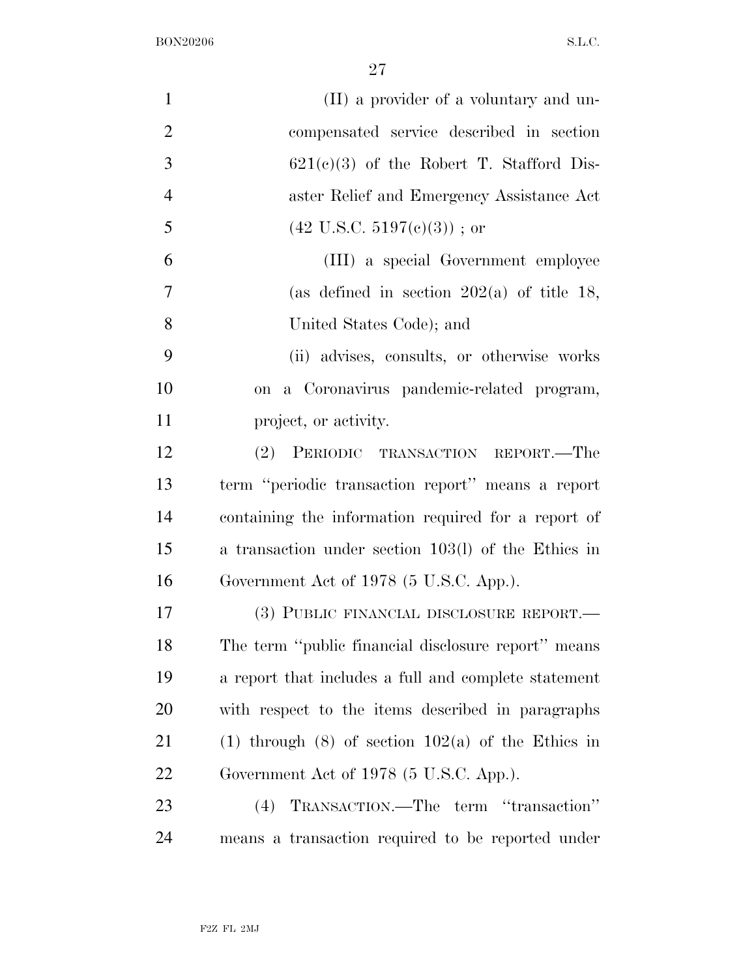| $\mathbf{1}$   | (II) a provider of a voluntary and un-               |
|----------------|------------------------------------------------------|
| $\overline{2}$ | compensated service described in section             |
| 3              | $621(c)(3)$ of the Robert T. Stafford Dis-           |
| $\overline{4}$ | aster Relief and Emergency Assistance Act            |
| 5              | $(42 \text{ U.S.C. } 5197(e)(3))$ ; or               |
| 6              | (III) a special Government employee                  |
| 7              | (as defined in section $202(a)$ of title 18,         |
| 8              | United States Code); and                             |
| 9              | (ii) advises, consults, or otherwise works           |
| 10             | a Coronavirus pandemic-related program,<br>on        |
| 11             | project, or activity.                                |
| 12             | PERIODIC TRANSACTION REPORT.—The<br>(2)              |
| 13             | term "periodic transaction report" means a report    |
| 14             | containing the information required for a report of  |
| 15             | a transaction under section 103(l) of the Ethics in  |
| 16             | Government Act of 1978 (5 U.S.C. App.).              |
| 17             | (3) PUBLIC FINANCIAL DISCLOSURE REPORT.—             |
| 18             | The term "public financial disclosure report" means  |
| 19             | a report that includes a full and complete statement |
| 20             | with respect to the items described in paragraphs    |
| 21             | (1) through (8) of section $102(a)$ of the Ethics in |
| 22             | Government Act of 1978 (5 U.S.C. App.).              |
| 23             | TRANSACTION.—The term "transaction"<br>(4)           |
| 24             | means a transaction required to be reported under    |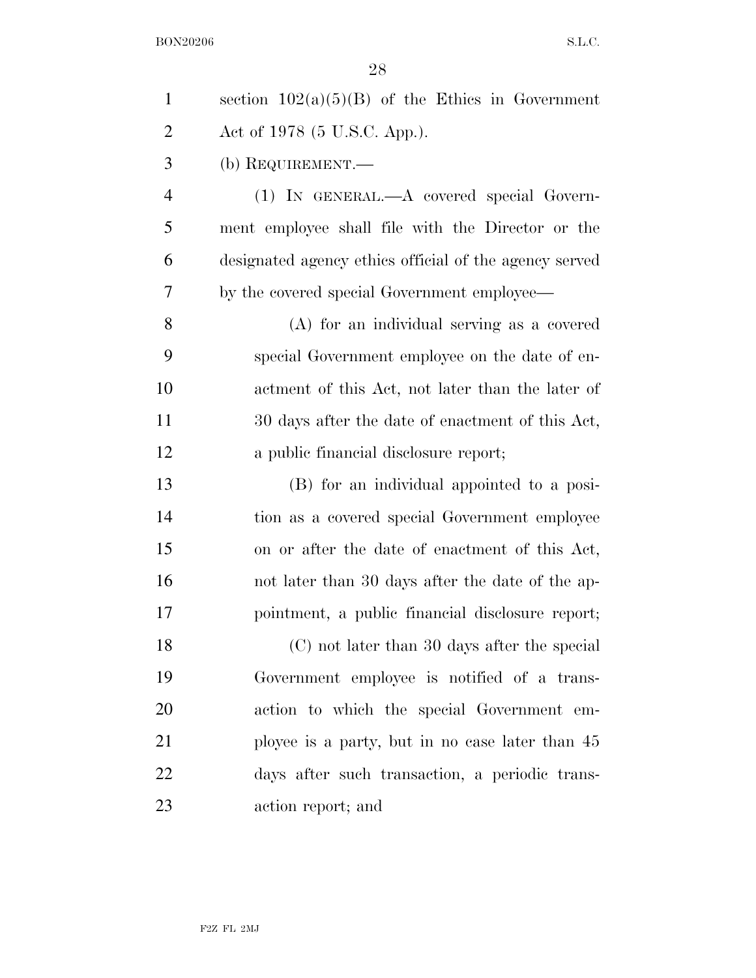| $\mathbf{1}$   | section $102(a)(5)(B)$ of the Ethics in Government     |
|----------------|--------------------------------------------------------|
| $\overline{2}$ | Act of 1978 (5 U.S.C. App.).                           |
| 3              | (b) REQUIREMENT.—                                      |
| $\overline{4}$ | $(1)$ IN GENERAL.— $A$ covered special Govern-         |
| 5              | ment employee shall file with the Director or the      |
| 6              | designated agency ethics official of the agency served |
| 7              | by the covered special Government employee—            |
| 8              | (A) for an individual serving as a covered             |
| 9              | special Government employee on the date of en-         |
| 10             | actment of this Act, not later than the later of       |
| 11             | 30 days after the date of enactment of this Act,       |
| 12             | a public financial disclosure report;                  |
| 13             | (B) for an individual appointed to a posi-             |
| 14             | tion as a covered special Government employee          |
| 15             | on or after the date of enactment of this Act,         |
| 16             | not later than 30 days after the date of the ap-       |
| 17             | pointment, a public financial disclosure report;       |
| 18             | (C) not later than 30 days after the special           |
| 19             | Government employee is notified of a trans-            |
| 20             | action to which the special Government em-             |
| 21             | ployee is a party, but in no case later than 45        |
| 22             | days after such transaction, a periodic trans-         |
| 23             | action report; and                                     |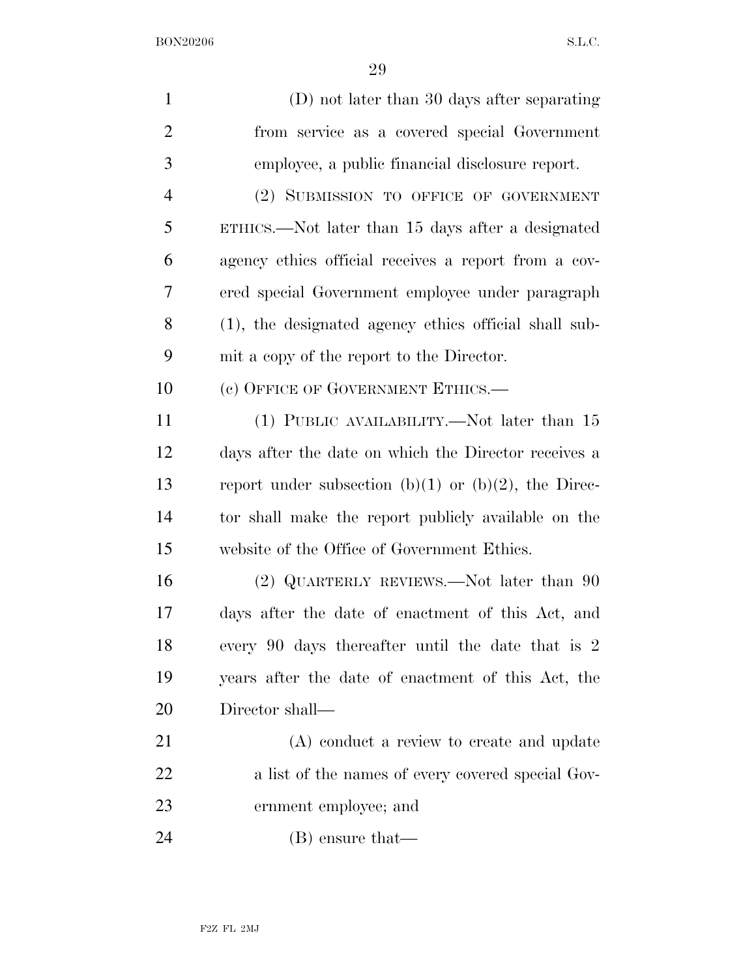| $\mathbf{1}$   | (D) not later than 30 days after separating           |
|----------------|-------------------------------------------------------|
| $\overline{2}$ | from service as a covered special Government          |
| 3              | employee, a public financial disclosure report.       |
| $\overline{4}$ | (2) SUBMISSION TO OFFICE OF GOVERNMENT                |
| 5              | ETHICS.—Not later than 15 days after a designated     |
| 6              | agency ethics official receives a report from a cov-  |
| 7              | ered special Government employee under paragraph      |
| 8              | (1), the designated agency ethics official shall sub- |
| 9              | mit a copy of the report to the Director.             |
| 10             | (c) OFFICE OF GOVERNMENT ETHICS.—                     |
| 11             | (1) PUBLIC AVAILABILITY.—Not later than 15            |
| 12             | days after the date on which the Director receives a  |
| 13             | report under subsection (b)(1) or (b)(2), the Direc-  |
| 14             | tor shall make the report publicly available on the   |
| 15             | website of the Office of Government Ethics.           |
| 16             | (2) QUARTERLY REVIEWS.—Not later than 90              |
| 17             | days after the date of enactment of this Act, and     |
| 18             | every 90 days thereafter until the date that is 2     |
| 19             | years after the date of enactment of this Act, the    |
| 20             | Director shall—                                       |
| 21             | (A) conduct a review to create and update             |
| 22             | a list of the names of every covered special Gov-     |
| 23             | ernment employee; and                                 |
| 24             | $(B)$ ensure that—                                    |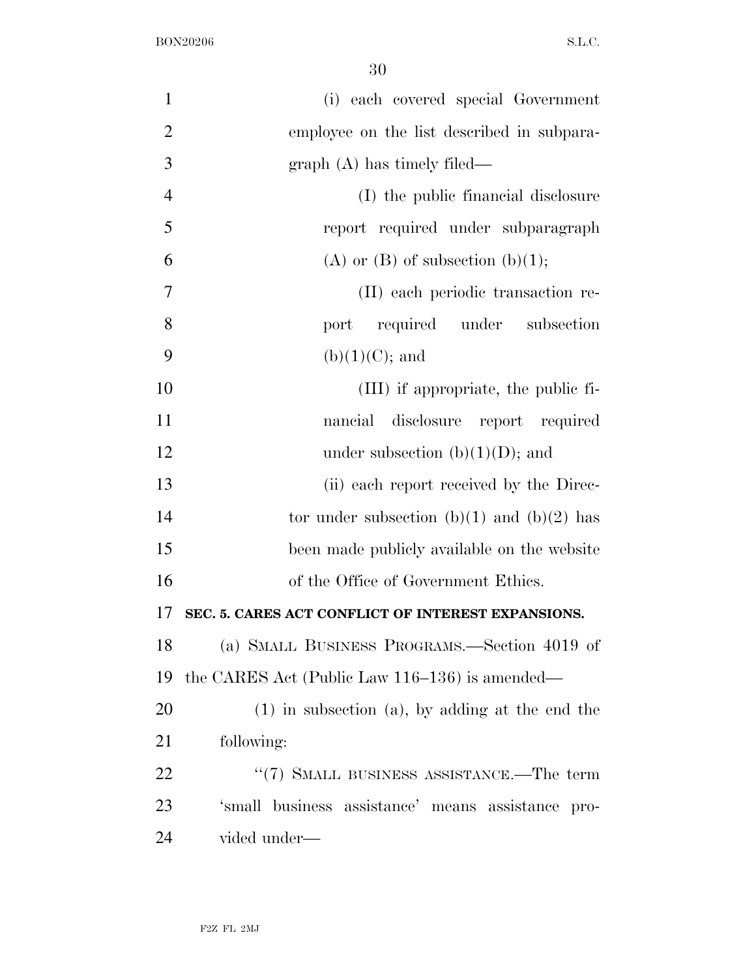| $\mathbf{1}$   | (i) each covered special Government                  |
|----------------|------------------------------------------------------|
| $\overline{2}$ | employee on the list described in subpara-           |
| 3              | $graph(A)$ has timely filed—                         |
| $\overline{4}$ | (I) the public financial disclosure                  |
| 5              | report required under subparagraph                   |
| 6              | (A) or $(B)$ of subsection $(b)(1)$ ;                |
| 7              | (II) each periodic transaction re-                   |
| 8              | required under subsection<br>port                    |
| 9              | $(b)(1)(C)$ ; and                                    |
| 10             | (III) if appropriate, the public fi-                 |
| 11             | disclosure report required<br>nancial                |
| 12             | under subsection (b) $(1)(D)$ ; and                  |
| 13             | (ii) each report received by the Direc-              |
| 14             | tor under subsection (b)(1) and (b)(2) has           |
| 15             | been made publicly available on the website          |
| 16             | of the Office of Government Ethics.                  |
| 17             | SEC. 5. CARES ACT CONFLICT OF INTEREST EXPANSIONS.   |
| 18             | (a) SMALL BUSINESS PROGRAMS.—Section 4019 of         |
| 19             | the CARES Act (Public Law 116–136) is amended—       |
| 20             | $(1)$ in subsection $(a)$ , by adding at the end the |
| 21             | following:                                           |
| 22             | $\lq(7)$ SMALL BUSINESS ASSISTANCE.—The term         |
| 23             | 'small business assistance' means assistance pro-    |
| 24             | vided under-                                         |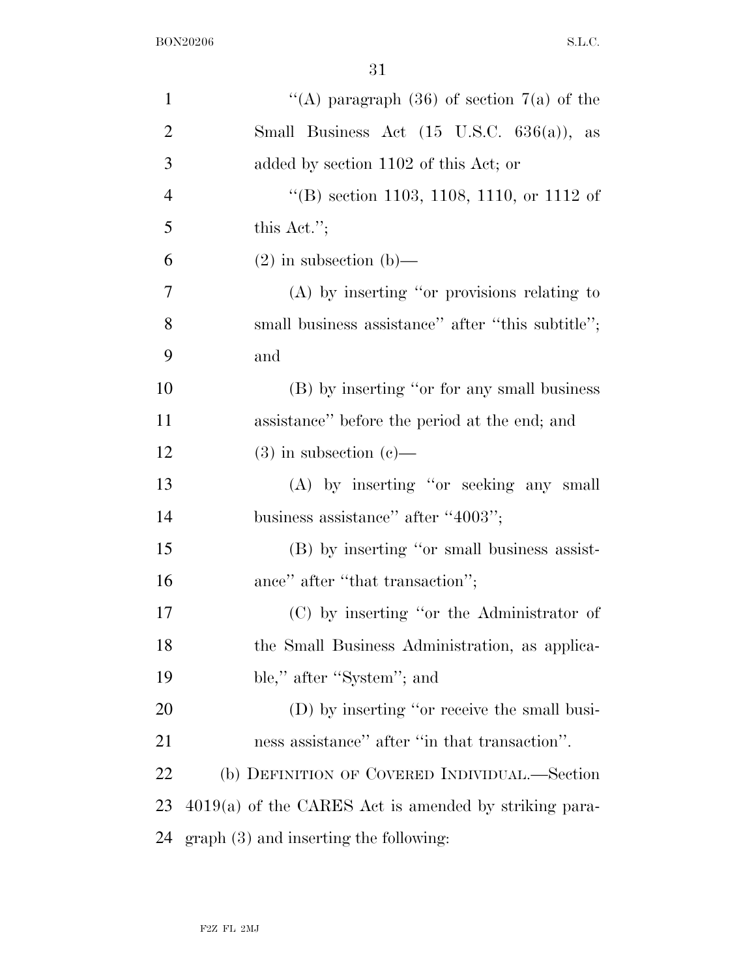| $\mathbf{1}$   | "(A) paragraph (36) of section $7(a)$ of the            |
|----------------|---------------------------------------------------------|
| $\overline{2}$ | Small Business Act $(15 \text{ U.S.C. } 636(a))$ , as   |
| 3              | added by section 1102 of this Act; or                   |
| $\overline{4}$ | "(B) section 1103, 1108, 1110, or 1112 of               |
| 5              | this Act.";                                             |
| 6              | $(2)$ in subsection $(b)$ —                             |
| 7              | $(A)$ by inserting "or provisions relating to           |
| 8              | small business assistance" after "this subtitle";       |
| 9              | and                                                     |
| 10             | (B) by inserting "or for any small business             |
| 11             | assistance" before the period at the end; and           |
| 12             | $(3)$ in subsection $(e)$ —                             |
| 13             | (A) by inserting "or seeking any small                  |
| 14             | business assistance" after "4003";                      |
| 15             | (B) by inserting "or small business assist-             |
| 16             | ance" after "that transaction";                         |
| 17             | (C) by inserting "or the Administrator of               |
| 18             | the Small Business Administration, as applica-          |
| 19             | ble," after "System"; and                               |
| 20             | (D) by inserting "or receive the small busi-            |
| 21             | ness assistance" after "in that transaction".           |
| 22             | (b) DEFINITION OF COVERED INDIVIDUAL.—Section           |
| 23             | $4019(a)$ of the CARES Act is amended by striking para- |
| 24             | $graph(3)$ and inserting the following:                 |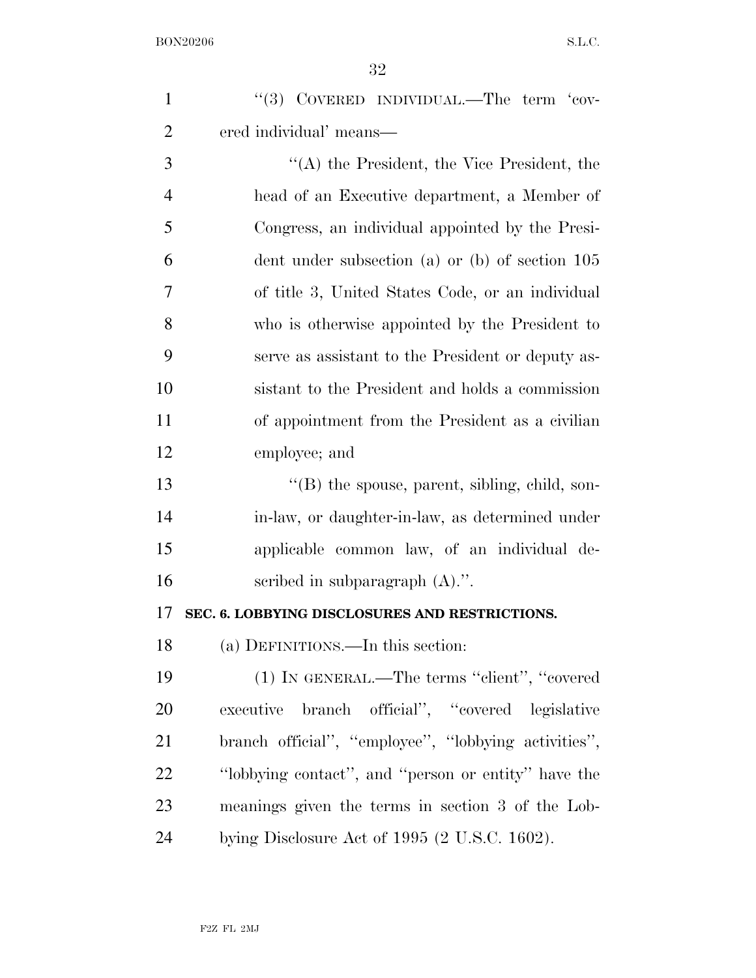| $\mathbf{1}$   | $``(3)$ COVERED INDIVIDUAL.—The term $'$ cov-        |
|----------------|------------------------------------------------------|
| $\overline{2}$ | ered individual' means—                              |
| 3              | $\lq\lq$ the President, the Vice President, the      |
| $\overline{4}$ | head of an Executive department, a Member of         |
| 5              | Congress, an individual appointed by the Presi-      |
| 6              | dent under subsection (a) or (b) of section $105$    |
| 7              | of title 3, United States Code, or an individual     |
| 8              | who is otherwise appointed by the President to       |
| 9              | serve as assistant to the President or deputy as-    |
| 10             | sistant to the President and holds a commission      |
| 11             | of appointment from the President as a civilian      |
| 12             | employee; and                                        |
| 13             | "(B) the spouse, parent, sibling, child, son-        |
| 14             | in-law, or daughter-in-law, as determined under      |
| 15             | applicable common law, of an individual de-          |
| 16             | scribed in subparagraph $(A)$ .".                    |
| 17             | SEC. 6. LOBBYING DISCLOSURES AND RESTRICTIONS.       |
| 18             | (a) DEFINITIONS.—In this section:                    |
| 19             | (1) IN GENERAL.—The terms "client", "covered         |
| 20             | branch official", "covered legislative<br>executive  |
| 21             | branch official", "employee", "lobbying activities", |
| 22             | "lobbying contact", and "person or entity" have the  |
| 23             | meanings given the terms in section 3 of the Lob-    |
| 24             | bying Disclosure Act of 1995 (2 U.S.C. 1602).        |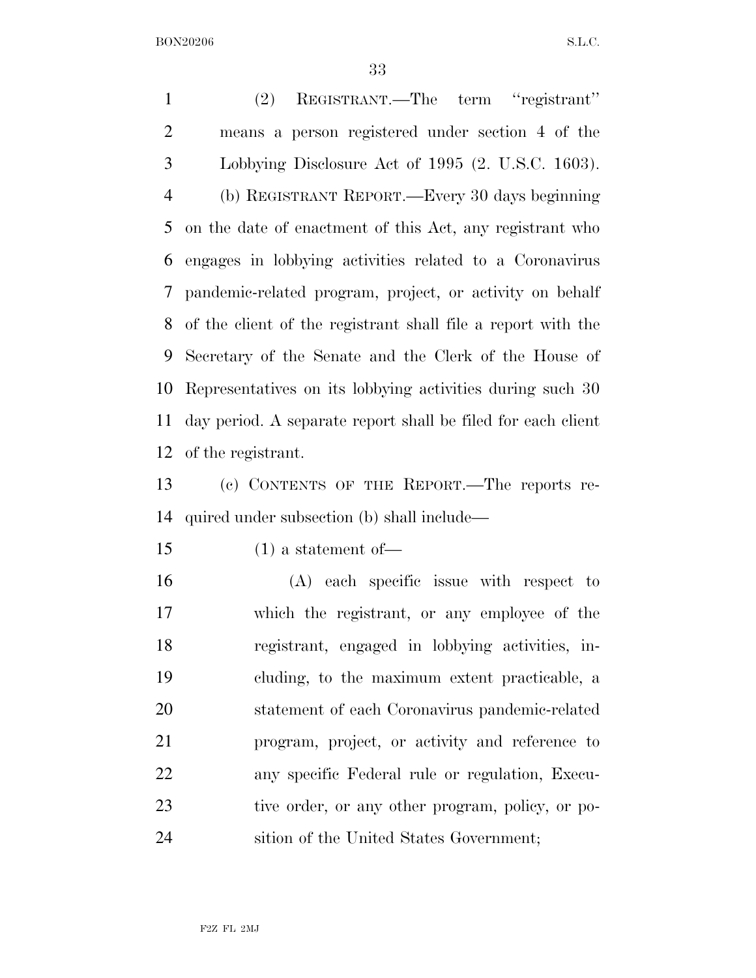(2) REGISTRANT.—The term ''registrant'' means a person registered under section 4 of the Lobbying Disclosure Act of 1995 (2. U.S.C. 1603). (b) REGISTRANT REPORT.—Every 30 days beginning on the date of enactment of this Act, any registrant who engages in lobbying activities related to a Coronavirus pandemic-related program, project, or activity on behalf of the client of the registrant shall file a report with the Secretary of the Senate and the Clerk of the House of Representatives on its lobbying activities during such 30 day period. A separate report shall be filed for each client of the registrant.

 (c) CONTENTS OF THE REPORT.—The reports re-quired under subsection (b) shall include—

(1) a statement of—

 (A) each specific issue with respect to which the registrant, or any employee of the registrant, engaged in lobbying activities, in- cluding, to the maximum extent practicable, a statement of each Coronavirus pandemic-related program, project, or activity and reference to any specific Federal rule or regulation, Execu-23 tive order, or any other program, policy, or po-sition of the United States Government;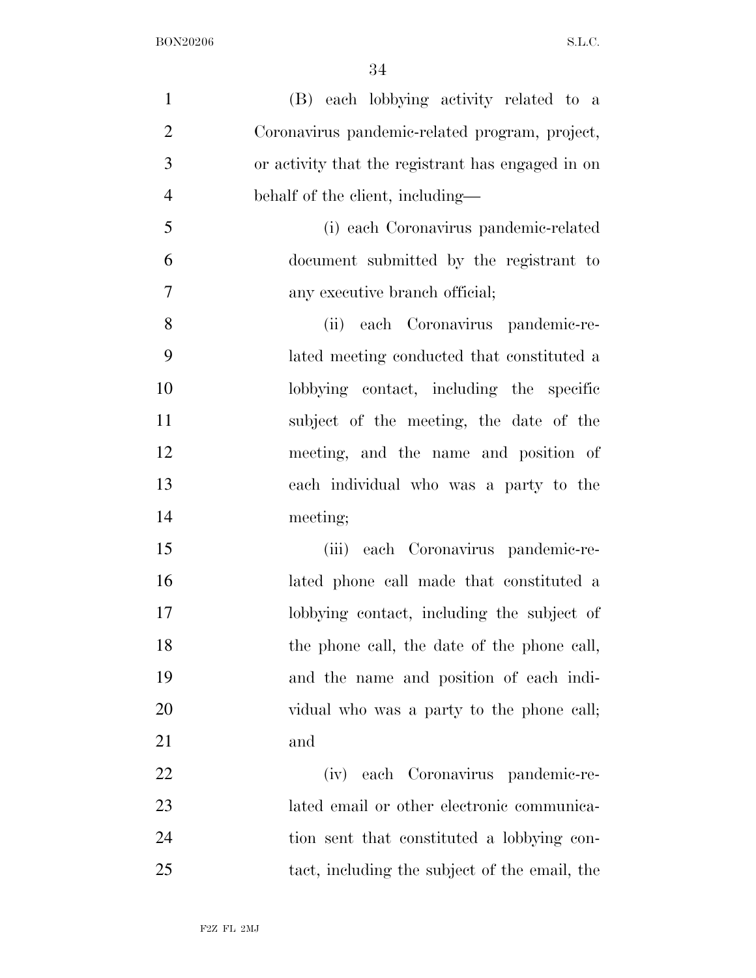| $\mathbf{1}$   | (B) each lobbying activity related to a           |
|----------------|---------------------------------------------------|
| $\overline{2}$ | Coronavirus pandemic-related program, project,    |
| 3              | or activity that the registrant has engaged in on |
| $\overline{4}$ | behalf of the client, including—                  |
| 5              | (i) each Coronavirus pandemic-related             |
| 6              | document submitted by the registrant to           |
| 7              | any executive branch official;                    |
| 8              | (ii) each Coronavirus pandemic-re-                |
| 9              | lated meeting conducted that constituted a        |
| 10             | lobbying contact, including the specific          |
| 11             | subject of the meeting, the date of the           |
| 12             | meeting, and the name and position of             |
| 13             | each individual who was a party to the            |
| 14             | meeting;                                          |
| 15             | (iii) each Coronavirus pandemic-re-               |
| 16             | lated phone call made that constituted a          |
| 17             | lobbying contact, including the subject of        |
| 18             | the phone call, the date of the phone call,       |
| 19             | and the name and position of each indi-           |
| 20             | vidual who was a party to the phone call;         |
| 21             | and                                               |
| 22             | (iv) each Coronavirus pandemic-re-                |
| 23             | lated email or other electronic communica-        |
| 24             | tion sent that constituted a lobbying con-        |
| 25             | tact, including the subject of the email, the     |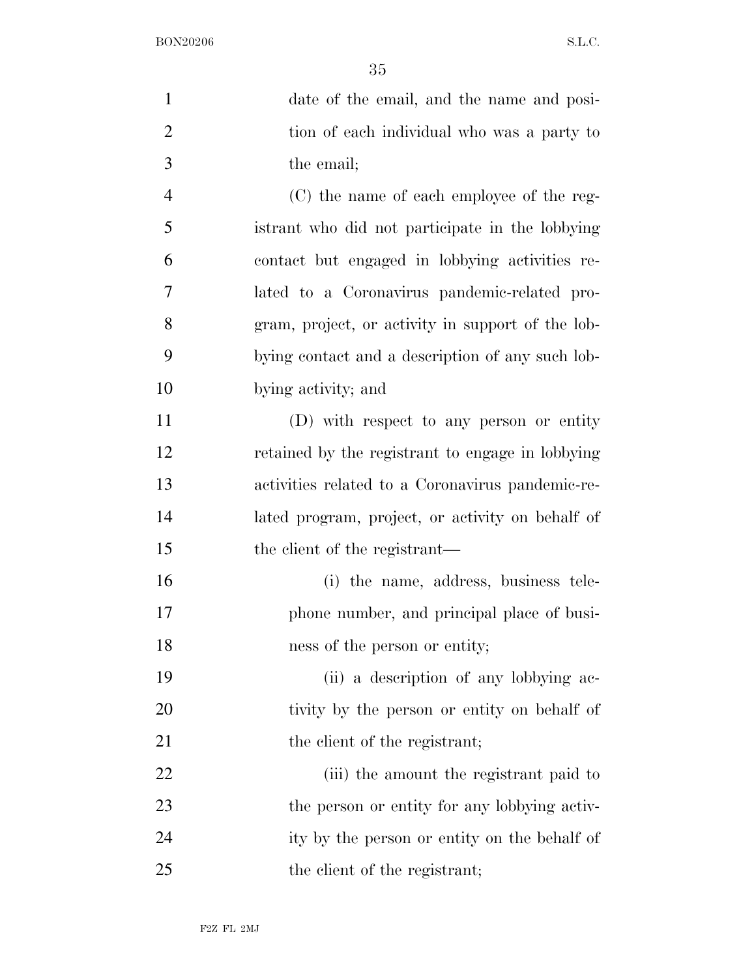| $\mathbf{1}$   | date of the email, and the name and posi-         |
|----------------|---------------------------------------------------|
| $\overline{2}$ | tion of each individual who was a party to        |
| 3              | the email;                                        |
| $\overline{4}$ | (C) the name of each employee of the reg-         |
| 5              | istrant who did not participate in the lobbying   |
| 6              | contact but engaged in lobbying activities re-    |
| 7              | lated to a Coronavirus pandemic-related pro-      |
| 8              | gram, project, or activity in support of the lob- |
| 9              | bying contact and a description of any such lob-  |
| 10             | bying activity; and                               |
| 11             | (D) with respect to any person or entity          |
| 12             | retained by the registrant to engage in lobbying  |
| 13             | activities related to a Coronavirus pandemic-re-  |
| 14             | lated program, project, or activity on behalf of  |
| 15             | the client of the registrant—                     |
| 16             | (i) the name, address, business tele-             |
| 17             | phone number, and principal place of busi-        |
| 18             | ness of the person or entity;                     |
| 19             | (ii) a description of any lobbying ac-            |
| 20             | tivity by the person or entity on behalf of       |
| 21             | the client of the registrant;                     |
| 22             | (iii) the amount the registrant paid to           |
| 23             | the person or entity for any lobbying activ-      |
| 24             | ity by the person or entity on the behalf of      |
| 25             | the client of the registrant;                     |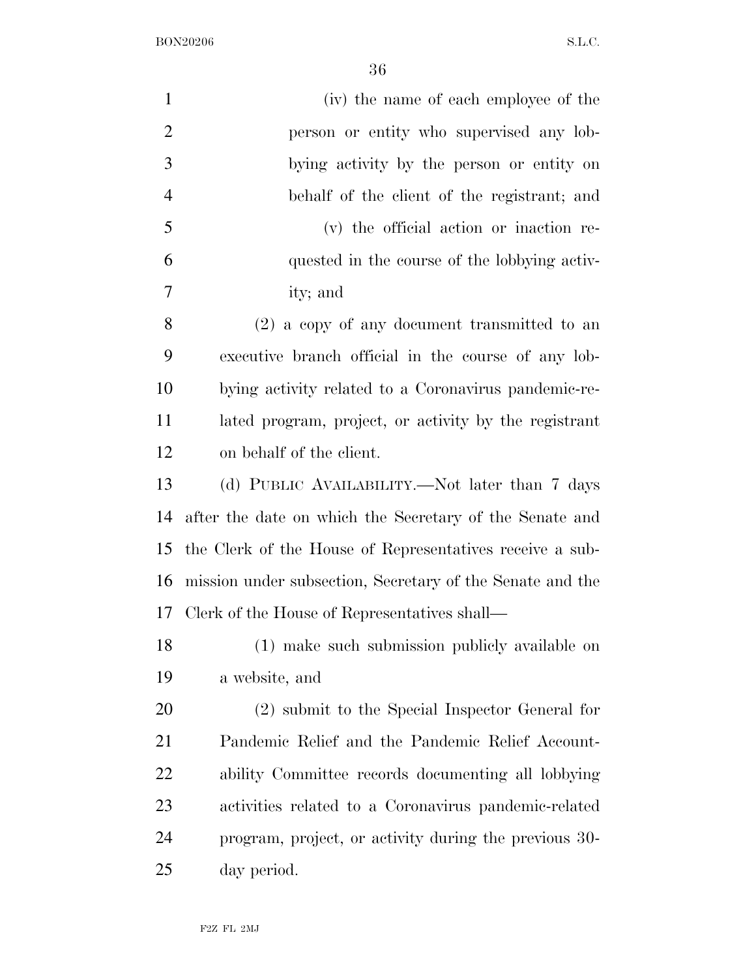| $\mathbf{1}$   | (iv) the name of each employee of the                     |
|----------------|-----------------------------------------------------------|
| $\overline{2}$ | person or entity who supervised any lob-                  |
| 3              | bying activity by the person or entity on                 |
| $\overline{4}$ | behalf of the client of the registrant; and               |
| 5              | (v) the official action or inaction re-                   |
| 6              | quested in the course of the lobbying activ-              |
| 7              | ity; and                                                  |
| 8              | $(2)$ a copy of any document transmitted to an            |
| 9              | executive branch official in the course of any lob-       |
| 10             | bying activity related to a Coronavirus pandemic-re-      |
| 11             | lated program, project, or activity by the registrant     |
| 12             | on behalf of the client.                                  |
| 13             | (d) PUBLIC AVAILABILITY.—Not later than 7 days            |
| 14             | after the date on which the Secretary of the Senate and   |
| 15             | the Clerk of the House of Representatives receive a sub-  |
| 16             | mission under subsection, Secretary of the Senate and the |
| 17             | Clerk of the House of Representatives shall—              |
| 18             | (1) make such submission publicly available on            |
| 19             | a website, and                                            |
| 20             | (2) submit to the Special Inspector General for           |
| 21             | Pandemic Relief and the Pandemic Relief Account-          |
| 22             | ability Committee records documenting all lobbying        |
| 23             | activities related to a Coronavirus pandemic-related      |
| 24             | program, project, or activity during the previous 30-     |
| 25             | day period.                                               |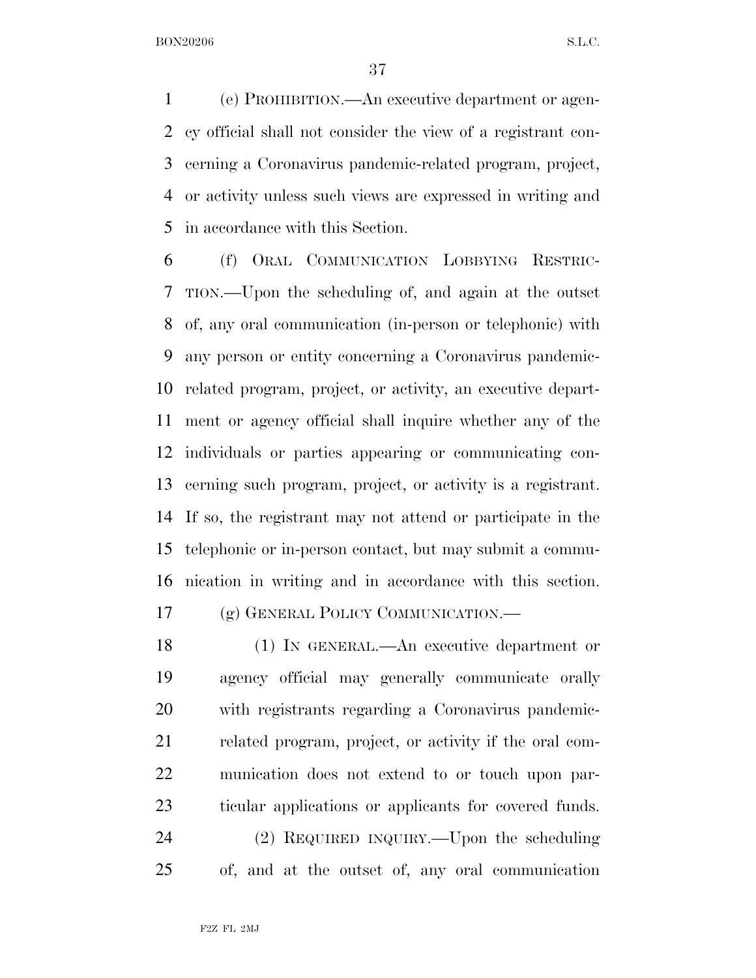(e) PROHIBITION.—An executive department or agen- cy official shall not consider the view of a registrant con- cerning a Coronavirus pandemic-related program, project, or activity unless such views are expressed in writing and in accordance with this Section.

 (f) ORAL COMMUNICATION LOBBYING RESTRIC- TION.—Upon the scheduling of, and again at the outset of, any oral communication (in-person or telephonic) with any person or entity concerning a Coronavirus pandemic- related program, project, or activity, an executive depart- ment or agency official shall inquire whether any of the individuals or parties appearing or communicating con- cerning such program, project, or activity is a registrant. If so, the registrant may not attend or participate in the telephonic or in-person contact, but may submit a commu-nication in writing and in accordance with this section.

(g) GENERAL POLICY COMMUNICATION.—

 (1) IN GENERAL.—An executive department or agency official may generally communicate orally with registrants regarding a Coronavirus pandemic- related program, project, or activity if the oral com- munication does not extend to or touch upon par-ticular applications or applicants for covered funds.

 (2) REQUIRED INQUIRY.—Upon the scheduling of, and at the outset of, any oral communication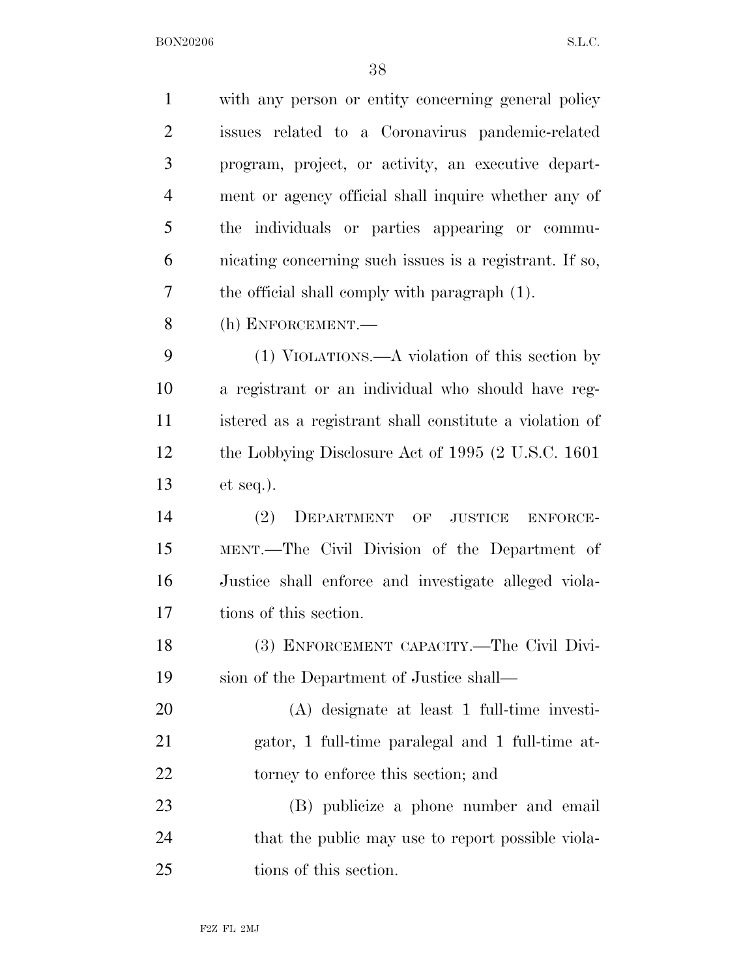| $\mathbf{1}$   | with any person or entity concerning general policy     |
|----------------|---------------------------------------------------------|
| $\overline{2}$ | issues related to a Coronavirus pandemic-related        |
| 3              | program, project, or activity, an executive depart-     |
| $\overline{4}$ | ment or agency official shall inquire whether any of    |
| 5              | the individuals or parties appearing or commu-          |
| 6              | nicating concerning such issues is a registrant. If so, |
| 7              | the official shall comply with paragraph (1).           |
| 8              | (h) ENFORCEMENT.-                                       |
| 9              | $(1)$ VIOLATIONS.—A violation of this section by        |
| 10             | a registrant or an individual who should have reg-      |
| 11             | istered as a registrant shall constitute a violation of |
| 12             | the Lobbying Disclosure Act of 1995 (2 U.S.C. 1601)     |
| 13             | $et seq.$ ).                                            |
| 14             | (2)<br>DEPARTMENT OF JUSTICE<br>ENFORCE-                |
| 15             | MENT.—The Civil Division of the Department of           |
| 16             | Justice shall enforce and investigate alleged viola-    |
| 17             | tions of this section.                                  |
| 18             | (3) ENFORCEMENT CAPACITY.-The Civil Divi-               |
| 19             | sion of the Department of Justice shall—                |
| 20             | $(A)$ designate at least 1 full-time investi-           |
| 21             | gator, 1 full-time paralegal and 1 full-time at-        |
| 22             | torney to enforce this section; and                     |
| 23             | (B) publicize a phone number and email                  |
| 24             | that the public may use to report possible viola-       |
| 25             | tions of this section.                                  |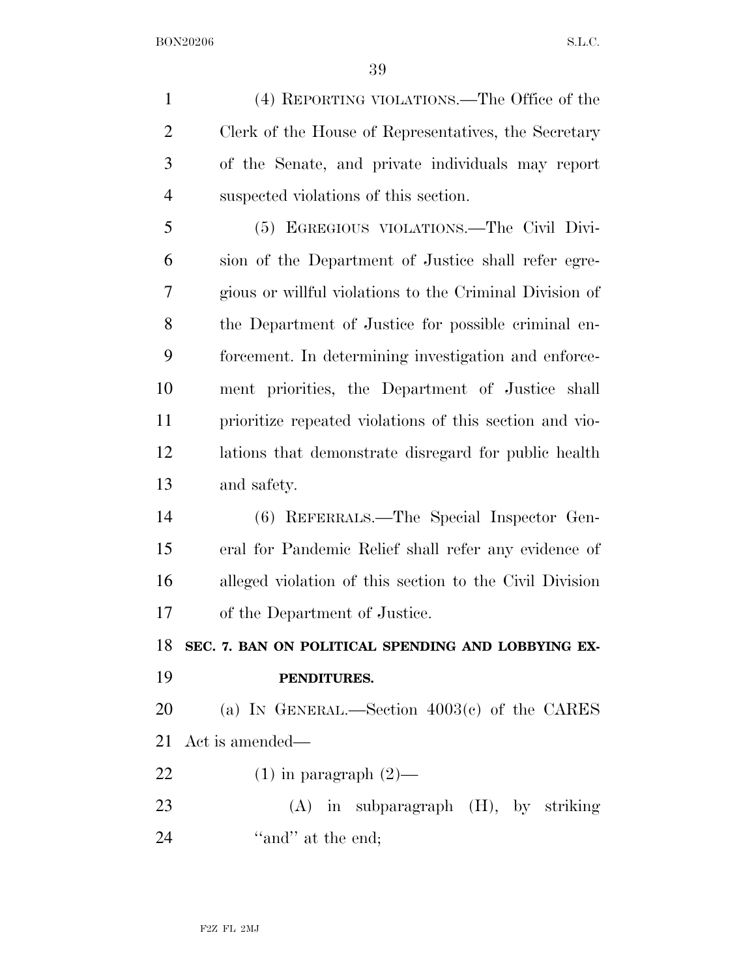(4) REPORTING VIOLATIONS.—The Office of the Clerk of the House of Representatives, the Secretary of the Senate, and private individuals may report suspected violations of this section. (5) EGREGIOUS VIOLATIONS.—The Civil Divi- sion of the Department of Justice shall refer egre- gious or willful violations to the Criminal Division of the Department of Justice for possible criminal en- forcement. In determining investigation and enforce- ment priorities, the Department of Justice shall prioritize repeated violations of this section and vio- lations that demonstrate disregard for public health and safety. (6) REFERRALS.—The Special Inspector Gen-eral for Pandemic Relief shall refer any evidence of

 alleged violation of this section to the Civil Division of the Department of Justice.

**SEC. 7. BAN ON POLITICAL SPENDING AND LOBBYING EX-**

**PENDITURES.** 

 (a) IN GENERAL.—Section 4003(c) of the CARES Act is amended—

22  $(1)$  in paragraph  $(2)$ —

 (A) in subparagraph (H), by striking 24 "and" at the end;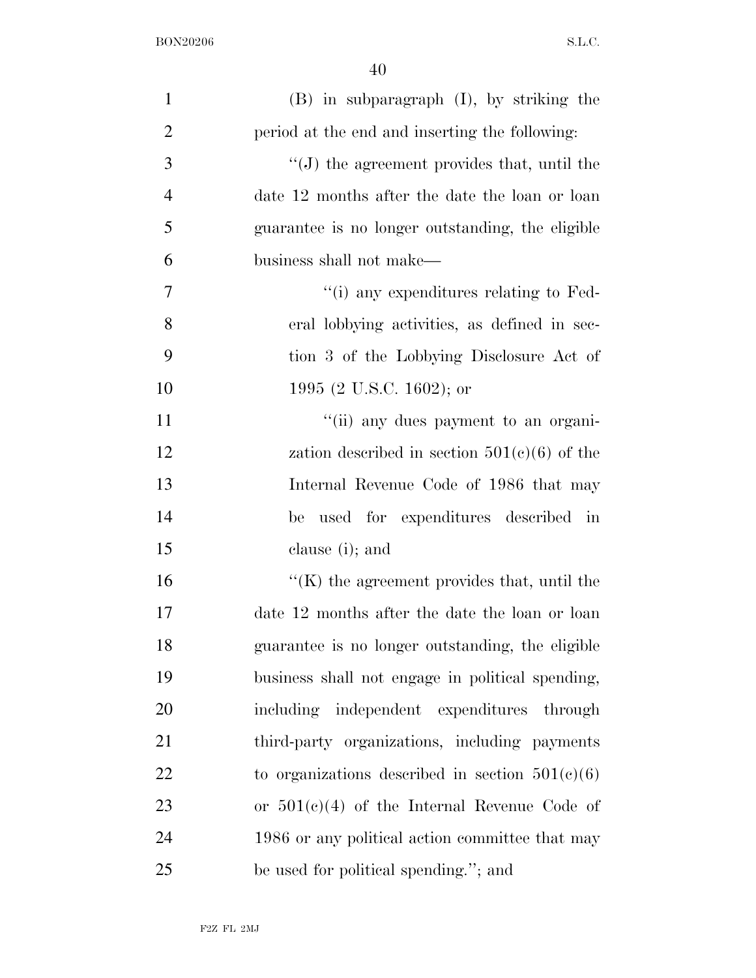| $\mathbf{1}$   | $(B)$ in subparagraph $(I)$ , by striking the       |
|----------------|-----------------------------------------------------|
| $\overline{2}$ | period at the end and inserting the following:      |
| 3              | $\lq\lq(J)$ the agreement provides that, until the  |
| $\overline{4}$ | date 12 months after the date the loan or loan      |
| 5              | guarantee is no longer outstanding, the eligible    |
| 6              | business shall not make—                            |
| 7              | $\lq\lq$ (i) any expenditures relating to Fed-      |
| 8              | eral lobbying activities, as defined in sec-        |
| 9              | tion 3 of the Lobbying Disclosure Act of            |
| 10             | 1995 (2 U.S.C. 1602); or                            |
| 11             | "(ii) any dues payment to an organi-                |
| 12             | zation described in section $501(c)(6)$ of the      |
| 13             | Internal Revenue Code of 1986 that may              |
| 14             | be used for expenditures described in               |
| 15             | clause (i); and                                     |
| 16             | $\lq\lq$ (K) the agreement provides that, until the |
| 17             | date 12 months after the date the loan or loan      |
| 18             | guarantee is no longer outstanding, the eligible    |
| 19             | business shall not engage in political spending,    |
| 20             | including independent expenditures through          |
| 21             | third-party organizations, including payments       |
| 22             | to organizations described in section $501(c)(6)$   |
| 23             | or $501(c)(4)$ of the Internal Revenue Code of      |
| 24             | 1986 or any political action committee that may     |
| 25             | be used for political spending."; and               |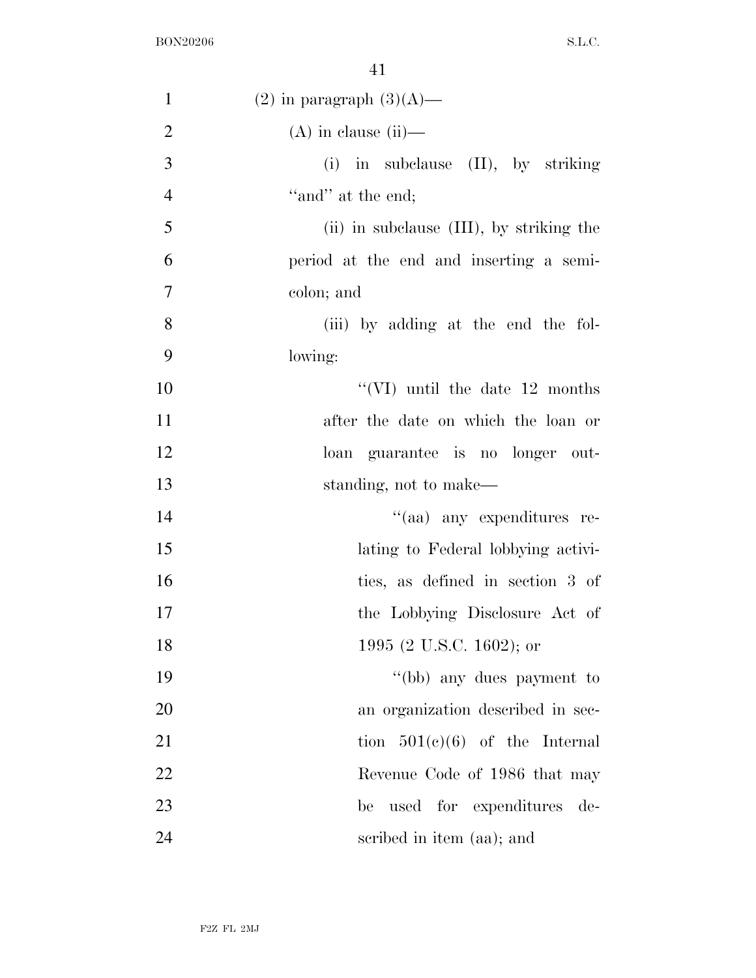| $\mathbf{1}$   | $(2)$ in paragraph $(3)(A)$ —            |
|----------------|------------------------------------------|
| $\overline{2}$ | $(A)$ in clause (ii)-                    |
| 3              | (i) in subclause (II), by striking       |
| $\overline{4}$ | "and" at the end;                        |
| 5              | (ii) in subclause (III), by striking the |
| 6              | period at the end and inserting a semi-  |
| $\tau$         | colon; and                               |
| 8              | (iii) by adding at the end the fol-      |
| 9              | lowing:                                  |
| 10             | "(VI) until the date $12$ months         |
| 11             | after the date on which the loan or      |
| 12             | loan guarantee is no longer out-         |
| 13             | standing, not to make—                   |
| 14             | "(aa) any expenditures re-               |
| 15             | lating to Federal lobbying activi-       |
| 16             | ties, as defined in section 3 of         |
| 17             | the Lobbying Disclosure Act of           |
| 18             | 1995 (2 U.S.C. 1602); or                 |
| 19             | "(bb) any dues payment to                |
| 20             | an organization described in sec-        |
| 21             | tion $501(e)(6)$ of the Internal         |
| 22             | Revenue Code of 1986 that may            |
| 23             | used for expenditures<br>be<br>de-       |
| 24             | scribed in item (aa); and                |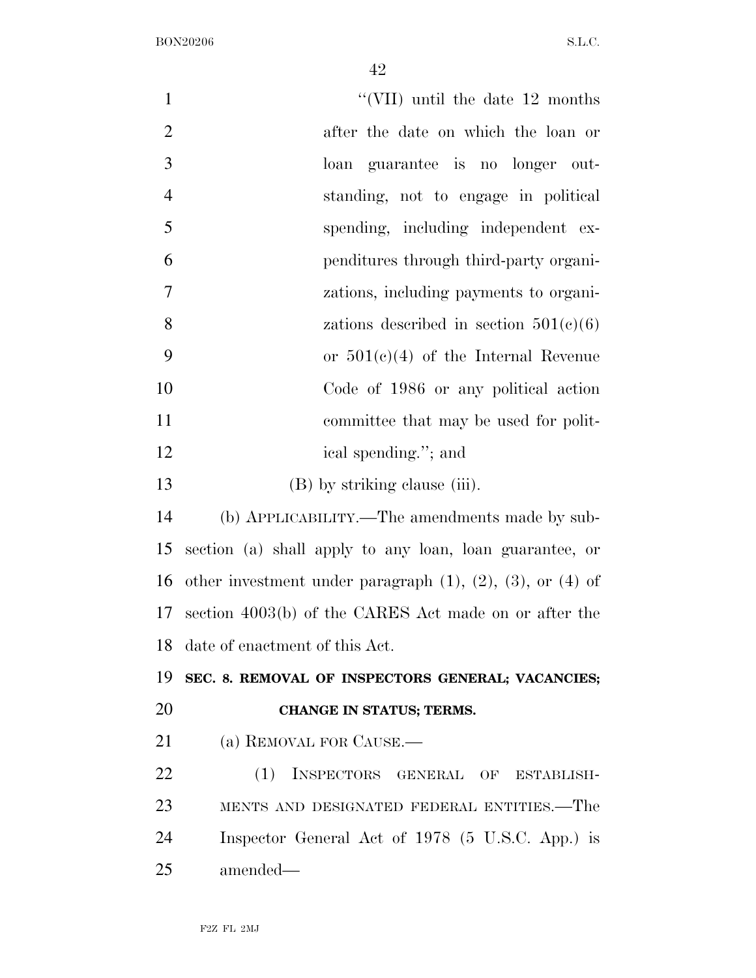| $\mathbf{1}$   | "(VII) until the date $12$ months                                    |
|----------------|----------------------------------------------------------------------|
| $\overline{2}$ | after the date on which the loan or                                  |
| 3              | loan guarantee is no longer out-                                     |
| $\overline{4}$ | standing, not to engage in political                                 |
| 5              | spending, including independent ex-                                  |
| 6              | penditures through third-party organi-                               |
| 7              | zations, including payments to organi-                               |
| 8              | zations described in section $501(c)(6)$                             |
| 9              | or $501(e)(4)$ of the Internal Revenue                               |
| 10             | Code of 1986 or any political action                                 |
| 11             | committee that may be used for polit-                                |
| 12             | ical spending."; and                                                 |
| 13             | (B) by striking clause (iii).                                        |
| 14             | (b) APPLICABILITY.—The amendments made by sub-                       |
| 15             | section (a) shall apply to any loan, loan guarantee, or              |
| 16             | other investment under paragraph $(1)$ , $(2)$ , $(3)$ , or $(4)$ of |
| 17             | section 4003(b) of the CARES Act made on or after the                |
|                | 18 date of enactment of this Act.                                    |
| 19             | SEC. 8. REMOVAL OF INSPECTORS GENERAL; VACANCIES;                    |
| 20             | CHANGE IN STATUS; TERMS.                                             |
| 21             | (a) REMOVAL FOR CAUSE.                                               |
| 22             | INSPECTORS GENERAL OF ESTABLISH-<br>(1)                              |
| 23             | MENTS AND DESIGNATED FEDERAL ENTITIES.—The                           |
| 24             | Inspector General Act of 1978 (5 U.S.C. App.) is                     |
| 25             | amended—                                                             |
|                |                                                                      |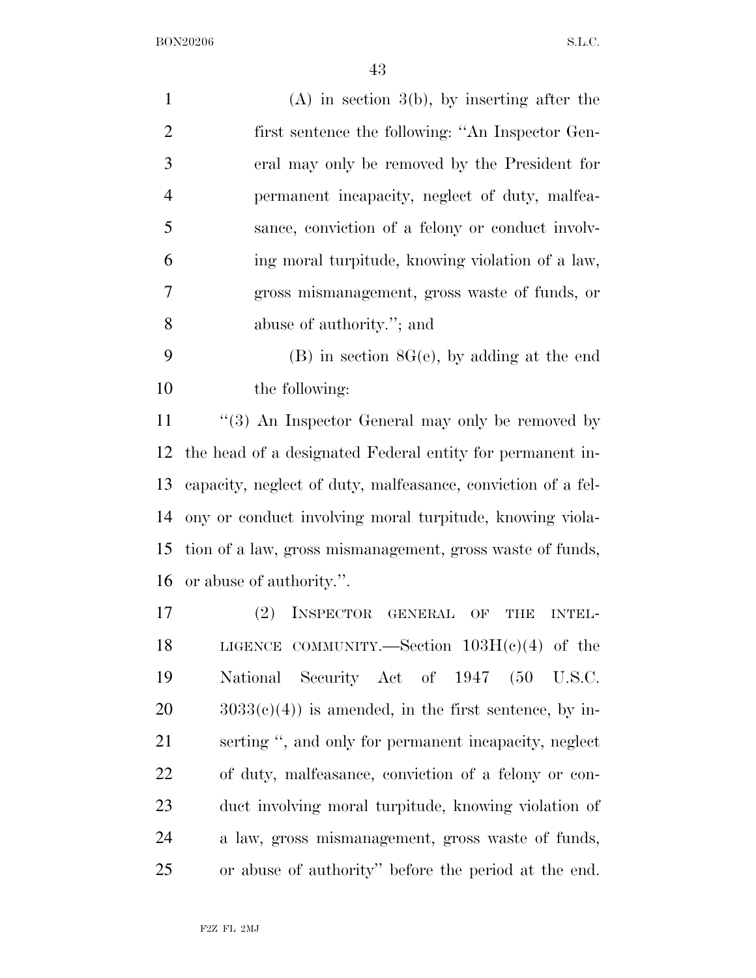|                | Ŧ9                                                           |
|----------------|--------------------------------------------------------------|
| $\mathbf{1}$   | $(A)$ in section 3(b), by inserting after the                |
| $\overline{2}$ | first sentence the following: "An Inspector Gen-             |
| 3              | eral may only be removed by the President for                |
| $\overline{4}$ | permanent incapacity, neglect of duty, malfea-               |
| 5              | sance, conviction of a felony or conduct involv-             |
| 6              | ing moral turpitude, knowing violation of a law,             |
| 7              | gross mismanagement, gross waste of funds, or                |
| 8              | abuse of authority."; and                                    |
| 9              | $(B)$ in section $8G(e)$ , by adding at the end              |
| 10             | the following:                                               |
| 11             | " $(3)$ An Inspector General may only be removed by          |
| 12             | the head of a designated Federal entity for permanent in-    |
| 13             | capacity, neglect of duty, malfeasance, conviction of a fel- |
| 14             | ony or conduct involving moral turpitude, knowing viola-     |
| 15             | tion of a law, gross mismanagement, gross waste of funds,    |
| 16             | or abuse of authority.".                                     |
| 17             | INSPECTOR<br>(2)<br>GENERAL<br>OF<br>THE<br><b>INTEL-</b>    |
| 18             | LIGENCE COMMUNITY.—Section $103H(e)(4)$ of the               |
| 19             | National Security Act of 1947 (50 U.S.C.                     |
| 20             | $3033(c)(4)$ is amended, in the first sentence, by in-       |
| 21             | serting ", and only for permanent incapacity, neglect        |
| 22             | of duty, malfeasance, conviction of a felony or con-         |
| 23             | duct involving moral turpitude, knowing violation of         |
| 24             | a law, gross mismanagement, gross waste of funds,            |

or abuse of authority'' before the period at the end.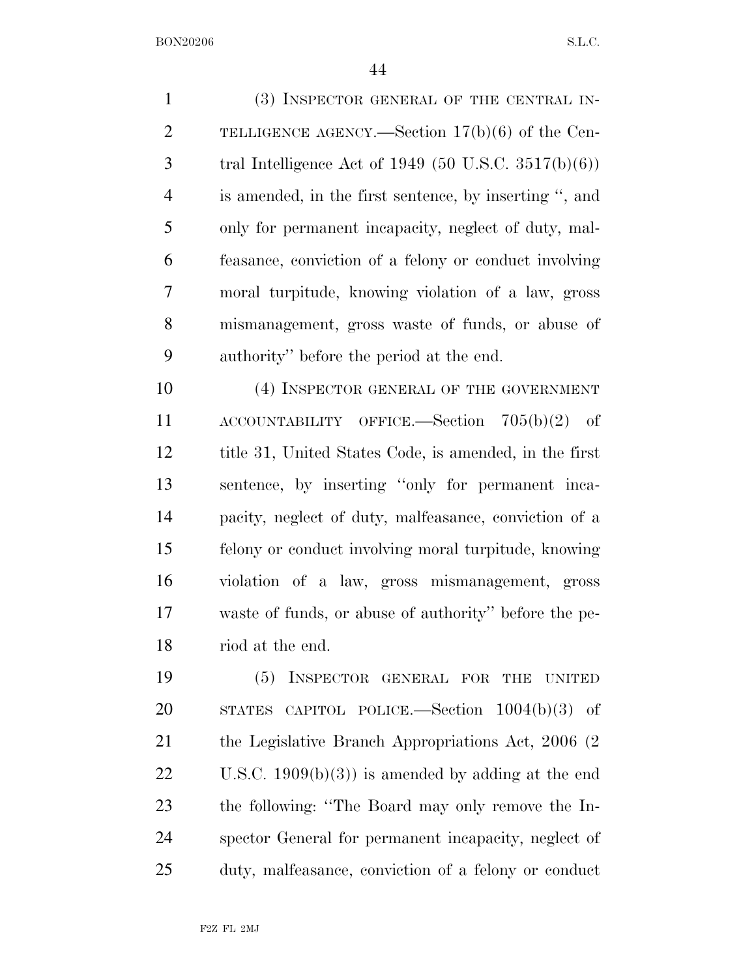(3) INSPECTOR GENERAL OF THE CENTRAL IN- TELLIGENCE AGENCY.—Section 17(b)(6) of the Cen-3 tral Intelligence Act of  $1949 (50 \text{ U.S.C. } 3517(b)(6))$  is amended, in the first sentence, by inserting '', and only for permanent incapacity, neglect of duty, mal- feasance, conviction of a felony or conduct involving moral turpitude, knowing violation of a law, gross mismanagement, gross waste of funds, or abuse of authority'' before the period at the end.

10 (4) INSPECTOR GENERAL OF THE GOVERNMENT ACCOUNTABILITY OFFICE.—Section 705(b)(2) of title 31, United States Code, is amended, in the first sentence, by inserting ''only for permanent inca- pacity, neglect of duty, malfeasance, conviction of a felony or conduct involving moral turpitude, knowing violation of a law, gross mismanagement, gross waste of funds, or abuse of authority'' before the pe-riod at the end.

 (5) INSPECTOR GENERAL FOR THE UNITED STATES CAPITOL POLICE.—Section 1004(b)(3) of 21 the Legislative Branch Appropriations Act, 2006 (2) U.S.C. 1909(b)(3)) is amended by adding at the end the following: ''The Board may only remove the In- spector General for permanent incapacity, neglect of duty, malfeasance, conviction of a felony or conduct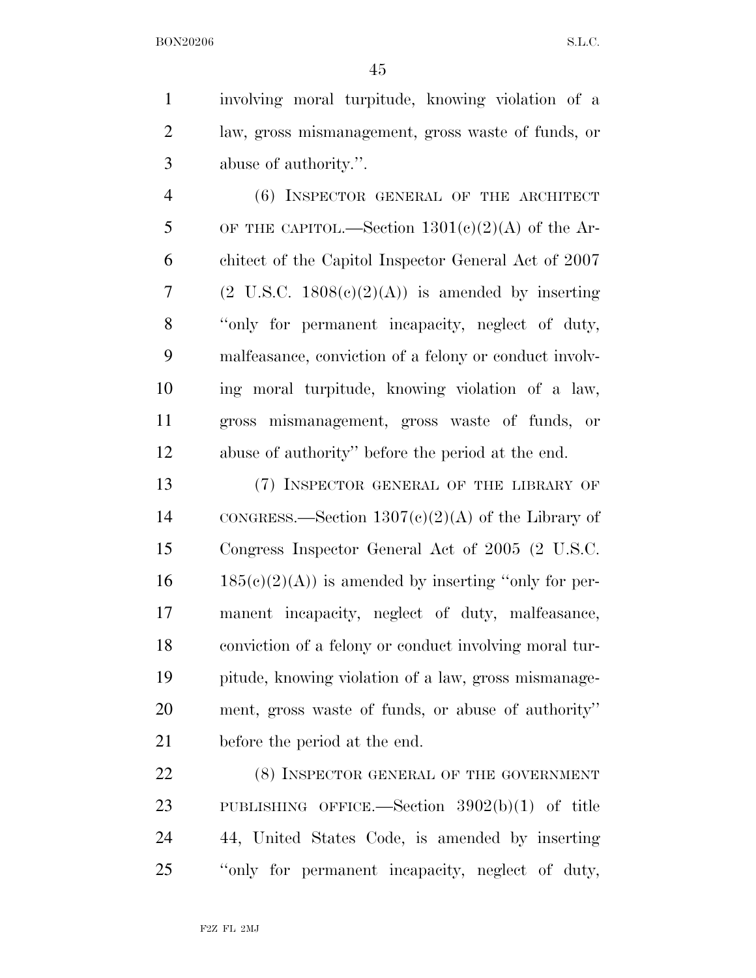involving moral turpitude, knowing violation of a law, gross mismanagement, gross waste of funds, or abuse of authority.''.

 (6) INSPECTOR GENERAL OF THE ARCHITECT 5 OF THE CAPITOL.—Section  $1301(c)(2)(A)$  of the Ar- chitect of the Capitol Inspector General Act of 2007 7 (2 U.S.C.  $1808(c)(2)(A)$ ) is amended by inserting ''only for permanent incapacity, neglect of duty, malfeasance, conviction of a felony or conduct involv- ing moral turpitude, knowing violation of a law, gross mismanagement, gross waste of funds, or abuse of authority'' before the period at the end.

 (7) INSPECTOR GENERAL OF THE LIBRARY OF 14 CONGRESS.—Section  $1307(c)(2)(A)$  of the Library of Congress Inspector General Act of 2005 (2 U.S.C.  $16 \qquad 185(c)(2)(A)$  is amended by inserting "only for per- manent incapacity, neglect of duty, malfeasance, conviction of a felony or conduct involving moral tur- pitude, knowing violation of a law, gross mismanage- ment, gross waste of funds, or abuse of authority'' before the period at the end.

22 (8) INSPECTOR GENERAL OF THE GOVERNMENT PUBLISHING OFFICE.—Section 3902(b)(1) of title 44, United States Code, is amended by inserting ''only for permanent incapacity, neglect of duty,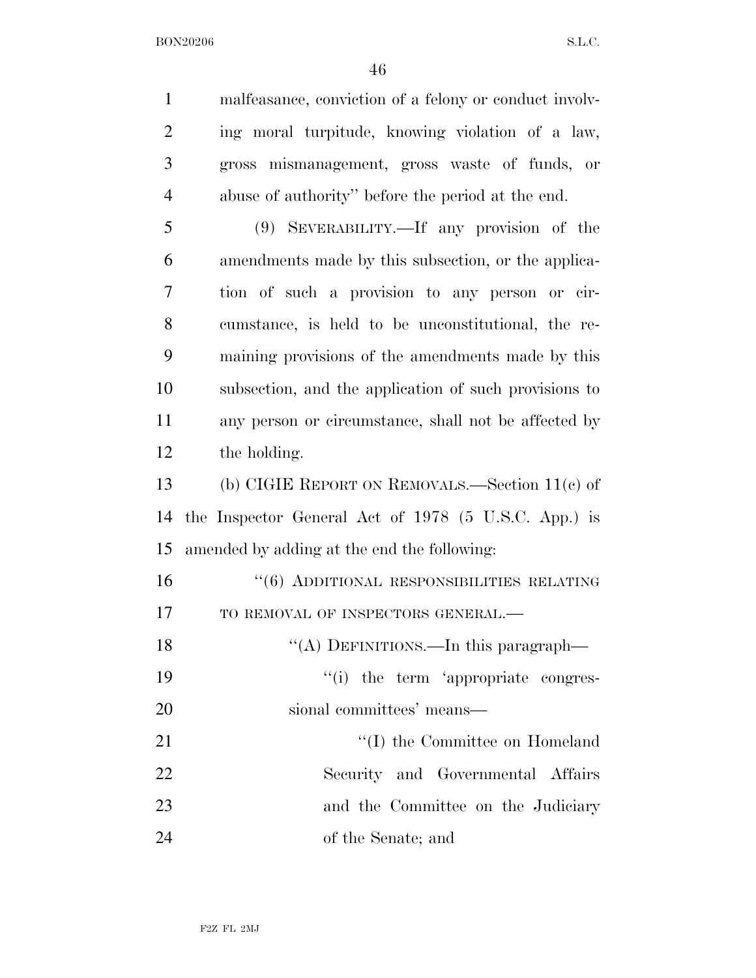malfeasance, conviction of a felony or conduct involv- ing moral turpitude, knowing violation of a law, gross mismanagement, gross waste of funds, or abuse of authority'' before the period at the end. (9) SEVERABILITY.—If any provision of the amendments made by this subsection, or the applica- tion of such a provision to any person or cir- cumstance, is held to be unconstitutional, the re- maining provisions of the amendments made by this subsection, and the application of such provisions to any person or circumstance, shall not be affected by the holding. (b) CIGIE REPORT ON REMOVALS.—Section 11(c) of the Inspector General Act of 1978 (5 U.S.C. App.) is amended by adding at the end the following: ''(6) ADDITIONAL RESPONSIBILITIES RELATING 17 TO REMOVAL OF INSPECTORS GENERAL.— 18 "(A) DEFINITIONS.—In this paragraph—  $\cdot$  (i) the term 'appropriate congres- sional committees' means— 21 ''(I) the Committee on Homeland Security and Governmental Affairs 23 and the Committee on the Judiciary of the Senate; and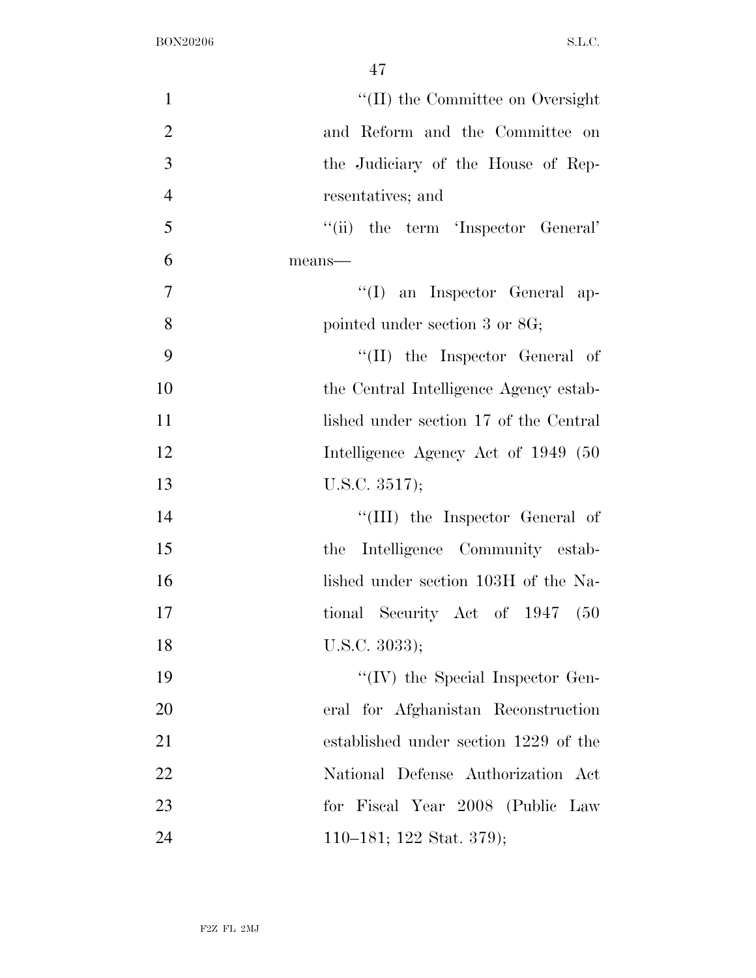| $\mathbf{1}$   | $\lq\lq$ (II) the Committee on Oversight |
|----------------|------------------------------------------|
| $\overline{2}$ | and Reform and the Committee on          |
| 3              | the Judiciary of the House of Rep-       |
| $\overline{4}$ | resentatives; and                        |
| 5              | "(ii) the term 'Inspector General'       |
| 6              | means-                                   |
| $\tau$         | "(I) an Inspector General ap-            |
| 8              | pointed under section 3 or 8G;           |
| 9              | $\lq\lq$ (II) the Inspector General of   |
| 10             | the Central Intelligence Agency estab-   |
| 11             | lished under section 17 of the Central   |
| 12             | Intelligence Agency Act of 1949 (50      |
| 13             | U.S.C. 3517);                            |
| 14             | "(III) the Inspector General of          |
| 15             | Intelligence Community estab-<br>the     |
| 16             | lished under section 103H of the Na-     |
| 17             | tional Security Act of 1947<br>(50)      |
| 18             | U.S.C. $3033$ );                         |
| 19             | $\lq\lq$ (IV) the Special Inspector Gen- |
| 20             | eral for Afghanistan Reconstruction      |
| 21             | established under section 1229 of the    |
| 22             | National Defense Authorization Act       |
| 23             | for Fiscal Year 2008 (Public Law         |
| 24             | 110–181; 122 Stat. 379);                 |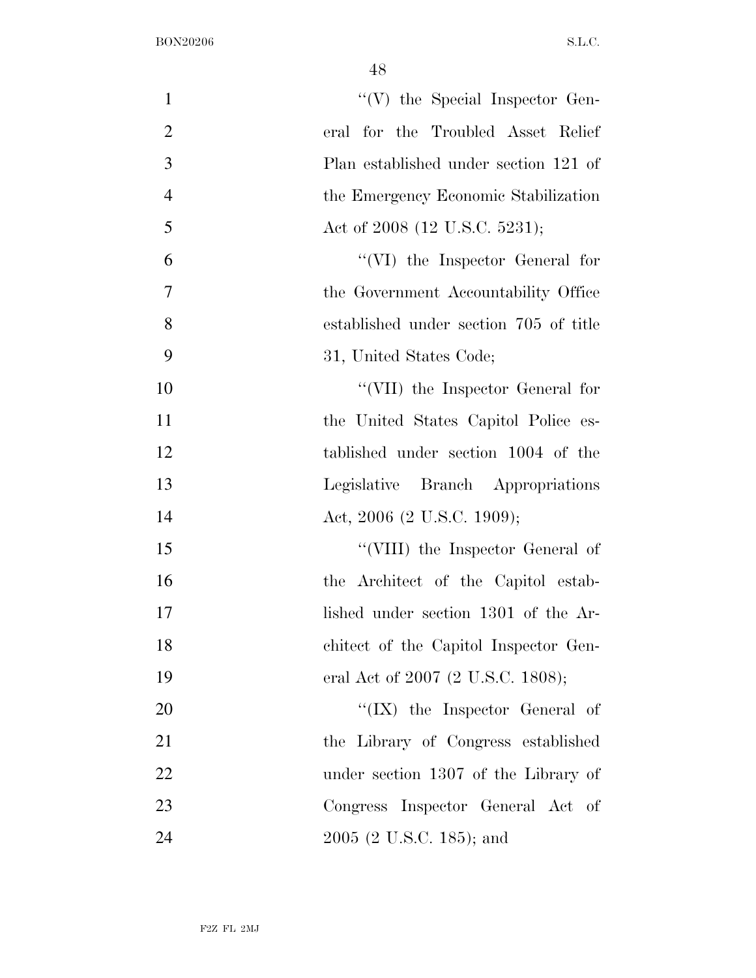| $\mathbf{1}$   | $\lq\lq(V)$ the Special Inspector Gen- |
|----------------|----------------------------------------|
| $\overline{2}$ | eral for the Troubled Asset Relief     |
| 3              | Plan established under section 121 of  |
| $\overline{4}$ | the Emergency Economic Stabilization   |
| 5              | Act of 2008 (12 U.S.C. 5231);          |
| 6              | "(VI) the Inspector General for        |
| $\tau$         | the Government Accountability Office   |
| 8              | established under section 705 of title |
| 9              | 31, United States Code;                |
| 10             | "(VII) the Inspector General for       |
| 11             | the United States Capitol Police es-   |
| 12             | tablished under section 1004 of the    |
| 13             | Legislative Branch Appropriations      |
| 14             | Act, 2006 (2 U.S.C. 1909);             |
| 15             | "(VIII) the Inspector General of       |
| 16             | the Architect of the Capitol estab-    |
| 17             | lished under section 1301 of the Ar-   |
| 18             | chitect of the Capitol Inspector Gen-  |
| 19             | eral Act of 2007 (2 U.S.C. 1808);      |
| 20             | $\lq\lq$ (IX) the Inspector General of |
| 21             | the Library of Congress established    |
| 22             | under section 1307 of the Library of   |
| 23             | Congress Inspector General Act of      |
| 24             | 2005 (2 U.S.C. 185); and               |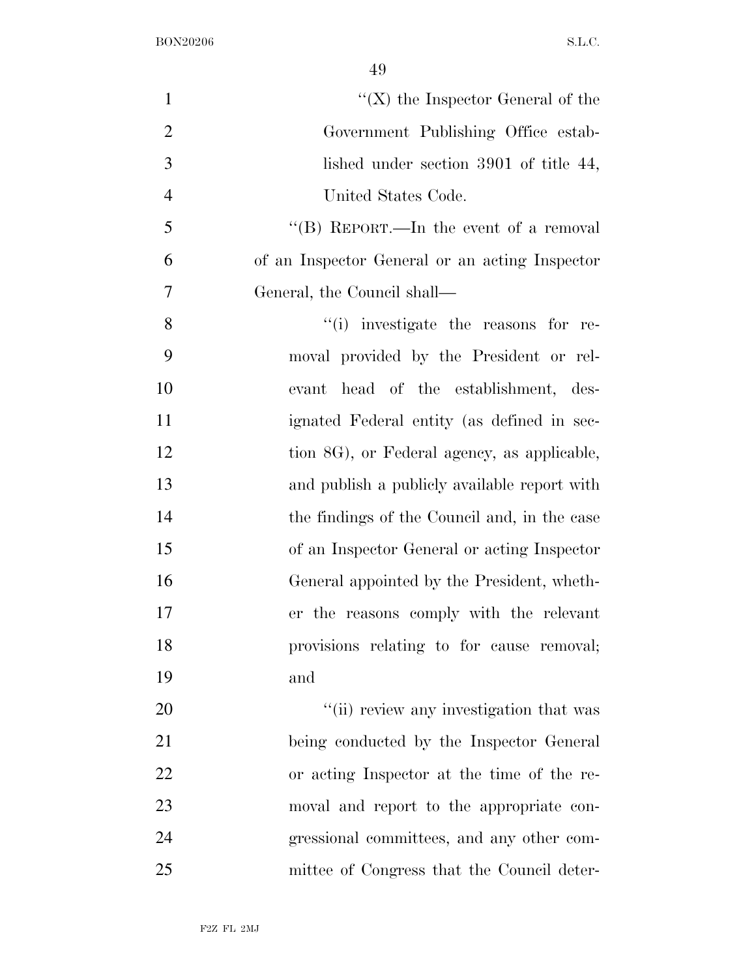| $\mathbf{1}$   | $\lq\lq (X)$ the Inspector General of the      |
|----------------|------------------------------------------------|
| $\overline{2}$ | Government Publishing Office estab-            |
| 3              | lished under section 3901 of title 44,         |
| $\overline{4}$ | United States Code.                            |
| 5              | "(B) REPORT.—In the event of a removal         |
| 6              | of an Inspector General or an acting Inspector |
| 7              | General, the Council shall—                    |
| 8              | "(i) investigate the reasons for re-           |
| 9              | moval provided by the President or rel-        |
| 10             | head of the establishment, des-<br>evant       |
| 11             | ignated Federal entity (as defined in sec-     |
| 12             | tion 8G), or Federal agency, as applicable,    |
| 13             | and publish a publicly available report with   |
| 14             | the findings of the Council and, in the case   |
| 15             | of an Inspector General or acting Inspector    |
| 16             | General appointed by the President, wheth-     |
| 17             | er the reasons comply with the relevant        |
| 18             | provisions relating to for cause removal;      |
| 19             | and                                            |
| 20             | "(ii) review any investigation that was        |
| 21             | being conducted by the Inspector General       |
| 22             | or acting Inspector at the time of the re-     |
| 23             | moval and report to the appropriate con-       |
| 24             | gressional committees, and any other com-      |
| 25             | mittee of Congress that the Council deter-     |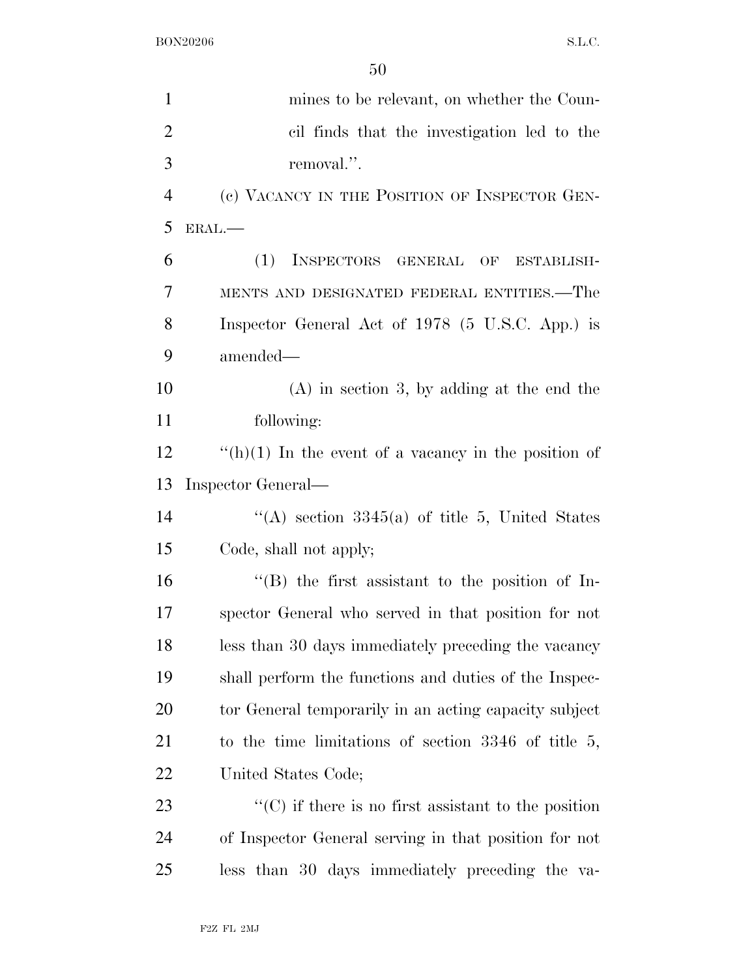| $\mathbf{1}$   | mines to be relevant, on whether the Coun-                  |
|----------------|-------------------------------------------------------------|
| $\overline{2}$ | cil finds that the investigation led to the                 |
| 3              | removal.".                                                  |
| $\overline{4}$ | (c) VACANCY IN THE POSITION OF INSPECTOR GEN-               |
| 5              | ERAL.                                                       |
| 6              | (1)<br>INSPECTORS GENERAL<br>OF<br>ESTABLISH-               |
| 7              | MENTS AND DESIGNATED FEDERAL ENTITIES.—The                  |
| 8              | Inspector General Act of 1978 (5 U.S.C. App.) is            |
| 9              | amended—                                                    |
| 10             | $(A)$ in section 3, by adding at the end the                |
| 11             | following:                                                  |
| 12             | "(h)(1) In the event of a vacancy in the position of        |
| 13             | Inspector General-                                          |
| 14             | "(A) section $3345(a)$ of title 5, United States            |
| 15             | Code, shall not apply;                                      |
| 16             | $\lq$ (B) the first assistant to the position of In-        |
| 17             | spector General who served in that position for not         |
| 18             | less than 30 days immediately preceding the vacancy         |
| 19             | shall perform the functions and duties of the Inspec-       |
| 20             | tor General temporarily in an acting capacity subject       |
| 21             | to the time limitations of section $3346$ of title 5,       |
| 22             | United States Code;                                         |
| 23             | $\lq\lq$ (C) if there is no first assistant to the position |
| 24             | of Inspector General serving in that position for not       |
| 25             | less than 30 days immediately preceding the va-             |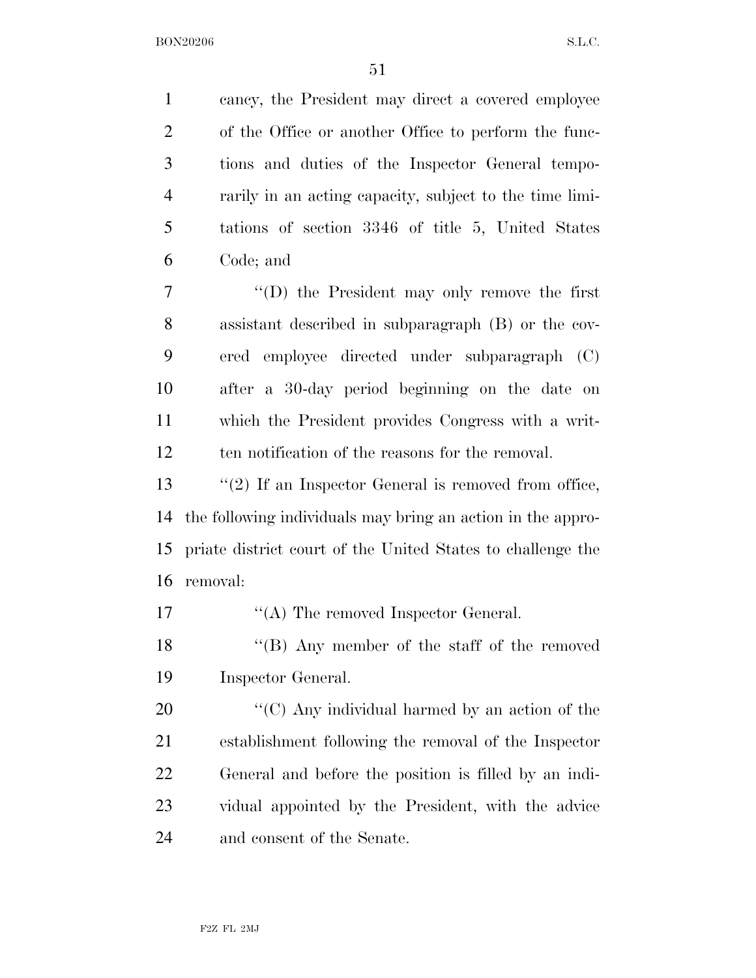cancy, the President may direct a covered employee of the Office or another Office to perform the func- tions and duties of the Inspector General tempo- rarily in an acting capacity, subject to the time limi- tations of section 3346 of title 5, United States Code; and ''(D) the President may only remove the first assistant described in subparagraph (B) or the cov- ered employee directed under subparagraph (C) after a 30-day period beginning on the date on which the President provides Congress with a writ- ten notification of the reasons for the removal. 13 ''(2) If an Inspector General is removed from office, the following individuals may bring an action in the appro- priate district court of the United States to challenge the removal: 17 ''(A) The removed Inspector General.

18 ''(B) Any member of the staff of the removed Inspector General.

 $\langle ^{\prime}(C) \rangle$  Any individual harmed by an action of the establishment following the removal of the Inspector General and before the position is filled by an indi- vidual appointed by the President, with the advice and consent of the Senate.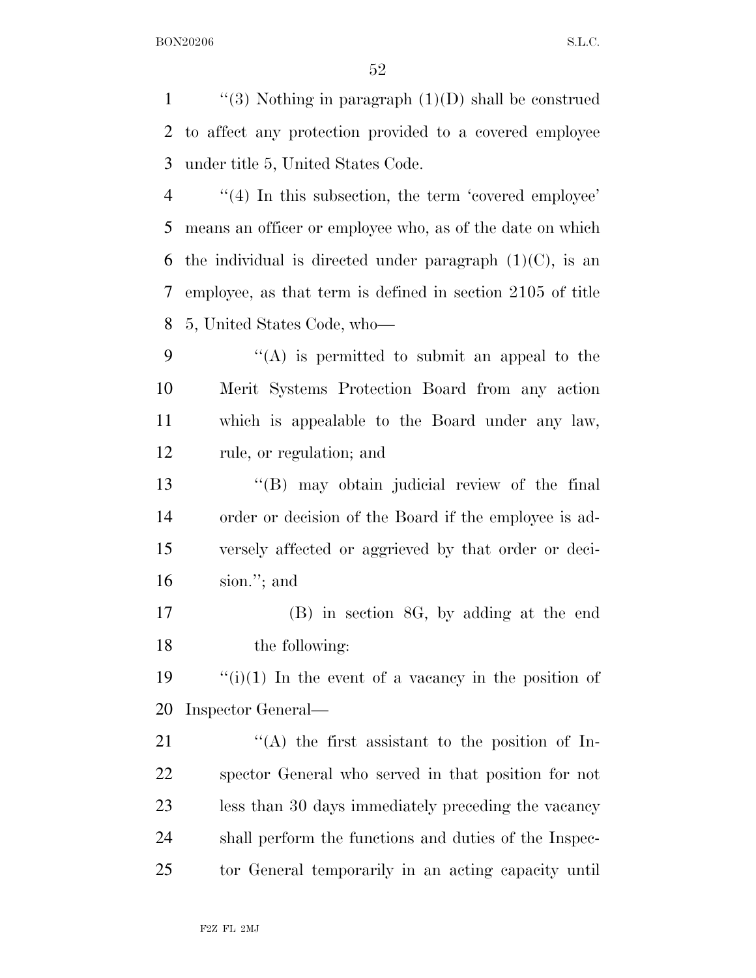$\frac{1}{2}$  (3) Nothing in paragraph (1)(D) shall be construed to affect any protection provided to a covered employee under title 5, United States Code. 4 "(4) In this subsection, the term 'covered employee' means an officer or employee who, as of the date on which 6 the individual is directed under paragraph  $(1)(C)$ , is an employee, as that term is defined in section 2105 of title 5, United States Code, who—  $\langle (A)$  is permitted to submit an appeal to the Merit Systems Protection Board from any action which is appealable to the Board under any law, rule, or regulation; and ''(B) may obtain judicial review of the final order or decision of the Board if the employee is ad- versely affected or aggrieved by that order or deci- sion.''; and (B) in section 8G, by adding at the end the following:  $\frac{1}{2}$  (i)(1) In the event of a vacancy in the position of Inspector General—  $\langle A \rangle$  the first assistant to the position of In- spector General who served in that position for not less than 30 days immediately preceding the vacancy shall perform the functions and duties of the Inspec-tor General temporarily in an acting capacity until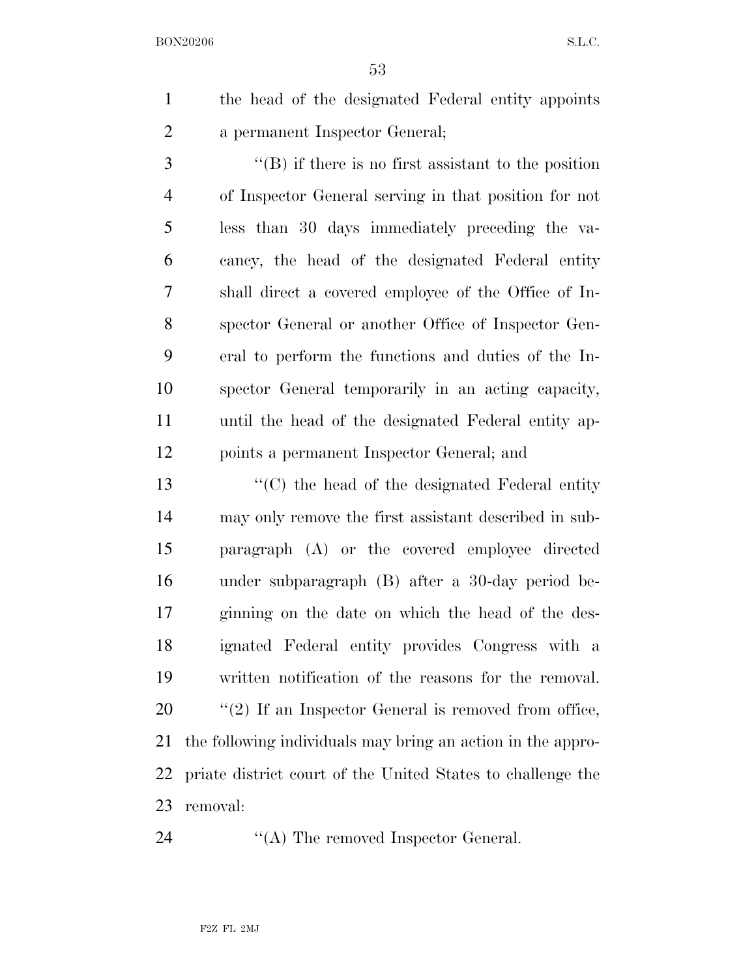the head of the designated Federal entity appoints a permanent Inspector General;

 ''(B) if there is no first assistant to the position of Inspector General serving in that position for not less than 30 days immediately preceding the va- cancy, the head of the designated Federal entity shall direct a covered employee of the Office of In- spector General or another Office of Inspector Gen- eral to perform the functions and duties of the In- spector General temporarily in an acting capacity, until the head of the designated Federal entity ap-points a permanent Inspector General; and

 ''(C) the head of the designated Federal entity may only remove the first assistant described in sub- paragraph (A) or the covered employee directed under subparagraph (B) after a 30-day period be- ginning on the date on which the head of the des- ignated Federal entity provides Congress with a written notification of the reasons for the removal.  $\frac{1}{2}$  (2) If an Inspector General is removed from office, the following individuals may bring an action in the appro- priate district court of the United States to challenge the removal:

24 "(A) The removed Inspector General.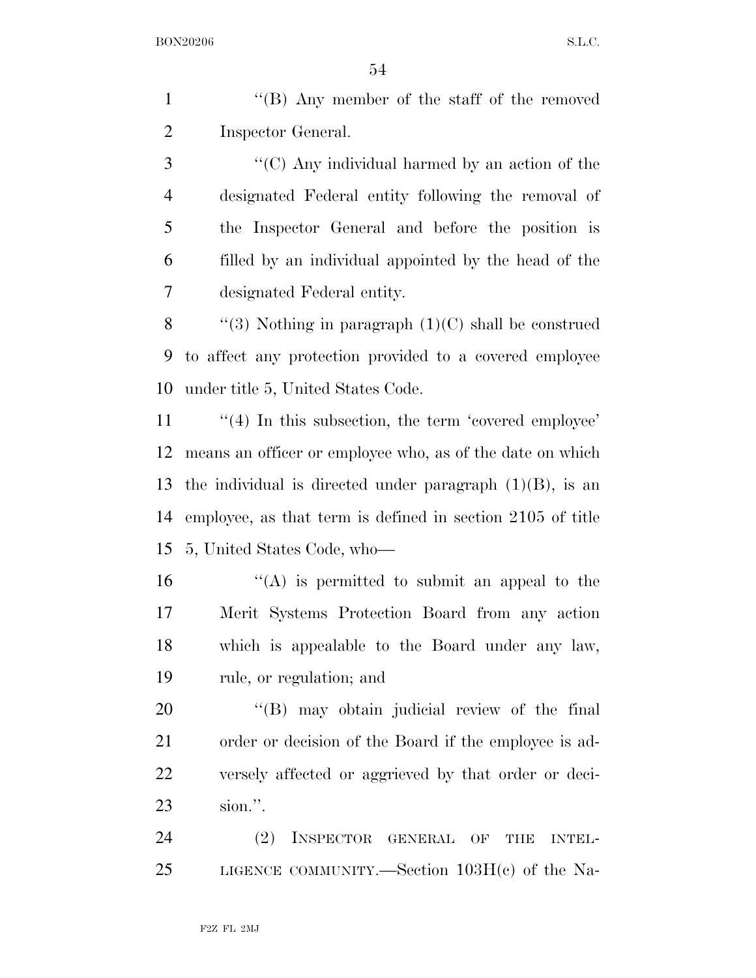1 ''(B) Any member of the staff of the removed Inspector General.

 ''(C) Any individual harmed by an action of the designated Federal entity following the removal of the Inspector General and before the position is filled by an individual appointed by the head of the designated Federal entity.

8  $\qquad$  "(3) Nothing in paragraph (1)(C) shall be construed to affect any protection provided to a covered employee under title 5, United States Code.

 $\frac{1}{4}$  In this subsection, the term 'covered employee' means an officer or employee who, as of the date on which 13 the individual is directed under paragraph  $(1)(B)$ , is an employee, as that term is defined in section 2105 of title 5, United States Code, who—

 $\mathcal{L}(\mathbf{A})$  is permitted to submit an appeal to the Merit Systems Protection Board from any action which is appealable to the Board under any law, rule, or regulation; and

 $\langle$  (B) may obtain judicial review of the final order or decision of the Board if the employee is ad- versely affected or aggrieved by that order or deci-sion.''.

 (2) INSPECTOR GENERAL OF THE INTEL-LIGENCE COMMUNITY.—Section 103H(c) of the Na-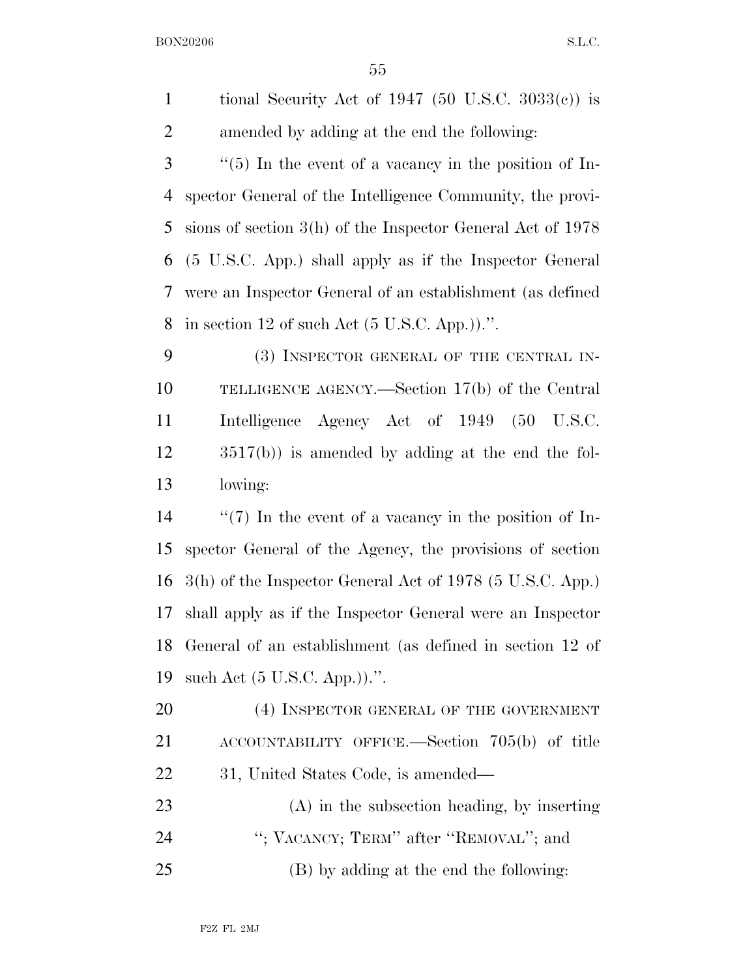1 tional Security Act of 1947 (50 U.S.C.  $3033(c)$ ) is amended by adding at the end the following:

 ''(5) In the event of a vacancy in the position of In- spector General of the Intelligence Community, the provi- sions of section 3(h) of the Inspector General Act of 1978 (5 U.S.C. App.) shall apply as if the Inspector General were an Inspector General of an establishment (as defined 8 in section 12 of such Act  $(5 \text{ U.S.C. App.}))$ .

 (3) INSPECTOR GENERAL OF THE CENTRAL IN- TELLIGENCE AGENCY.—Section 17(b) of the Central Intelligence Agency Act of 1949 (50 U.S.C. 3517(b)) is amended by adding at the end the fol-lowing:

 ''(7) In the event of a vacancy in the position of In- spector General of the Agency, the provisions of section 3(h) of the Inspector General Act of 1978 (5 U.S.C. App.) shall apply as if the Inspector General were an Inspector General of an establishment (as defined in section 12 of such Act (5 U.S.C. App.)).''.

20 (4) INSPECTOR GENERAL OF THE GOVERNMENT ACCOUNTABILITY OFFICE.—Section 705(b) of title 31, United States Code, is amended—

 (A) in the subsection heading, by inserting 24 "; VACANCY; TERM" after "REMOVAL"; and (B) by adding at the end the following: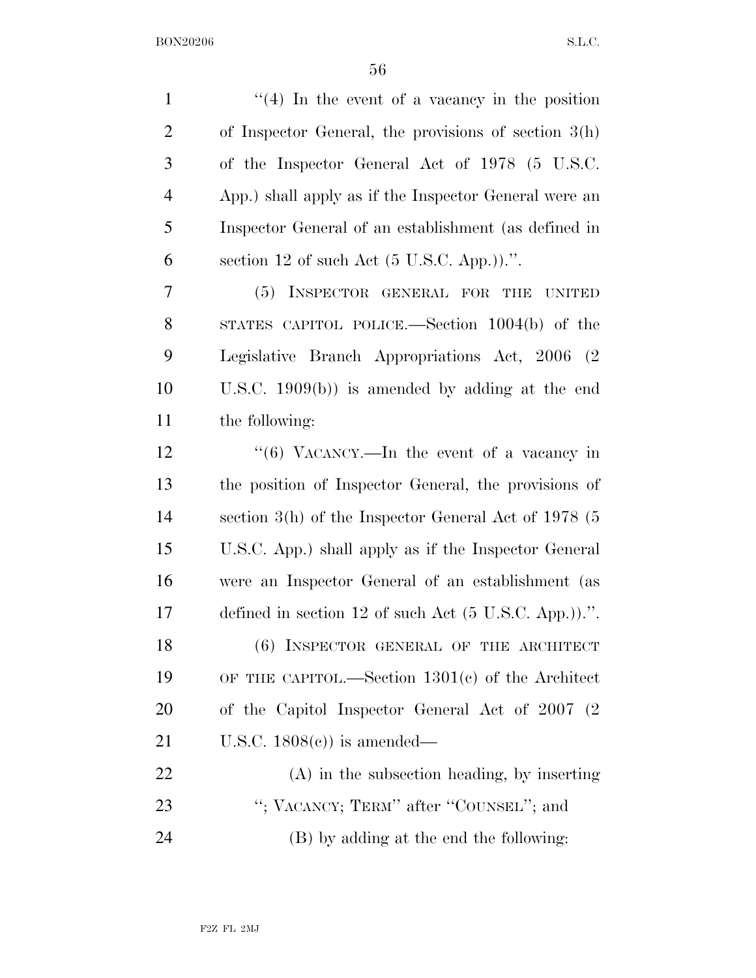| $\mathbf{1}$   | $\lq(4)$ In the event of a vacancy in the position               |
|----------------|------------------------------------------------------------------|
| $\overline{2}$ | of Inspector General, the provisions of section $3(h)$           |
| 3              | of the Inspector General Act of 1978 (5 U.S.C.                   |
| $\overline{4}$ | App.) shall apply as if the Inspector General were an            |
| 5              | Inspector General of an establishment (as defined in             |
| 6              | section 12 of such Act $(5 \text{ U.S.C. App.}))$ .".            |
| 7              | INSPECTOR GENERAL FOR<br>(5)<br><b>THE</b><br><b>UNITED</b>      |
| 8              | STATES CAPITOL POLICE.—Section 1004(b) of the                    |
| 9              | Legislative Branch Appropriations Act, 2006 (2)                  |
| 10             | U.S.C. $1909(b)$ is amended by adding at the end                 |
| 11             | the following:                                                   |
| 12             | "(6) VACANCY.—In the event of a vacancy in                       |
| 13             | the position of Inspector General, the provisions of             |
| 14             | section $3(h)$ of the Inspector General Act of 1978 (5           |
| 15             | U.S.C. App.) shall apply as if the Inspector General             |
| 16             | were an Inspector General of an establishment (as                |
| 17             | defined in section 12 of such Act $(5 \text{ U.S.C. App.}))$ .". |
| 18             | (6) INSPECTOR GENERAL OF THE ARCHITECT                           |
| 19             | OF THE CAPITOL.—Section $1301(c)$ of the Architect               |
| 20             | of the Capitol Inspector General Act of 2007 (2)                 |
| 21             | U.S.C. $1808(e)$ is amended—                                     |
| 22             | $(A)$ in the subsection heading, by inserting                    |
| 23             | "; VACANCY; TERM" after "COUNSEL"; and                           |
| 24             | (B) by adding at the end the following:                          |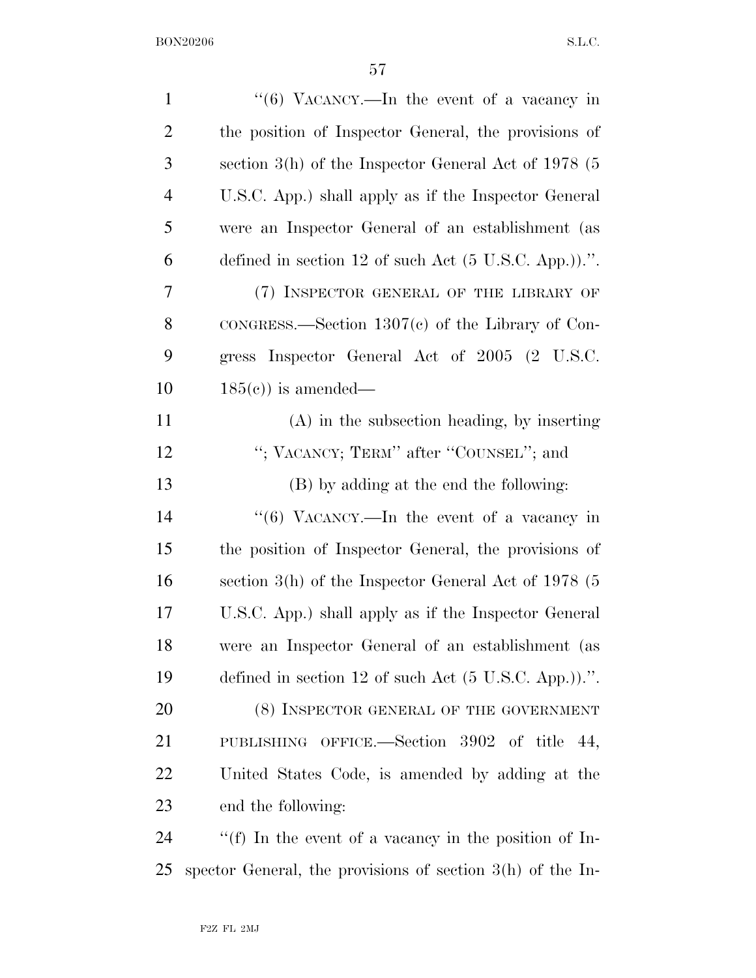| $\mathbf{1}$   | " $(6)$ VACANCY.—In the event of a vacancy in                    |
|----------------|------------------------------------------------------------------|
| $\overline{2}$ | the position of Inspector General, the provisions of             |
| 3              | section $3(h)$ of the Inspector General Act of 1978 (5           |
| $\overline{4}$ | U.S.C. App.) shall apply as if the Inspector General             |
| 5              | were an Inspector General of an establishment (as                |
| 6              | defined in section 12 of such Act $(5 \text{ U.S.C. App.}))$ .". |
| 7              | (7) INSPECTOR GENERAL OF THE LIBRARY OF                          |
| 8              | $\text{conGRESS}$ . Section 1307(c) of the Library of Con-       |
| 9              | gress Inspector General Act of 2005 (2 U.S.C.                    |
| 10             | $185(e)$ is amended—                                             |
| 11             | $(A)$ in the subsection heading, by inserting                    |
| 12             | "; VACANCY; TERM" after "COUNSEL"; and                           |
| 13             | (B) by adding at the end the following:                          |
| 14             | " $(6)$ VACANCY.—In the event of a vacancy in                    |
| 15             | the position of Inspector General, the provisions of             |
| 16             | section $3(h)$ of the Inspector General Act of 1978 (5           |
| 17             | U.S.C. App.) shall apply as if the Inspector General             |
| 18             | were an Inspector General of an establishment (as                |
| 19             | defined in section 12 of such Act $(5 \text{ U.S.C. App.}))$ .". |
| 20             | (8) INSPECTOR GENERAL OF THE GOVERNMENT                          |
| 21             | PUBLISHING OFFICE.—Section 3902 of title 44,                     |
| 22             | United States Code, is amended by adding at the                  |
| 23             | end the following:                                               |
| 24             | "(f) In the event of a vacancy in the position of In-            |
| 25             | spector General, the provisions of section $3(h)$ of the In-     |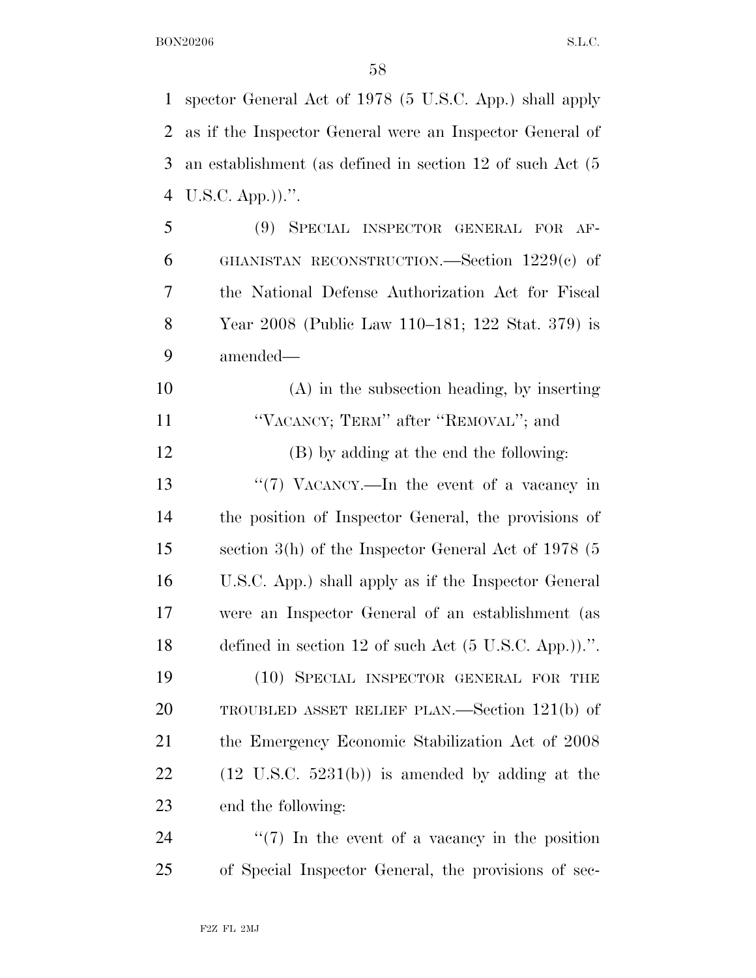spector General Act of 1978 (5 U.S.C. App.) shall apply as if the Inspector General were an Inspector General of an establishment (as defined in section 12 of such Act (5 U.S.C. App.)).''. (9) SPECIAL INSPECTOR GENERAL FOR AF- GHANISTAN RECONSTRUCTION.—Section 1229(c) of the National Defense Authorization Act for Fiscal Year 2008 (Public Law 110–181; 122 Stat. 379) is amended— (A) in the subsection heading, by inserting 11 "VACANCY; TERM" after "REMOVAL"; and (B) by adding at the end the following: 13 ''(7) VACANCY.—In the event of a vacancy in the position of Inspector General, the provisions of section 3(h) of the Inspector General Act of 1978 (5 U.S.C. App.) shall apply as if the Inspector General were an Inspector General of an establishment (as defined in section 12 of such Act (5 U.S.C. App.)).''. (10) SPECIAL INSPECTOR GENERAL FOR THE TROUBLED ASSET RELIEF PLAN.—Section 121(b) of the Emergency Economic Stabilization Act of 2008  $(12 \text{ U.S.C. } 5231(b))$  is amended by adding at the end the following:  $\frac{1}{2}$  (7) In the event of a vacancy in the position of Special Inspector General, the provisions of sec-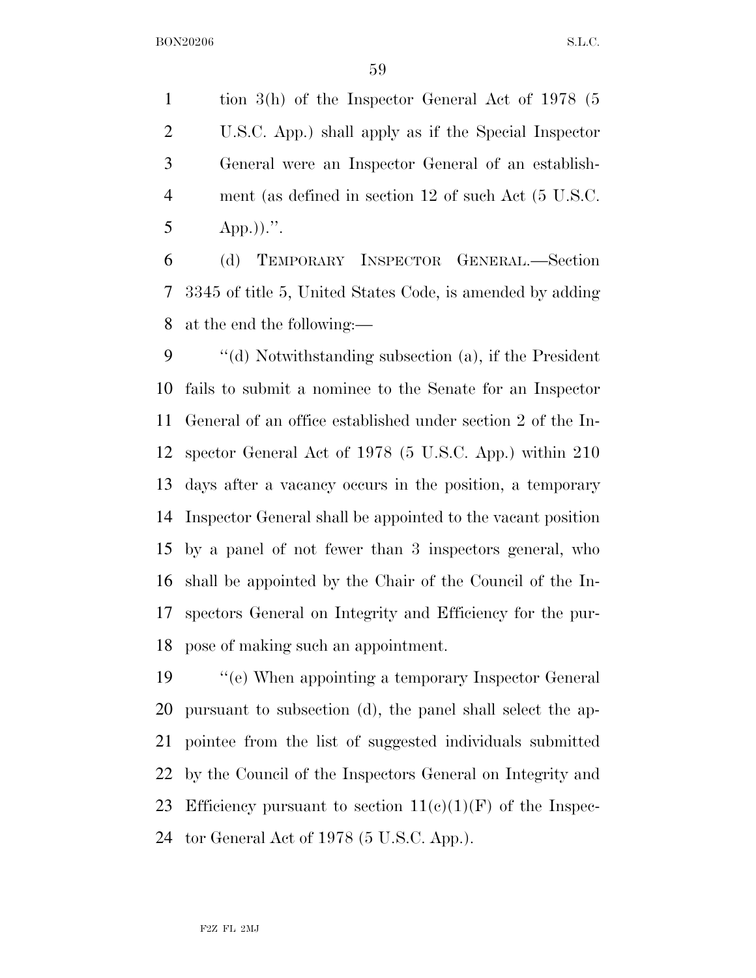tion 3(h) of the Inspector General Act of 1978 (5 U.S.C. App.) shall apply as if the Special Inspector General were an Inspector General of an establish- ment (as defined in section 12 of such Act (5 U.S.C. 5 App.)).".

 (d) TEMPORARY INSPECTOR GENERAL.—Section 3345 of title 5, United States Code, is amended by adding at the end the following:—

 ''(d) Notwithstanding subsection (a), if the President fails to submit a nominee to the Senate for an Inspector General of an office established under section 2 of the In- spector General Act of 1978 (5 U.S.C. App.) within 210 days after a vacancy occurs in the position, a temporary Inspector General shall be appointed to the vacant position by a panel of not fewer than 3 inspectors general, who shall be appointed by the Chair of the Council of the In- spectors General on Integrity and Efficiency for the pur-pose of making such an appointment.

 ''(e) When appointing a temporary Inspector General pursuant to subsection (d), the panel shall select the ap- pointee from the list of suggested individuals submitted by the Council of the Inspectors General on Integrity and 23 Efficiency pursuant to section  $11(c)(1)(F)$  of the Inspec-tor General Act of 1978 (5 U.S.C. App.).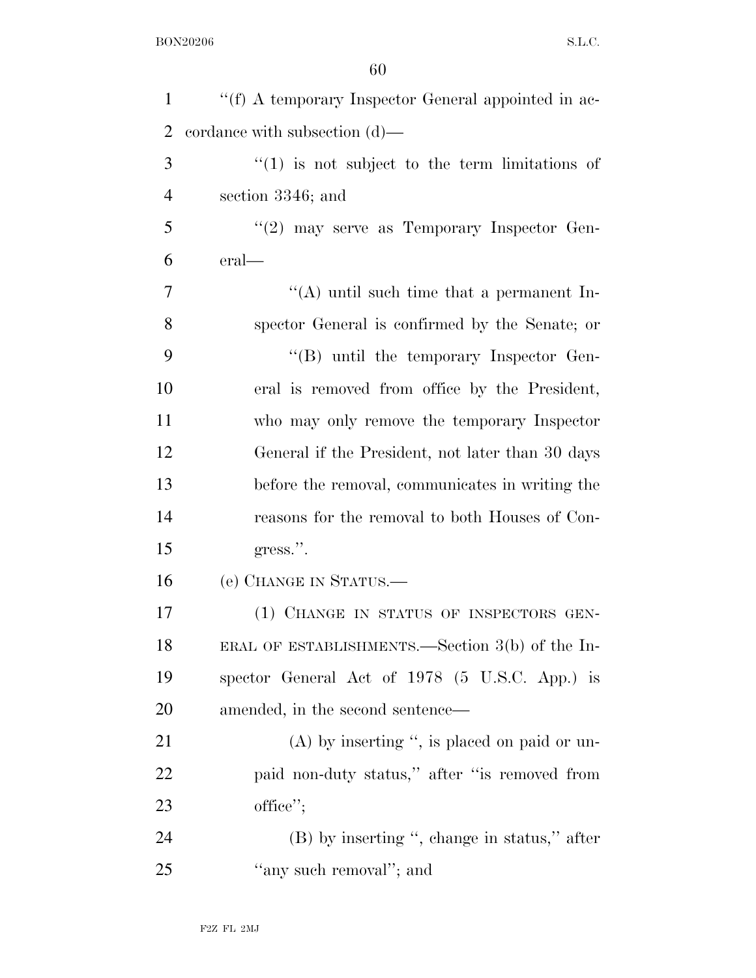| $\mathbf{1}$   | "(f) A temporary Inspector General appointed in ac- |
|----------------|-----------------------------------------------------|
| $\overline{2}$ | cordance with subsection $(d)$ —                    |
| 3              | $f'(1)$ is not subject to the term limitations of   |
| $\overline{4}$ | section 3346; and                                   |
| 5              | $\lq(2)$ may serve as Temporary Inspector Gen-      |
| 6              | eral—                                               |
| 7              | "(A) until such time that a permanent In-           |
| 8              | spector General is confirmed by the Senate; or      |
| 9              | $\lq\lq (B)$ until the temporary Inspector Gen-     |
| 10             | eral is removed from office by the President,       |
| 11             | who may only remove the temporary Inspector         |
| 12             | General if the President, not later than 30 days    |
| 13             | before the removal, communicates in writing the     |
| 14             | reasons for the removal to both Houses of Con-      |
| 15             | gress.".                                            |
| 16             | (e) CHANGE IN STATUS.—                              |
| 17             | (1) CHANGE IN STATUS OF INSPECTORS GEN-             |
| 18             | ERAL OF ESTABLISHMENTS.—Section 3(b) of the In-     |
| 19             | spector General Act of 1978 (5 U.S.C. App.) is      |
| 20             | amended, in the second sentence—                    |
| 21             | $(A)$ by inserting ", is placed on paid or un-      |
| 22             | paid non-duty status," after "is removed from       |
| 23             | office";                                            |
| 24             | (B) by inserting ", change in status," after        |
| 25             | "any such removal"; and                             |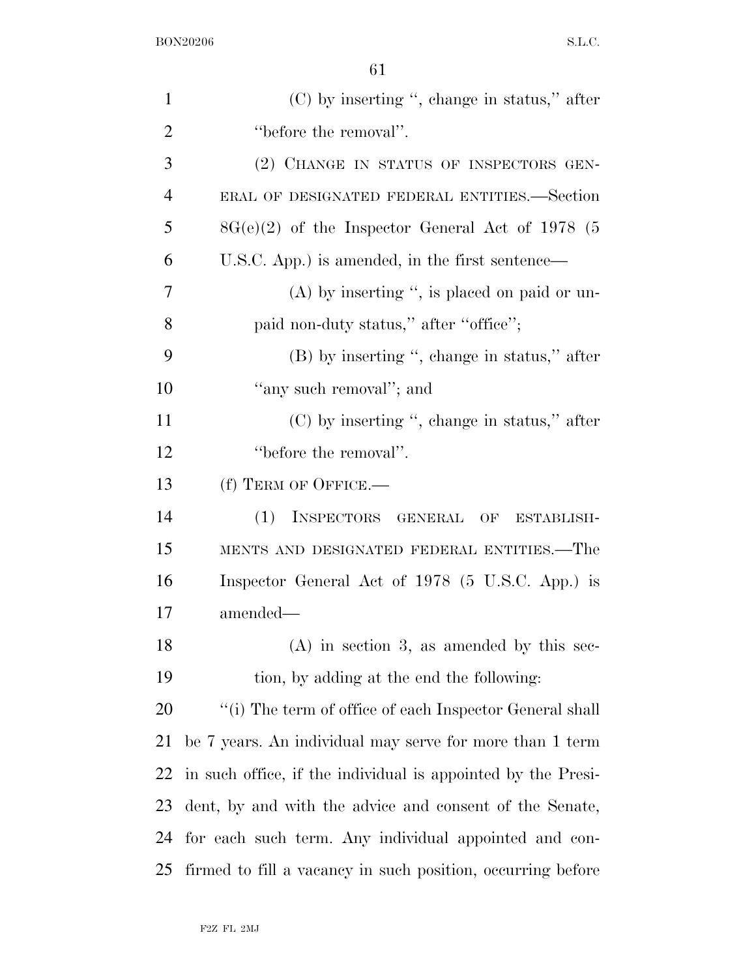| $\mathbf{1}$   | $(C)$ by inserting ", change in status," after               |
|----------------|--------------------------------------------------------------|
| $\overline{2}$ | "before the removal".                                        |
| 3              | (2) CHANGE IN STATUS OF INSPECTORS GEN-                      |
| $\overline{4}$ | ERAL OF DESIGNATED FEDERAL ENTITIES.—Section                 |
| 5              | $8G(e)(2)$ of the Inspector General Act of 1978 (5           |
| 6              | U.S.C. App.) is amended, in the first sentence—              |
| 7              | $(A)$ by inserting ", is placed on paid or un-               |
| 8              | paid non-duty status," after "office";                       |
| 9              | (B) by inserting ", change in status," after                 |
| 10             | "any such removal"; and                                      |
| 11             | $(C)$ by inserting ", change in status," after               |
| 12             | "before the removal".                                        |
| 13             | (f) TERM OF OFFICE.-                                         |
| 14             | INSPECTORS GENERAL OF ESTABLISH-<br>(1)                      |
| 15             | MENTS AND DESIGNATED FEDERAL ENTITIES.—The                   |
| 16             | Inspector General Act of 1978 (5 U.S.C. App.) is             |
| 17             | amended—                                                     |
| 18             | $(A)$ in section 3, as amended by this sec-                  |
| 19             | tion, by adding at the end the following:                    |
| 20             | "(i) The term of office of each Inspector General shall      |
| 21             | be 7 years. An individual may serve for more than 1 term     |
| 22             | in such office, if the individual is appointed by the Presi- |
| 23             | dent, by and with the advice and consent of the Senate,      |
| 24             | for each such term. Any individual appointed and con-        |
| 25             | firmed to fill a vacancy in such position, occurring before  |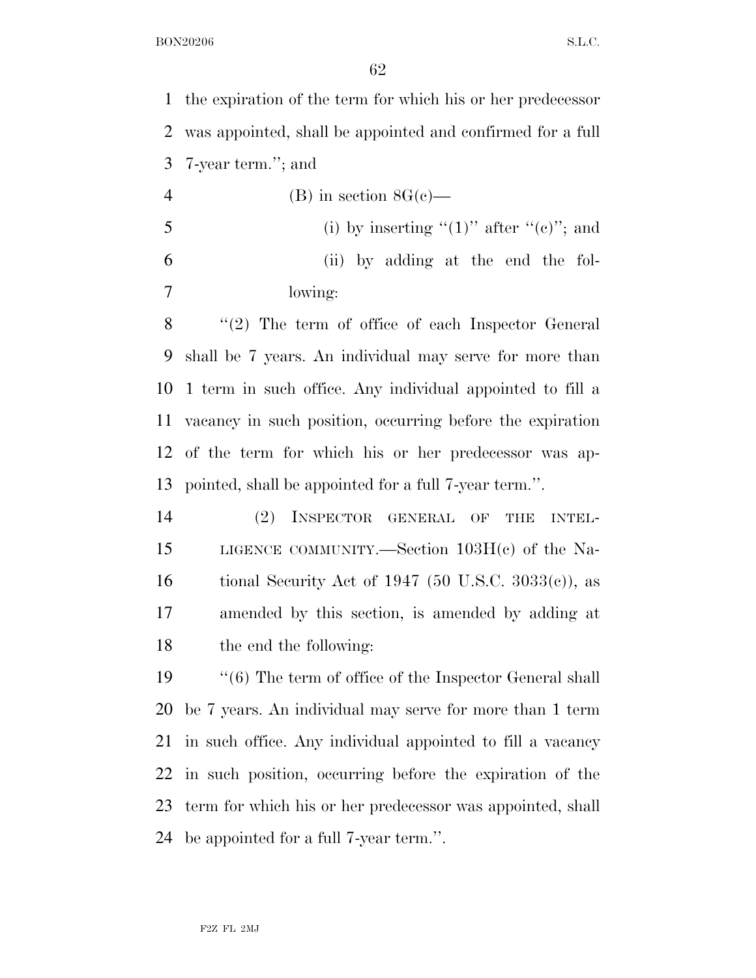the expiration of the term for which his or her predecessor was appointed, shall be appointed and confirmed for a full 7-year term.''; and

4 (B) in section  $8G(c)$ — 5 (i) by inserting  $(1)$ " after  $(0)$ "; and (ii) by adding at the end the fol-lowing:

 ''(2) The term of office of each Inspector General shall be 7 years. An individual may serve for more than 1 term in such office. Any individual appointed to fill a vacancy in such position, occurring before the expiration of the term for which his or her predecessor was ap-pointed, shall be appointed for a full 7-year term.''.

 (2) INSPECTOR GENERAL OF THE INTEL- LIGENCE COMMUNITY.—Section 103H(c) of the Na-16 tional Security Act of 1947 (50 U.S.C.  $3033(e)$ ), as amended by this section, is amended by adding at the end the following:

 ''(6) The term of office of the Inspector General shall be 7 years. An individual may serve for more than 1 term in such office. Any individual appointed to fill a vacancy in such position, occurring before the expiration of the term for which his or her predecessor was appointed, shall be appointed for a full 7-year term.''.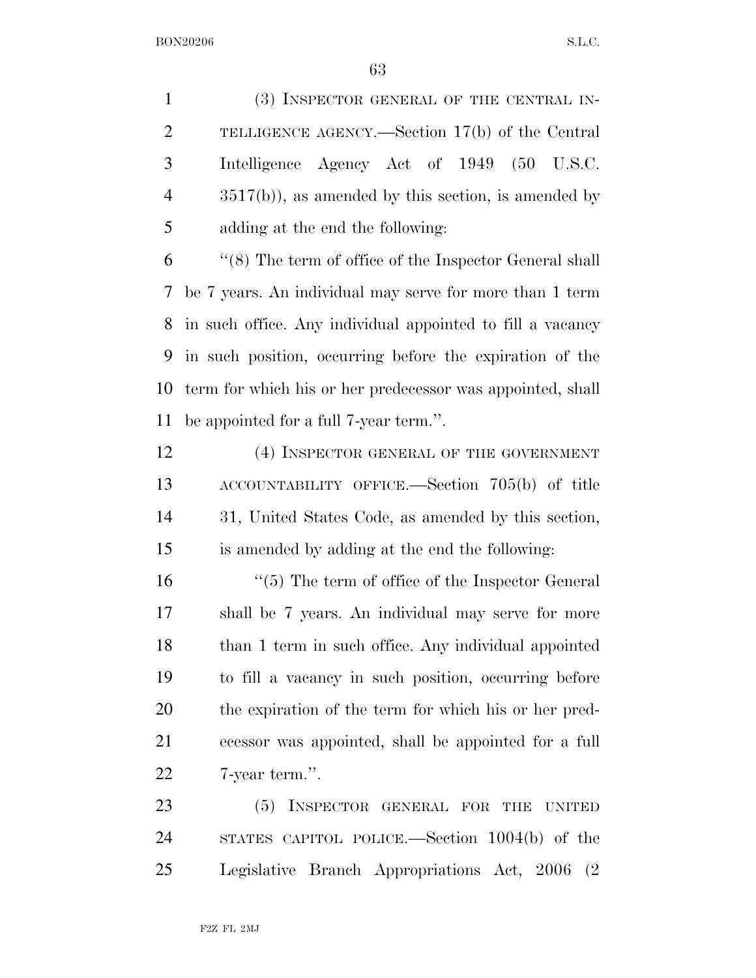(3) INSPECTOR GENERAL OF THE CENTRAL IN- TELLIGENCE AGENCY.—Section 17(b) of the Central Intelligence Agency Act of 1949 (50 U.S.C. 3517(b)), as amended by this section, is amended by adding at the end the following:

 ''(8) The term of office of the Inspector General shall be 7 years. An individual may serve for more than 1 term in such office. Any individual appointed to fill a vacancy in such position, occurring before the expiration of the term for which his or her predecessor was appointed, shall be appointed for a full 7-year term.''.

12 (4) INSPECTOR GENERAL OF THE GOVERNMENT ACCOUNTABILITY OFFICE.—Section 705(b) of title 31, United States Code, as amended by this section, is amended by adding at the end the following:

16 ''(5) The term of office of the Inspector General shall be 7 years. An individual may serve for more than 1 term in such office. Any individual appointed to fill a vacancy in such position, occurring before the expiration of the term for which his or her pred- ecessor was appointed, shall be appointed for a full 7-year term.''.

 (5) INSPECTOR GENERAL FOR THE UNITED STATES CAPITOL POLICE.—Section 1004(b) of the Legislative Branch Appropriations Act, 2006 (2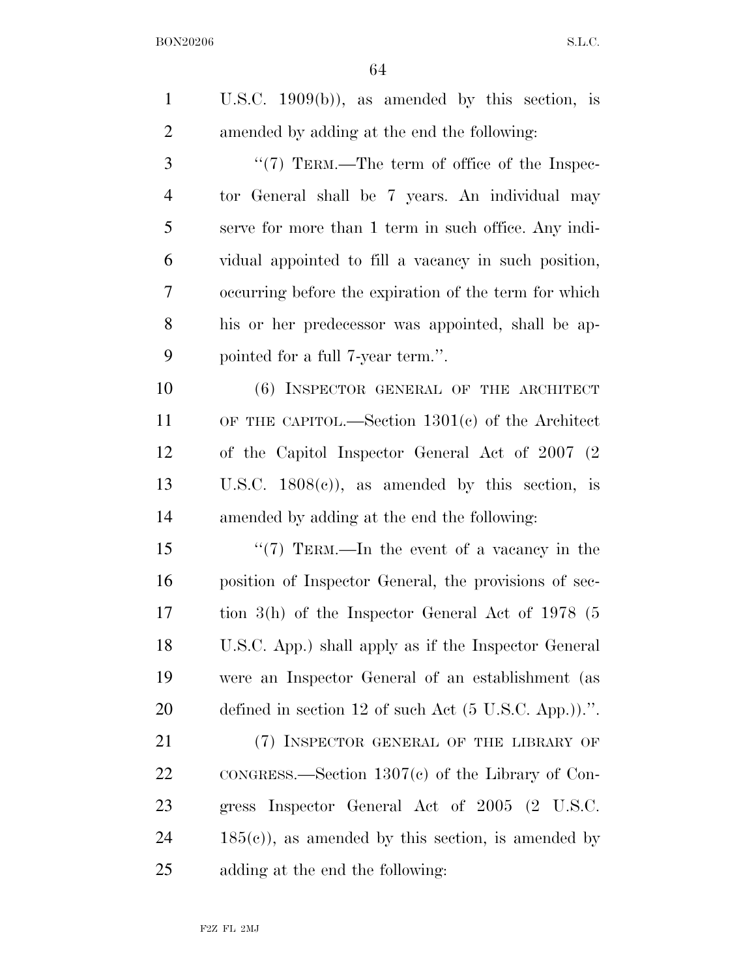| $\mathbf{1}$   | U.S.C. $1909(b)$ , as amended by this section, is               |
|----------------|-----------------------------------------------------------------|
| $\overline{2}$ | amended by adding at the end the following:                     |
| 3              | "(7) TERM.—The term of office of the Inspec-                    |
| $\overline{4}$ | tor General shall be 7 years. An individual may                 |
| 5              | serve for more than 1 term in such office. Any indi-            |
| 6              | vidual appointed to fill a vacancy in such position,            |
| 7              | occurring before the expiration of the term for which           |
| 8              | his or her predecessor was appointed, shall be ap-              |
| 9              | pointed for a full 7-year term.".                               |
| 10             | (6) INSPECTOR GENERAL OF THE ARCHITECT                          |
| 11             | OF THE CAPITOL.—Section $1301(c)$ of the Architect              |
| 12             | of the Capitol Inspector General Act of 2007 (2)                |
| 13             | U.S.C. $1808(c)$ , as amended by this section, is               |
| 14             | amended by adding at the end the following:                     |
| 15             | "(7) TERM.—In the event of a vacancy in the                     |
| 16             | position of Inspector General, the provisions of sec-           |
| 17             | tion $3(h)$ of the Inspector General Act of 1978 (5             |
| 18             | U.S.C. App.) shall apply as if the Inspector General            |
| 19             | were an Inspector General of an establishment (as               |
| 20             | defined in section 12 of such Act $(5 \text{ U.S.C. App.})$ .". |
| 21             | (7) INSPECTOR GENERAL OF THE LIBRARY OF                         |
| 22             | $\text{conG}$ RESS.—Section 1307(c) of the Library of Con-      |
| 23             | gress Inspector General Act of 2005 (2 U.S.C.                   |
| 24             | $185(c)$ , as amended by this section, is amended by            |
| 25             | adding at the end the following:                                |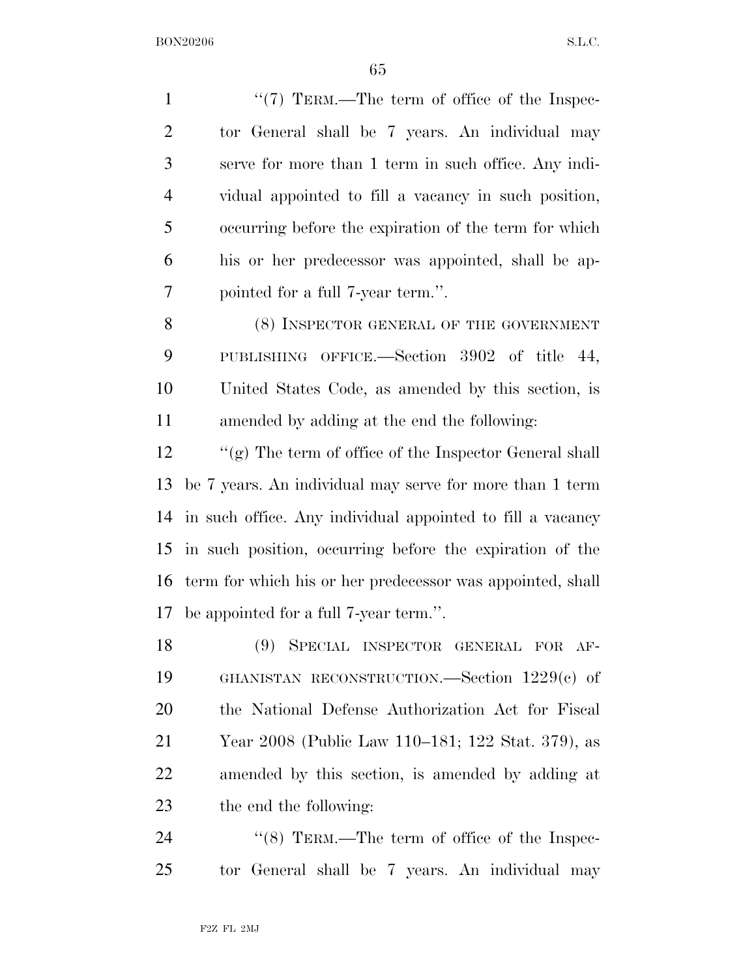$\frac{1}{7}$  TERM.—The term of office of the Inspec- tor General shall be 7 years. An individual may serve for more than 1 term in such office. Any indi- vidual appointed to fill a vacancy in such position, occurring before the expiration of the term for which his or her predecessor was appointed, shall be ap- pointed for a full 7-year term.''. 8 (8) INSPECTOR GENERAL OF THE GOVERNMENT PUBLISHING OFFICE.—Section 3902 of title 44, United States Code, as amended by this section, is

amended by adding at the end the following:

 ''(g) The term of office of the Inspector General shall be 7 years. An individual may serve for more than 1 term in such office. Any individual appointed to fill a vacancy in such position, occurring before the expiration of the term for which his or her predecessor was appointed, shall be appointed for a full 7-year term.''.

 (9) SPECIAL INSPECTOR GENERAL FOR AF- GHANISTAN RECONSTRUCTION.—Section 1229(c) of the National Defense Authorization Act for Fiscal Year 2008 (Public Law 110–181; 122 Stat. 379), as amended by this section, is amended by adding at the end the following:

24  $\frac{1}{8}$  TERM.—The term of office of the Inspec-tor General shall be 7 years. An individual may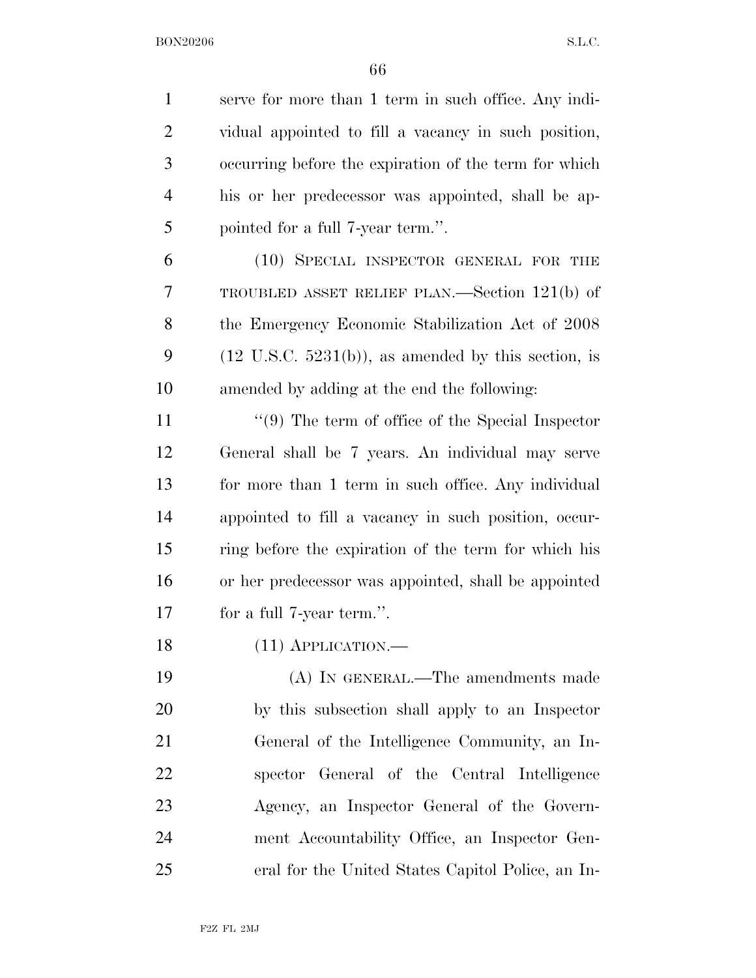serve for more than 1 term in such office. Any indi- vidual appointed to fill a vacancy in such position, occurring before the expiration of the term for which his or her predecessor was appointed, shall be ap- pointed for a full 7-year term.''. (10) SPECIAL INSPECTOR GENERAL FOR THE TROUBLED ASSET RELIEF PLAN.—Section 121(b) of the Emergency Economic Stabilization Act of 2008 9 (12 U.S.C.  $5231(b)$ ), as amended by this section, is amended by adding at the end the following: ''(9) The term of office of the Special Inspector General shall be 7 years. An individual may serve for more than 1 term in such office. Any individual appointed to fill a vacancy in such position, occur- ring before the expiration of the term for which his or her predecessor was appointed, shall be appointed for a full 7-year term.''. 18 (11) APPLICATION.— (A) IN GENERAL.—The amendments made by this subsection shall apply to an Inspector General of the Intelligence Community, an In- spector General of the Central Intelligence Agency, an Inspector General of the Govern- ment Accountability Office, an Inspector Gen-eral for the United States Capitol Police, an In-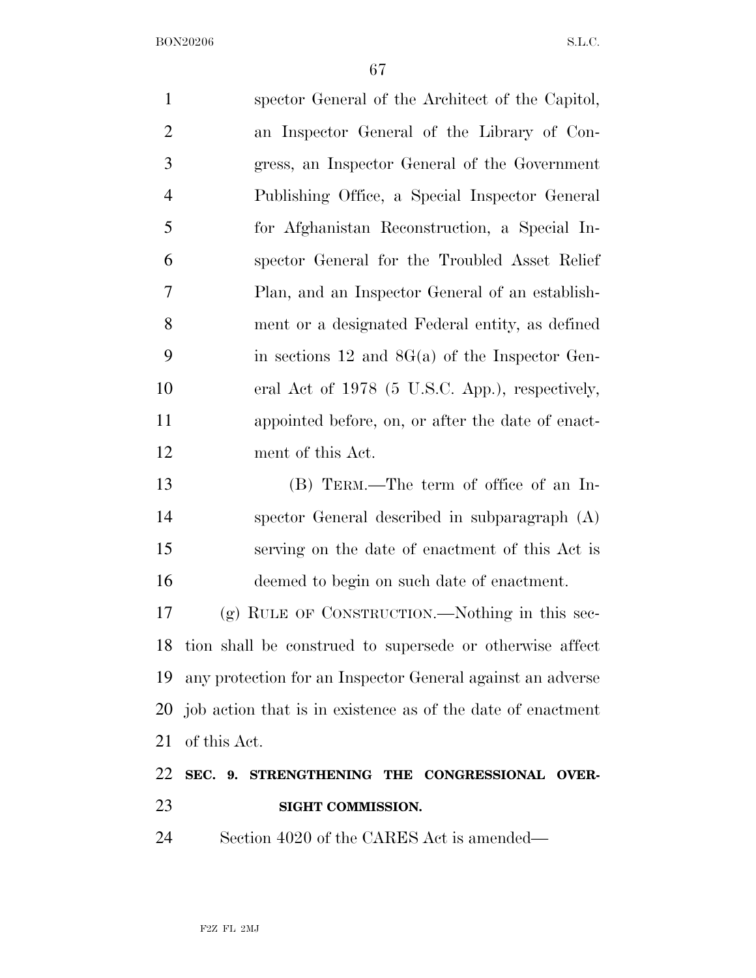| $\mathbf{1}$   | spector General of the Architect of the Capitol,            |
|----------------|-------------------------------------------------------------|
| $\overline{2}$ | an Inspector General of the Library of Con-                 |
| 3              | gress, an Inspector General of the Government               |
| $\overline{4}$ | Publishing Office, a Special Inspector General              |
| 5              | for Afghanistan Reconstruction, a Special In-               |
| 6              | spector General for the Troubled Asset Relief               |
| 7              | Plan, and an Inspector General of an establish-             |
| 8              | ment or a designated Federal entity, as defined             |
| 9              | in sections 12 and $8G(a)$ of the Inspector Gen-            |
| 10             | eral Act of 1978 (5 U.S.C. App.), respectively,             |
| 11             | appointed before, on, or after the date of enact-           |
| 12             | ment of this Act.                                           |
| 13             | (B) TERM.—The term of office of an In-                      |
| 14             | spector General described in subparagraph (A)               |
| 15             | serving on the date of enactment of this Act is             |
| 16             | deemed to begin on such date of enactment.                  |
| 17             | $(g)$ RULE OF CONSTRUCTION.—Nothing in this sec-            |
| 18             | tion shall be construed to supersede or otherwise affect    |
| 19             | any protection for an Inspector General against an adverse  |
| 20             | job action that is in existence as of the date of enactment |
| 21             | of this Act.                                                |
| 22             | SEC. 9. STRENGTHENING THE CONGRESSIONAL OVER-               |
| 23             | SIGHT COMMISSION.                                           |
| 24             | Section 4020 of the CARES Act is amended—                   |
|                |                                                             |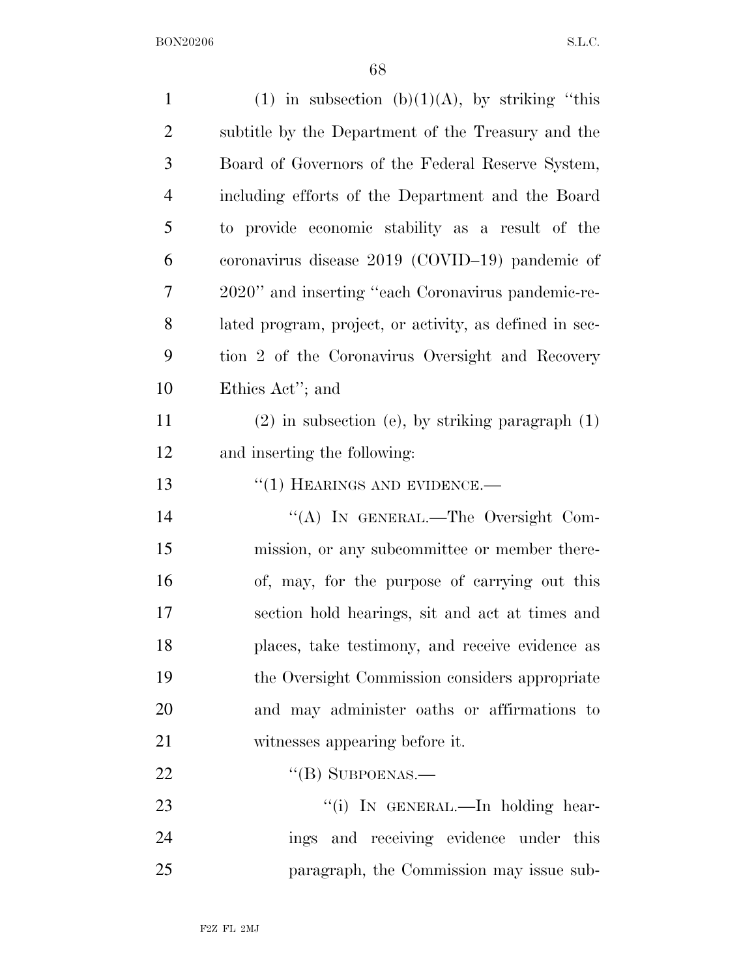| $\mathbf{1}$   | (1) in subsection (b)(1)(A), by striking "this          |
|----------------|---------------------------------------------------------|
| $\overline{2}$ | subtitle by the Department of the Treasury and the      |
| 3              | Board of Governors of the Federal Reserve System,       |
| $\overline{4}$ | including efforts of the Department and the Board       |
| 5              | to provide economic stability as a result of the        |
| 6              | coronavirus disease $2019$ (COVID-19) pandemic of       |
| 7              | 2020" and inserting "each Coronavirus pandemic-re-      |
| 8              | lated program, project, or activity, as defined in sec- |
| 9              | tion 2 of the Coronavirus Oversight and Recovery        |
| 10             | Ethics Act''; and                                       |
| 11             | $(2)$ in subsection (e), by striking paragraph $(1)$    |
| 12             | and inserting the following:                            |
| 13             | $``(1)$ HEARINGS AND EVIDENCE.—                         |
| 14             | "(A) IN GENERAL.—The Oversight Com-                     |
| 15             | mission, or any subcommittee or member there-           |
| 16             | of, may, for the purpose of carrying out this           |
| 17             | section hold hearings, sit and act at times and         |
| 18             | places, take testimony, and receive evidence as         |
| 19             | the Oversight Commission considers appropriate          |
| 20             | and may administer oaths or affirmations to             |
| 21             | witnesses appearing before it.                          |
| 22             | $\lq\lq$ (B) SUBPOENAS.—                                |
| 23             | "(i) IN GENERAL.—In holding hear-                       |
| 24             | ings and receiving evidence under this                  |
| 25             | paragraph, the Commission may issue sub-                |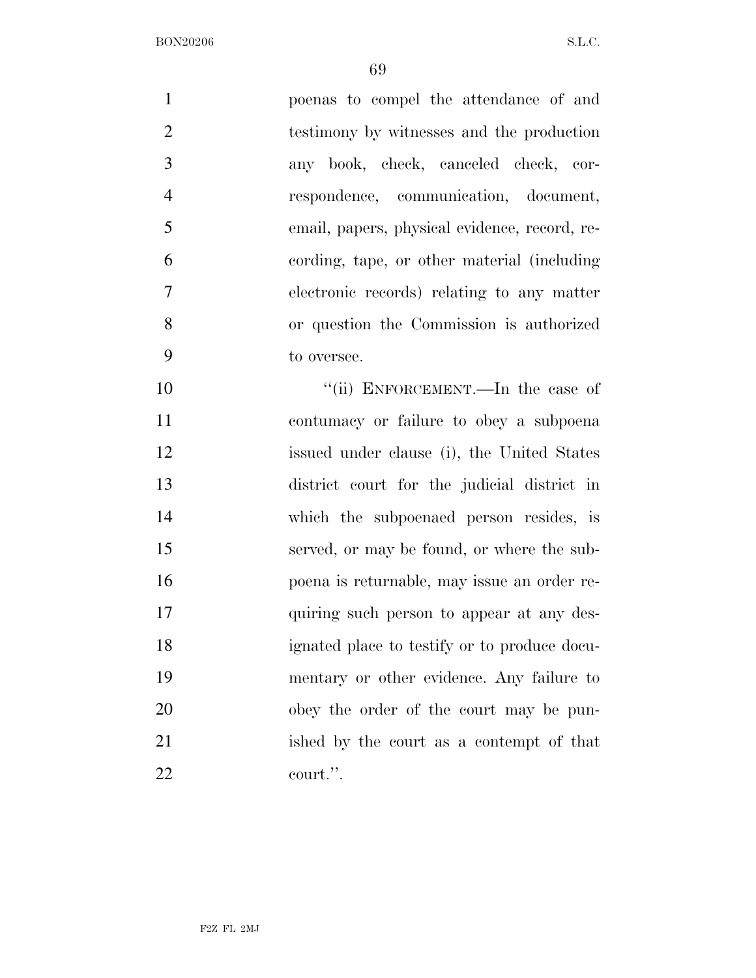| $\mathbf{1}$   | poenas to compel the attendance of and        |
|----------------|-----------------------------------------------|
| $\overline{2}$ | testimony by witnesses and the production     |
| 3              | any book, check, canceled check, cor-         |
| $\overline{4}$ | respondence, communication, document,         |
| 5              | email, papers, physical evidence, record, re- |
| 6              | cording, tape, or other material (including)  |
| 7              | electronic records) relating to any matter    |
| 8              | or question the Commission is authorized      |
| 9              | to oversee.                                   |
| 10             | "(ii) ENFORCEMENT.—In the case of             |
| 11             | contumacy or failure to obey a subpoena       |
| 12             | issued under clause (i), the United States    |
| 13             | district court for the judicial district in   |
| 14             | which the subpoenaed person resides, is       |
| 15             | served, or may be found, or where the sub-    |
| 16             | poena is returnable, may issue an order re-   |
| 17             | quiring such person to appear at any des-     |
| 18             | ignated place to testify or to produce docu-  |
| 19             | mentary or other evidence. Any failure to     |
| 20             | obey the order of the court may be pun-       |
| 21             | ished by the court as a contempt of that      |
| 22             | court.".                                      |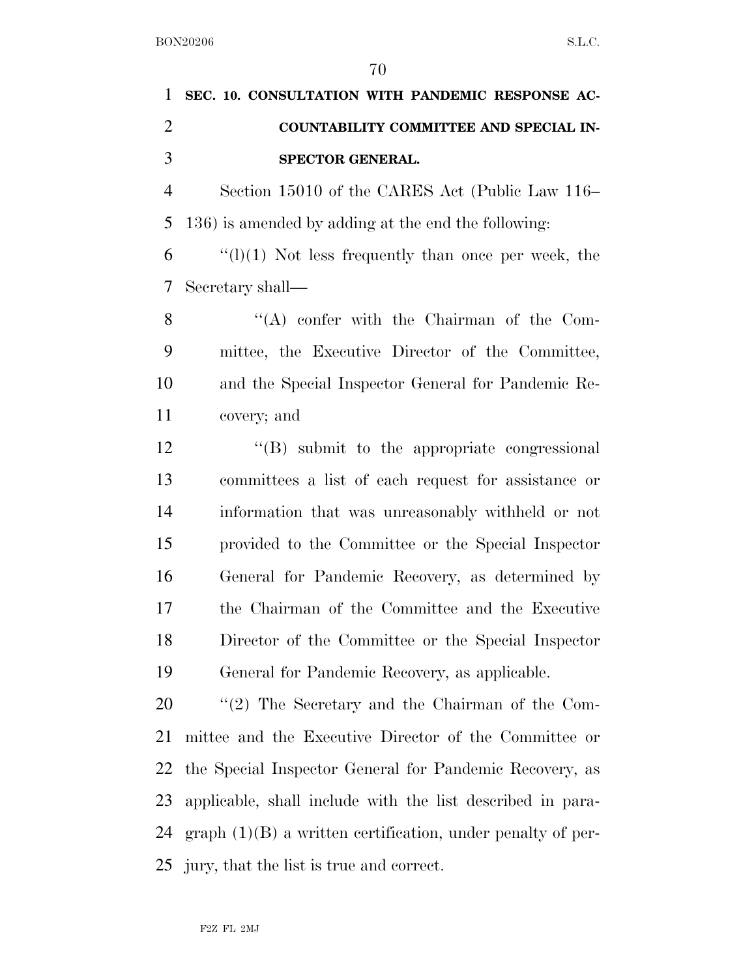| 1 SEC. 10. CONSULTATION WITH PANDEMIC RESPONSE AC- |
|----------------------------------------------------|
| COUNTABILITY COMMITTEE AND SPECIAL IN-             |
| <b>SPECTOR GENERAL.</b>                            |

 Section 15010 of the CARES Act (Public Law 116– 136) is amended by adding at the end the following:

 ''(l)(1) Not less frequently than once per week, the Secretary shall—

 ''(A) confer with the Chairman of the Com- mittee, the Executive Director of the Committee, and the Special Inspector General for Pandemic Re-covery; and

 ''(B) submit to the appropriate congressional committees a list of each request for assistance or information that was unreasonably withheld or not provided to the Committee or the Special Inspector General for Pandemic Recovery, as determined by the Chairman of the Committee and the Executive Director of the Committee or the Special Inspector General for Pandemic Recovery, as applicable.

 ''(2) The Secretary and the Chairman of the Com- mittee and the Executive Director of the Committee or the Special Inspector General for Pandemic Recovery, as applicable, shall include with the list described in para- graph (1)(B) a written certification, under penalty of per-jury, that the list is true and correct.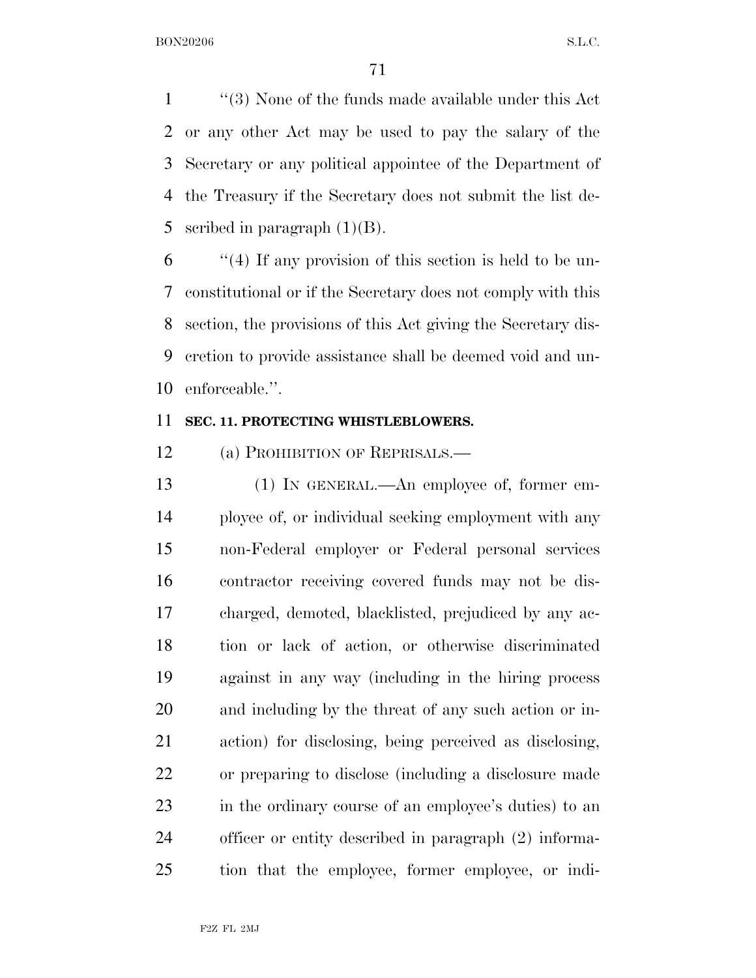''(3) None of the funds made available under this Act or any other Act may be used to pay the salary of the Secretary or any political appointee of the Department of the Treasury if the Secretary does not submit the list de-5 scribed in paragraph  $(1)(B)$ .

 ''(4) If any provision of this section is held to be un- constitutional or if the Secretary does not comply with this section, the provisions of this Act giving the Secretary dis- cretion to provide assistance shall be deemed void and un-enforceable.''.

## **SEC. 11. PROTECTING WHISTLEBLOWERS.**

12 (a) PROHIBITION OF REPRISALS.—

 (1) IN GENERAL.—An employee of, former em- ployee of, or individual seeking employment with any non-Federal employer or Federal personal services contractor receiving covered funds may not be dis- charged, demoted, blacklisted, prejudiced by any ac- tion or lack of action, or otherwise discriminated against in any way (including in the hiring process and including by the threat of any such action or in- action) for disclosing, being perceived as disclosing, or preparing to disclose (including a disclosure made in the ordinary course of an employee's duties) to an officer or entity described in paragraph (2) informa-tion that the employee, former employee, or indi-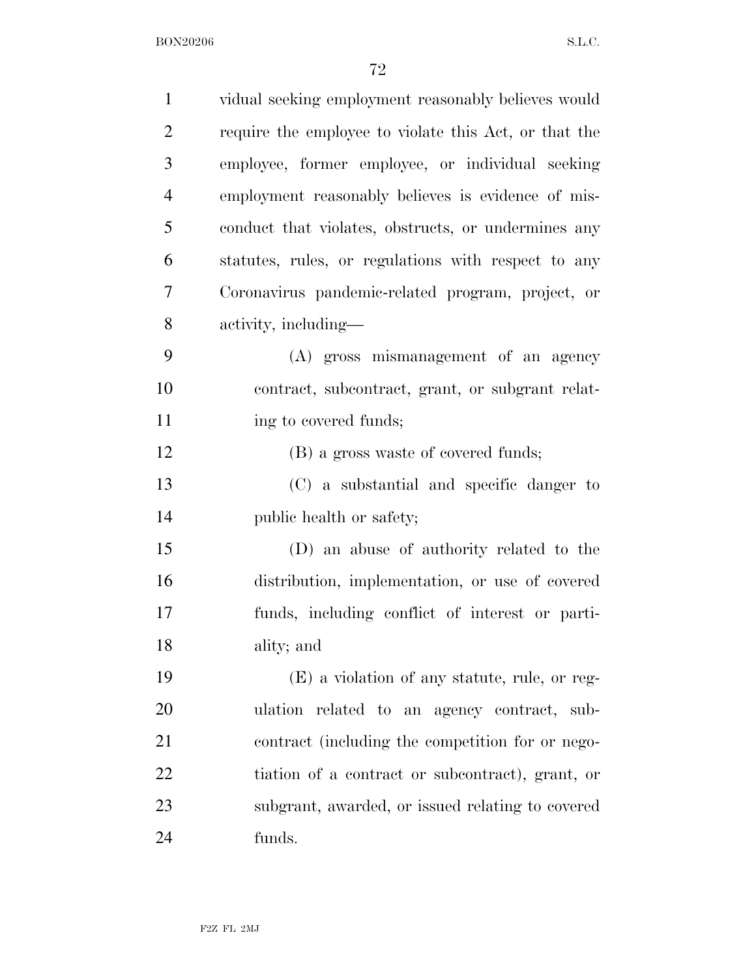| $\mathbf{1}$   | vidual seeking employment reasonably believes would   |
|----------------|-------------------------------------------------------|
| $\overline{2}$ | require the employee to violate this Act, or that the |
| 3              | employee, former employee, or individual seeking      |
| $\overline{4}$ | employment reasonably believes is evidence of mis-    |
| 5              | conduct that violates, obstructs, or undermines any   |
| 6              | statutes, rules, or regulations with respect to any   |
| 7              | Coronavirus pandemic-related program, project, or     |
| 8              | activity, including—                                  |
| 9              | (A) gross mismanagement of an agency                  |
| 10             | contract, subcontract, grant, or subgrant relat-      |
| 11             | ing to covered funds;                                 |
| 12             | (B) a gross waste of covered funds;                   |
| 13             | (C) a substantial and specific danger to              |
| 14             | public health or safety;                              |
| 15             | (D) an abuse of authority related to the              |
| 16             | distribution, implementation, or use of covered       |
| 17             | funds, including conflict of interest or parti-       |
| 18             | ality; and                                            |
| 19             | (E) a violation of any statute, rule, or reg-         |
| 20             | ulation related to an agency contract, sub-           |
| 21             | contract (including the competition for or nego-      |
| 22             | tiation of a contract or subcontract), grant, or      |
| 23             | subgrant, awarded, or issued relating to covered      |
| 24             | funds.                                                |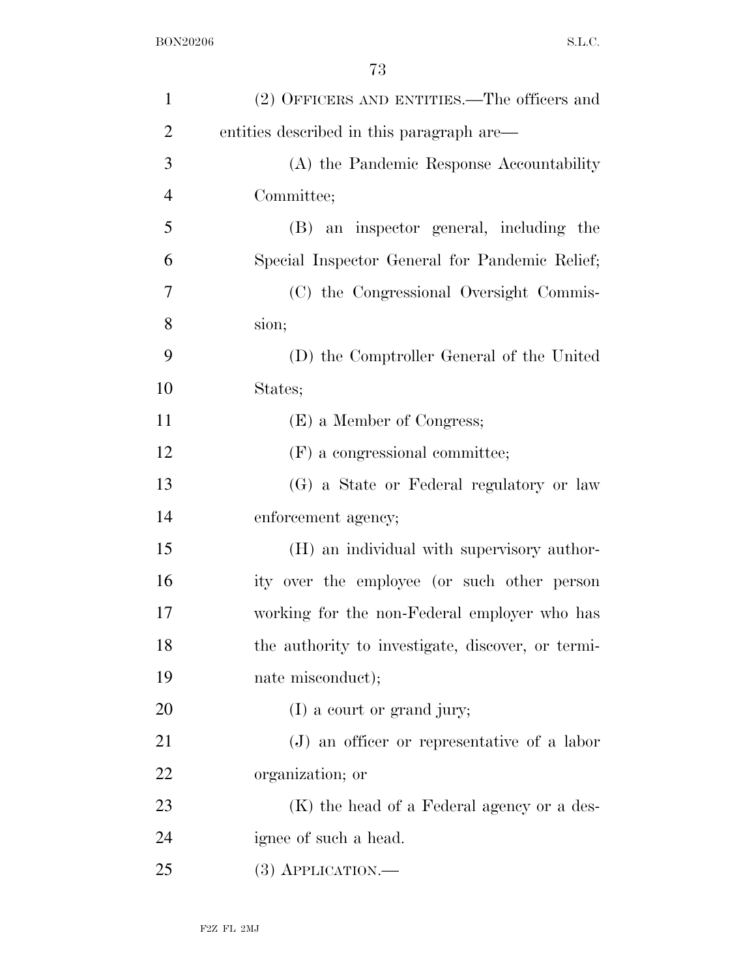| $\mathbf{1}$   | (2) OFFICERS AND ENTITIES.—The officers and       |
|----------------|---------------------------------------------------|
| $\overline{2}$ | entities described in this paragraph are—         |
| 3              | (A) the Pandemic Response Accountability          |
| $\overline{4}$ | Committee;                                        |
| 5              | (B) an inspector general, including the           |
| 6              | Special Inspector General for Pandemic Relief;    |
| 7              | (C) the Congressional Oversight Commis-           |
| 8              | sion;                                             |
| 9              | (D) the Comptroller General of the United         |
| 10             | States;                                           |
| 11             | (E) a Member of Congress;                         |
| 12             | (F) a congressional committee;                    |
| 13             | (G) a State or Federal regulatory or law          |
| 14             | enforcement agency;                               |
| 15             | (H) an individual with supervisory author-        |
| 16             | ity over the employee (or such other person       |
| 17             | working for the non-Federal employer who has      |
| 18             | the authority to investigate, discover, or termi- |
| 19             | nate misconduct);                                 |
| 20             | $(I)$ a court or grand jury;                      |
| 21             | $(J)$ an officer or representative of a labor     |
| 22             | organization; or                                  |
| 23             | (K) the head of a Federal agency or a des-        |
| 24             | ignee of such a head.                             |
| 25             | $(3)$ APPLICATION.—                               |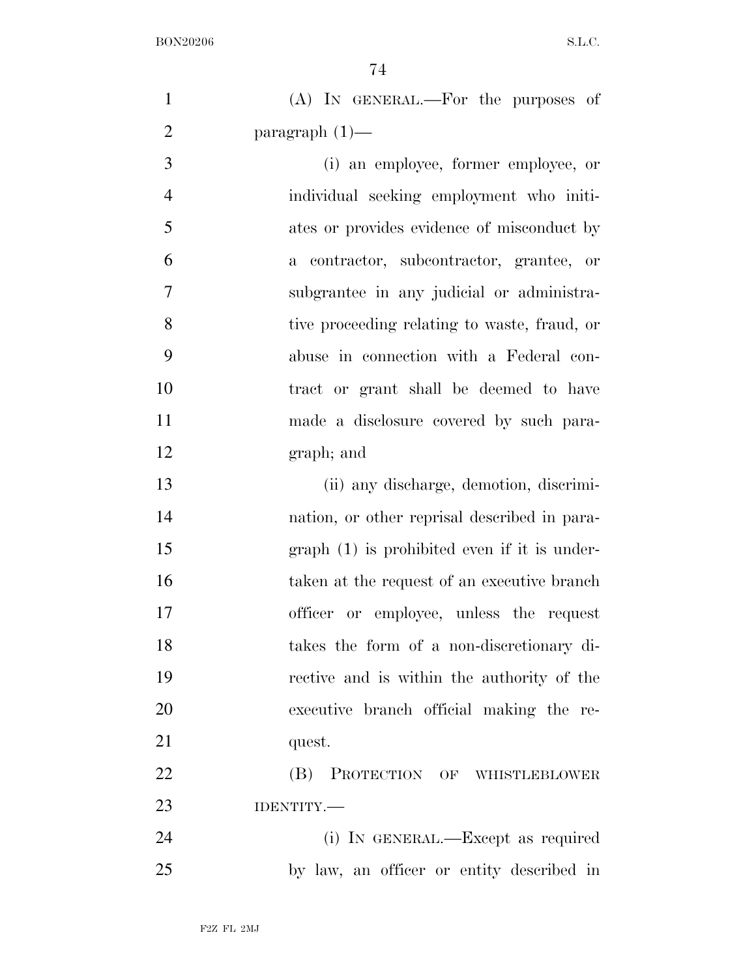| $\mathbf{1}$   | (A) IN GENERAL.—For the purposes of           |
|----------------|-----------------------------------------------|
| $\overline{2}$ | paragraph $(1)$ —                             |
| 3              | (i) an employee, former employee, or          |
| $\overline{4}$ | individual seeking employment who initi-      |
| 5              | ates or provides evidence of misconduct by    |
| 6              | a contractor, subcontractor, grantee, or      |
| $\overline{7}$ | subgrantee in any judicial or administra-     |
| 8              | tive proceeding relating to waste, fraud, or  |
| 9              | abuse in connection with a Federal con-       |
| 10             | tract or grant shall be deemed to have        |
| 11             | made a disclosure covered by such para-       |
| 12             | graph; and                                    |
| 13             | (ii) any discharge, demotion, discrimi-       |
| 14             | nation, or other reprisal described in para-  |
| 15             | $graph(1)$ is prohibited even if it is under- |
| 16             | taken at the request of an executive branch   |
| 17             | officer or employee, unless the request       |
| 18             | takes the form of a non-discretionary di-     |
| 19             | rective and is within the authority of the    |
| 20             | executive branch official making the re-      |
| 21             | quest.                                        |
| 22             | (B) PROTECTION OF WHISTLEBLOWER               |
| 23             | IDENTITY.-                                    |
| 24             | (i) IN GENERAL.—Except as required            |
| 25             | by law, an officer or entity described in     |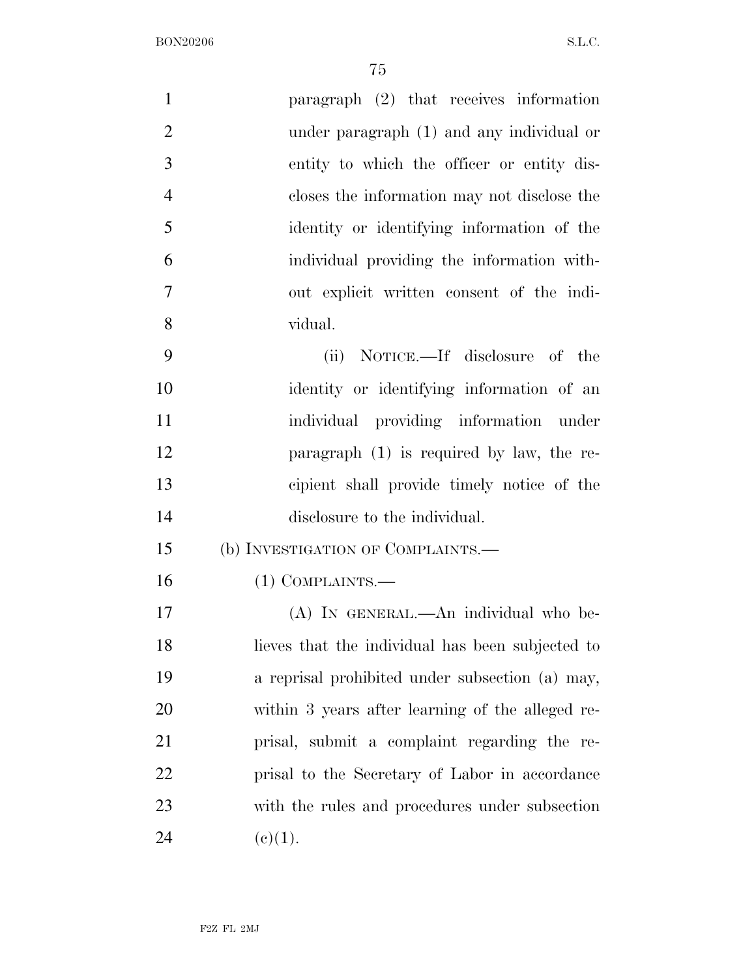| $\mathbf{1}$   | paragraph $(2)$ that receives information        |
|----------------|--------------------------------------------------|
| $\overline{2}$ | under paragraph (1) and any individual or        |
| 3              | entity to which the officer or entity dis-       |
| $\overline{4}$ | closes the information may not disclose the      |
| 5              | identity or identifying information of the       |
| 6              | individual providing the information with-       |
| $\overline{7}$ | out explicit written consent of the indi-        |
| 8              | vidual.                                          |
| 9              | NOTICE.—If disclosure of the<br>(ii)             |
| 10             | identity or identifying information of an        |
| 11             | individual providing information under           |
| 12             | paragraph $(1)$ is required by law, the re-      |
| 13             | cipient shall provide timely notice of the       |
| 14             | disclosure to the individual.                    |
| 15             | (b) INVESTIGATION OF COMPLAINTS.—                |
| 16             | $(1)$ COMPLAINTS.—                               |
| 17             | (A) In GENERAL.—An individual who be-            |
| 18             | lieves that the individual has been subjected to |
| 19             | a reprisal prohibited under subsection (a) may,  |
| 20             | within 3 years after learning of the alleged re- |
| 21             | prisal, submit a complaint regarding the re-     |
| 22             | prisal to the Secretary of Labor in accordance   |
| 23             | with the rules and procedures under subsection   |
| 24             | (e)(1).                                          |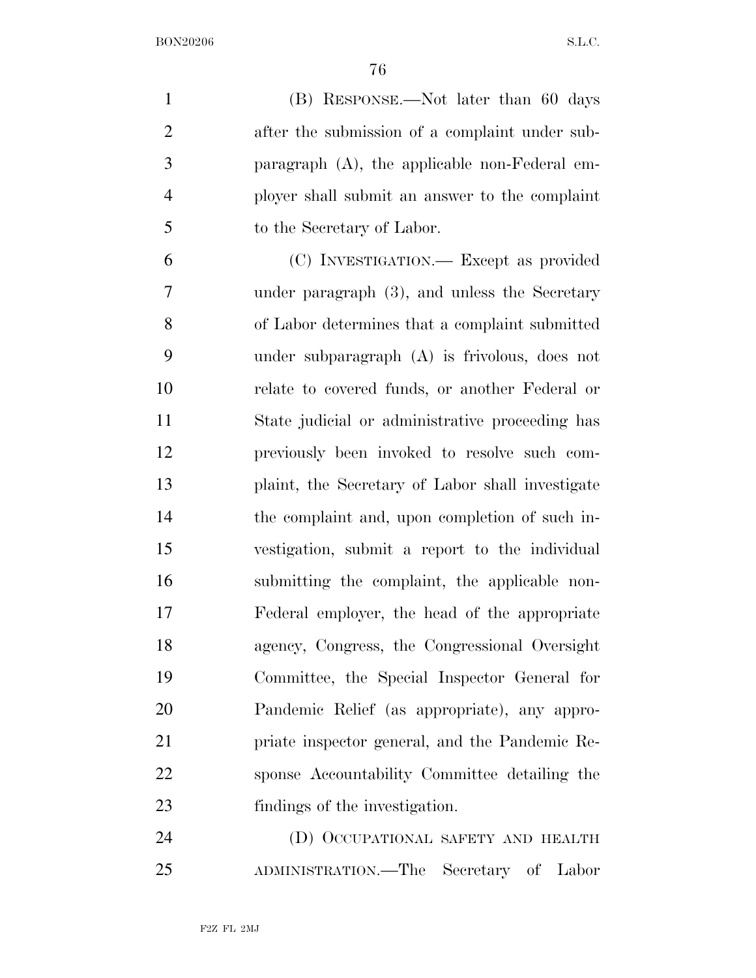(B) RESPONSE.—Not later than 60 days 2 after the submission of a complaint under sub- paragraph (A), the applicable non-Federal em- ployer shall submit an answer to the complaint to the Secretary of Labor.

 (C) INVESTIGATION.— Except as provided under paragraph (3), and unless the Secretary of Labor determines that a complaint submitted under subparagraph (A) is frivolous, does not relate to covered funds, or another Federal or State judicial or administrative proceeding has previously been invoked to resolve such com- plaint, the Secretary of Labor shall investigate the complaint and, upon completion of such in- vestigation, submit a report to the individual submitting the complaint, the applicable non- Federal employer, the head of the appropriate agency, Congress, the Congressional Oversight Committee, the Special Inspector General for Pandemic Relief (as appropriate), any appro- priate inspector general, and the Pandemic Re- sponse Accountability Committee detailing the findings of the investigation.

 (D) OCCUPATIONAL SAFETY AND HEALTH ADMINISTRATION.—The Secretary of Labor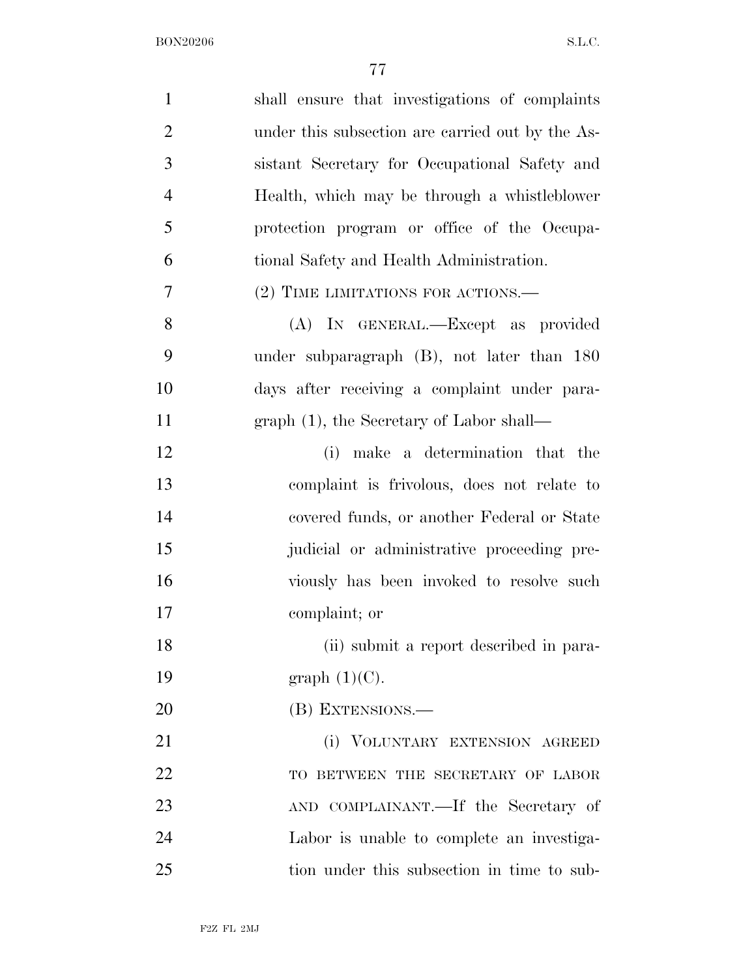| $\mathbf{1}$   | shall ensure that investigations of complaints   |
|----------------|--------------------------------------------------|
| $\overline{2}$ | under this subsection are carried out by the As- |
| 3              | sistant Secretary for Occupational Safety and    |
| $\overline{4}$ | Health, which may be through a whistleblower     |
| 5              | protection program or office of the Occupa-      |
| 6              | tional Safety and Health Administration.         |
| 7              | (2) TIME LIMITATIONS FOR ACTIONS.—               |
| 8              | (A) IN GENERAL.—Except as provided               |
| 9              | under subparagraph (B), not later than 180       |
| 10             | days after receiving a complaint under para-     |
| 11             | $graph(1)$ , the Secretary of Labor shall—       |
| 12             | (i) make a determination that the                |
| 13             | complaint is frivolous, does not relate to       |
| 14             | covered funds, or another Federal or State       |
| 15             | judicial or administrative proceeding pre-       |
| 16             | viously has been invoked to resolve such         |
| 17             | complaint; or                                    |
| 18             | (ii) submit a report described in para-          |
| 19             | graph $(1)(C)$ .                                 |
| 20             | (B) EXTENSIONS.—                                 |
| 21             | (i) VOLUNTARY EXTENSION AGREED                   |
| 22             | TO BETWEEN THE SECRETARY OF LABOR                |
| 23             | AND COMPLAINANT.—If the Secretary of             |
| 24             | Labor is unable to complete an investiga-        |
| 25             | tion under this subsection in time to sub-       |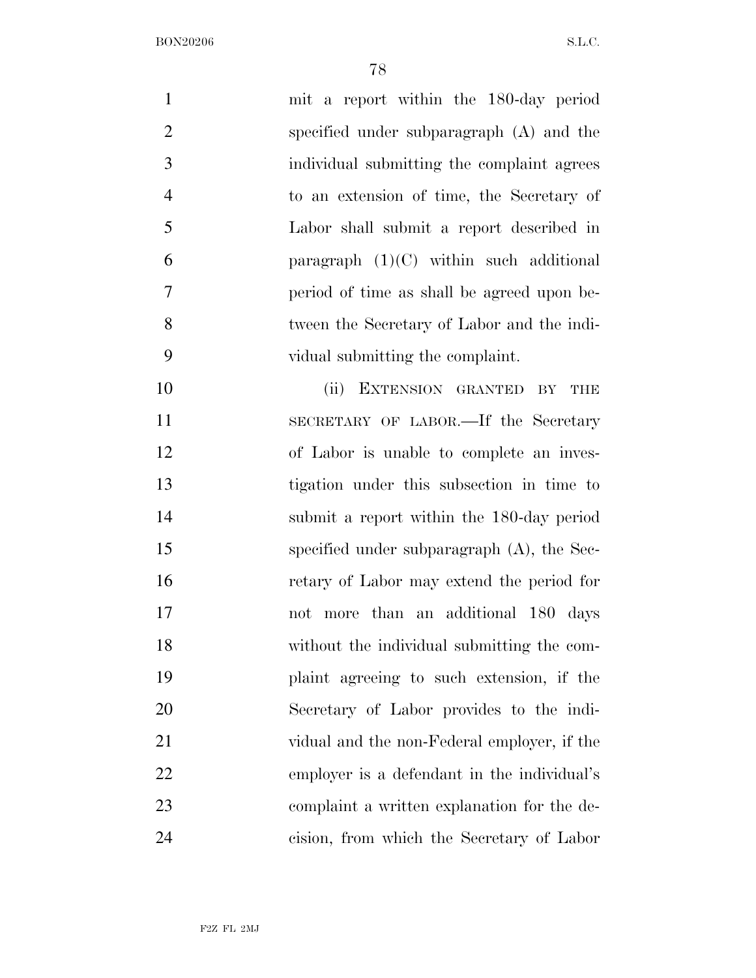| $\mathbf{1}$   | mit a report within the 180-day period        |
|----------------|-----------------------------------------------|
| $\overline{2}$ | specified under subparagraph (A) and the      |
| 3              | individual submitting the complaint agrees    |
| $\overline{4}$ | to an extension of time, the Secretary of     |
| 5              | Labor shall submit a report described in      |
| 6              | paragraph $(1)(C)$ within such additional     |
| 7              | period of time as shall be agreed upon be-    |
| 8              | tween the Secretary of Labor and the indi-    |
| 9              | vidual submitting the complaint.              |
| 10             | (ii)<br>EXTENSION GRANTED BY<br>THE           |
| 11             | SECRETARY OF LABOR.—If the Secretary          |
| 12             | of Labor is unable to complete an inves-      |
| 13             | tigation under this subsection in time to     |
| 14             | submit a report within the 180-day period     |
| 15             | specified under subparagraph $(A)$ , the Sec- |
| 16             | retary of Labor may extend the period for     |
| 17             | not more than an additional 180 days          |
| 18             | without the individual submitting the com-    |
| 19             | plaint agreeing to such extension, if the     |
| 20             | Secretary of Labor provides to the indi-      |
| 21             | vidual and the non-Federal employer, if the   |
| 22             | employer is a defendant in the individual's   |
| 23             | complaint a written explanation for the de-   |
| 24             | cision, from which the Secretary of Labor     |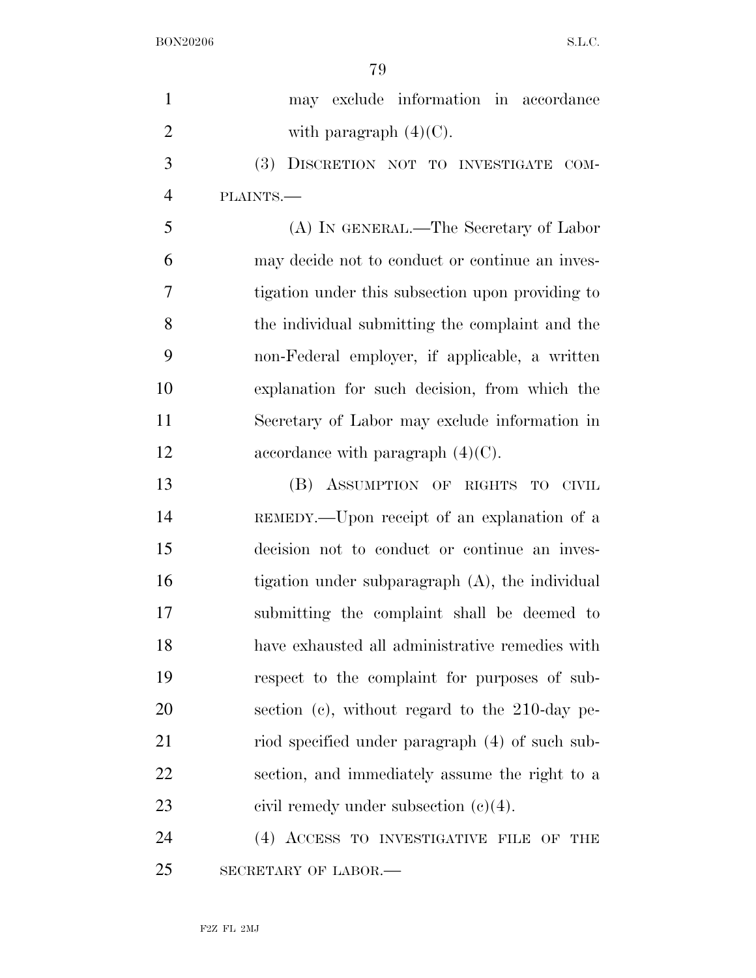| $\mathbf{1}$   | may exclude information in accordance             |
|----------------|---------------------------------------------------|
| $\overline{2}$ | with paragraph $(4)(C)$ .                         |
| 3              | (3) DISCRETION NOT TO INVESTIGATE COM-            |
| $\overline{4}$ | PLAINTS.                                          |
| 5              | (A) IN GENERAL.—The Secretary of Labor            |
| 6              | may decide not to conduct or continue an inves-   |
| $\overline{7}$ | tigation under this subsection upon providing to  |
| 8              | the individual submitting the complaint and the   |
| 9              | non-Federal employer, if applicable, a written    |
| 10             | explanation for such decision, from which the     |
| 11             | Secretary of Labor may exclude information in     |
| 12             | accordance with paragraph $(4)(C)$ .              |
| 13             | (B) ASSUMPTION OF RIGHTS TO CIVIL                 |
| 14             | REMEDY.—Upon receipt of an explanation of a       |
| 15             | decision not to conduct or continue an inves-     |
| 16             | tigation under subparagraph (A), the individual   |
| 17             | submitting the complaint shall be deemed to       |
| 18             | have exhausted all administrative remedies with   |
| 19             | respect to the complaint for purposes of sub-     |
| 20             | section (c), without regard to the $210$ -day pe- |
| 21             | riod specified under paragraph (4) of such sub-   |
| 22             | section, and immediately assume the right to a    |
| 23             | civil remedy under subsection $(c)(4)$ .          |
| 24             | (4) ACCESS TO INVESTIGATIVE FILE OF THE           |
| 25             | SECRETARY OF LABOR.-                              |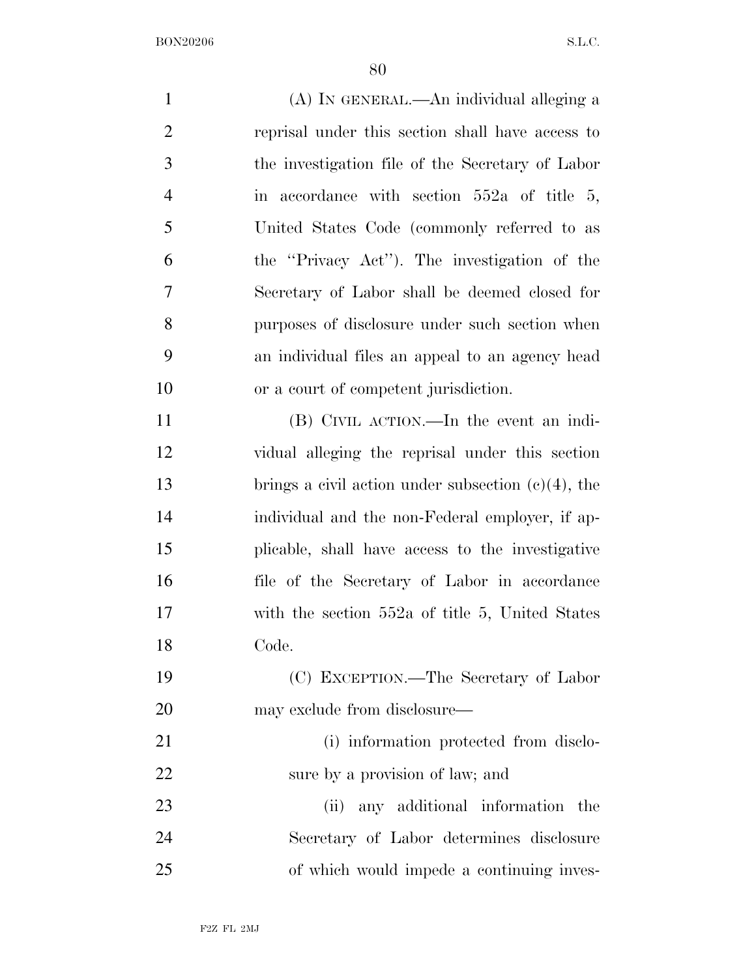(A) IN GENERAL.—An individual alleging a reprisal under this section shall have access to the investigation file of the Secretary of Labor in accordance with section 552a of title 5, United States Code (commonly referred to as the ''Privacy Act''). The investigation of the Secretary of Labor shall be deemed closed for purposes of disclosure under such section when an individual files an appeal to an agency head or a court of competent jurisdiction. (B) CIVIL ACTION.—In the event an indi- vidual alleging the reprisal under this section brings a civil action under subsection (c)(4), the individual and the non-Federal employer, if ap- plicable, shall have access to the investigative file of the Secretary of Labor in accordance with the section 552a of title 5, United States Code. (C) EXCEPTION.—The Secretary of Labor may exclude from disclosure— (i) information protected from disclo- sure by a provision of law; and (ii) any additional information the Secretary of Labor determines disclosure

of which would impede a continuing inves-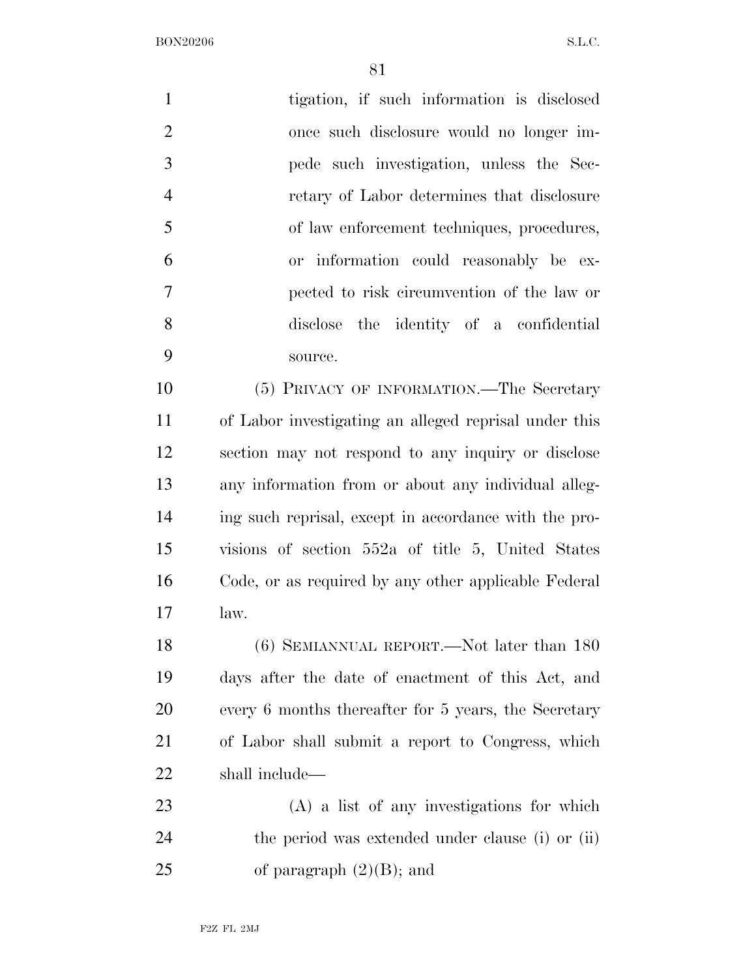| $\mathbf{1}$   | tigation, if such information is disclosed            |
|----------------|-------------------------------------------------------|
| $\overline{2}$ | once such disclosure would no longer im-              |
| 3              | pede such investigation, unless the Sec-              |
| $\overline{4}$ | retary of Labor determines that disclosure            |
| 5              | of law enforcement techniques, procedures,            |
| 6              | or information could reasonably be ex-                |
| 7              | pected to risk circumvention of the law or            |
| 8              | disclose the identity of a confidential               |
| 9              | source.                                               |
| 10             | (5) PRIVACY OF INFORMATION.—The Secretary             |
| 11             | of Labor investigating an alleged reprisal under this |
| 12             | section may not respond to any inquiry or disclose    |
| 13             | any information from or about any individual alleg-   |
| 14             | ing such reprisal, except in accordance with the pro- |
| 15             | visions of section 552a of title 5, United States     |
| 16             | Code, or as required by any other applicable Federal  |
| 17             | law.                                                  |
| 18             | (6) SEMIANNUAL REPORT.—Not later than 180             |
| 19             | days after the date of enactment of this Act, and     |
| 20             | every 6 months thereafter for 5 years, the Secretary  |
| 21             | of Labor shall submit a report to Congress, which     |
| 22             | shall include—                                        |
| 23             | $(A)$ a list of any investigations for which          |
| 24             | the period was extended under clause (i) or (ii)      |
| 25             | of paragraph $(2)(B)$ ; and                           |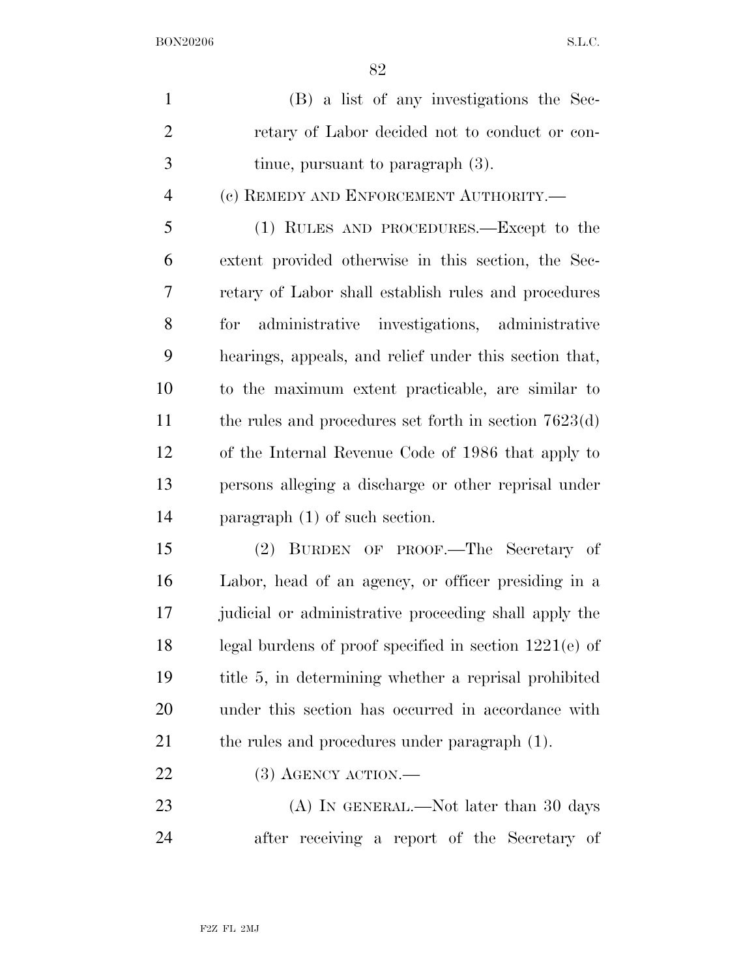|     | (B) a list of any investigations the Sec-      |
|-----|------------------------------------------------|
| 2   | retary of Labor decided not to conduct or con- |
| - 3 | tinue, pursuant to paragraph $(3)$ .           |
|     |                                                |

(c) REMEDY AND ENFORCEMENT AUTHORITY.—

 (1) RULES AND PROCEDURES.—Except to the extent provided otherwise in this section, the Sec- retary of Labor shall establish rules and procedures for administrative investigations, administrative hearings, appeals, and relief under this section that, to the maximum extent practicable, are similar to 11 the rules and procedures set forth in section 7623(d) of the Internal Revenue Code of 1986 that apply to persons alleging a discharge or other reprisal under paragraph (1) of such section.

 (2) BURDEN OF PROOF.—The Secretary of Labor, head of an agency, or officer presiding in a judicial or administrative proceeding shall apply the legal burdens of proof specified in section 1221(e) of title 5, in determining whether a reprisal prohibited under this section has occurred in accordance with 21 the rules and procedures under paragraph (1).

## 22 (3) AGENCY ACTION.—

23 (A) IN GENERAL.—Not later than 30 days after receiving a report of the Secretary of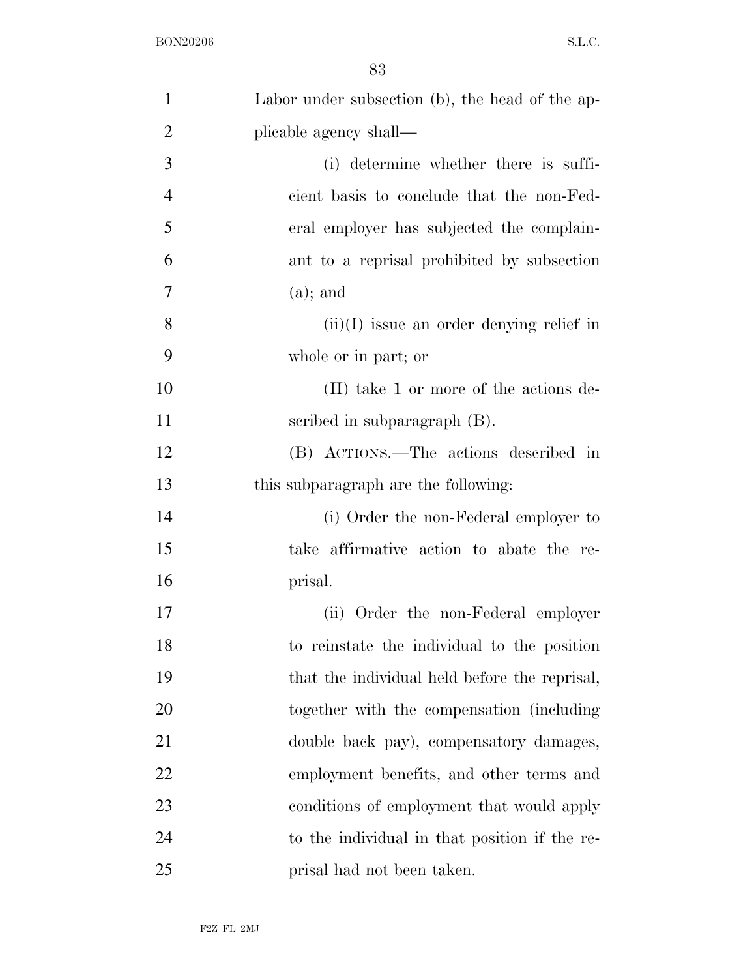| $\mathbf{1}$   | Labor under subsection (b), the head of the ap- |
|----------------|-------------------------------------------------|
| $\overline{2}$ | plicable agency shall—                          |
| 3              | (i) determine whether there is suffi-           |
| $\overline{4}$ | cient basis to conclude that the non-Fed-       |
| 5              | eral employer has subjected the complain-       |
| 6              | ant to a reprisal prohibited by subsection      |
| 7              | $(a)$ ; and                                     |
| 8              | $(ii)(I)$ issue an order denying relief in      |
| 9              | whole or in part; or                            |
| 10             | (II) take 1 or more of the actions de-          |
| 11             | scribed in subparagraph $(B)$ .                 |
| 12             | (B) ACTIONS.—The actions described in           |
| 13             | this subparagraph are the following:            |
| 14             | (i) Order the non-Federal employer to           |
| 15             | take affirmative action to abate the re-        |
| 16             | prisal.                                         |
| 17             | (ii) Order the non-Federal employer             |
| 18             | to reinstate the individual to the position     |
| 19             | that the individual held before the reprisal,   |
| 20             | together with the compensation (including       |
| 21             | double back pay), compensatory damages,         |
| 22             | employment benefits, and other terms and        |
| 23             | conditions of employment that would apply       |
| 24             | to the individual in that position if the re-   |
| 25             | prisal had not been taken.                      |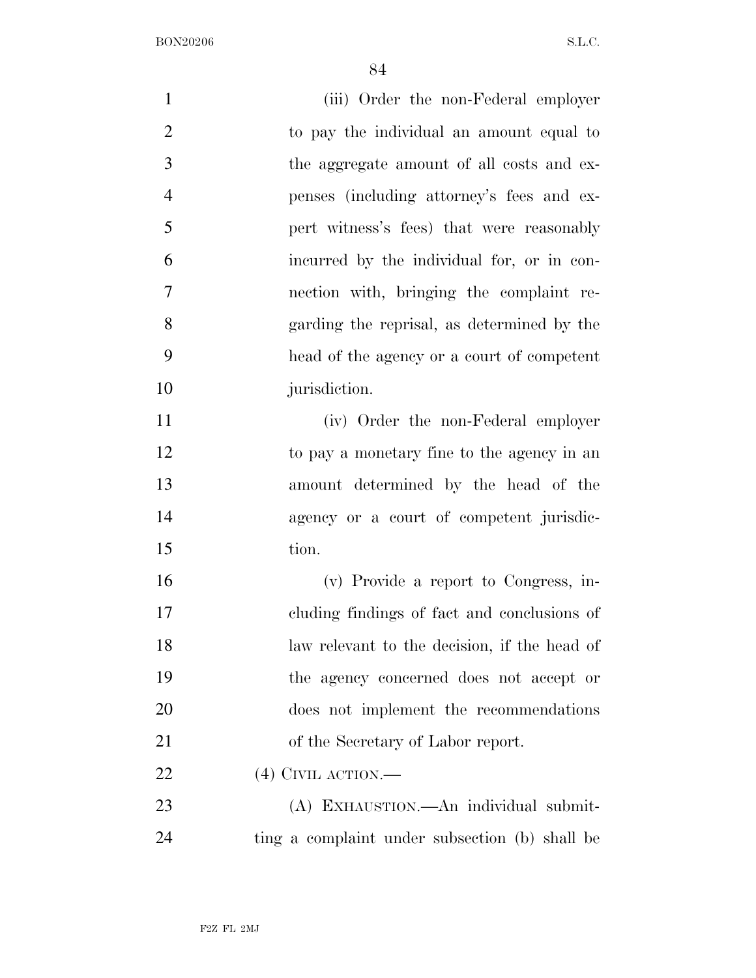| $\mathbf{1}$   | (iii) Order the non-Federal employer           |
|----------------|------------------------------------------------|
| $\overline{2}$ | to pay the individual an amount equal to       |
| 3              | the aggregate amount of all costs and ex-      |
| $\overline{4}$ | penses (including attorney's fees and ex-      |
| 5              | pert witness's fees) that were reasonably      |
| 6              | incurred by the individual for, or in con-     |
| 7              | nection with, bringing the complaint re-       |
| 8              | garding the reprisal, as determined by the     |
| 9              | head of the agency or a court of competent     |
| 10             | jurisdiction.                                  |
| 11             | (iv) Order the non-Federal employer            |
| 12             | to pay a monetary fine to the agency in an     |
| 13             | amount determined by the head of the           |
| 14             | agency or a court of competent jurisdic-       |
| 15             | tion.                                          |
| 16             | (v) Provide a report to Congress, in-          |
| 17             | eluding findings of fact and conclusions of    |
| 18             | law relevant to the decision, if the head of   |
| 19             | the agency concerned does not accept or        |
| 20             | does not implement the recommendations         |
| 21             | of the Secretary of Labor report.              |
| 22             | $(4)$ CIVIL ACTION.—                           |
| 23             | (A) EXHAUSTION.—An individual submit-          |
| 24             | ting a complaint under subsection (b) shall be |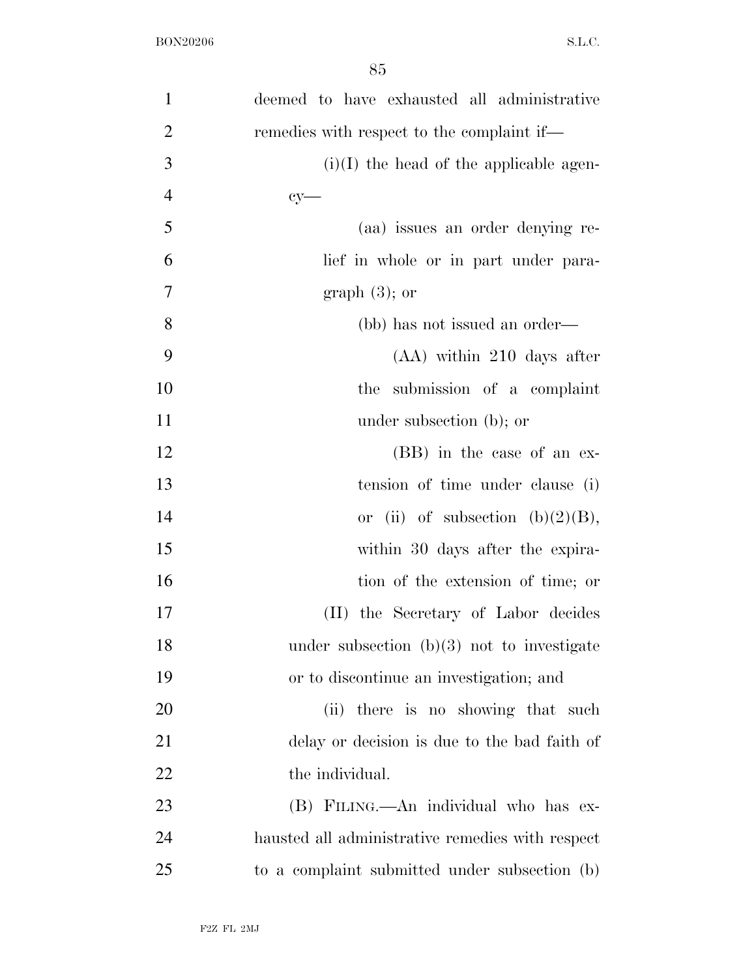| $\mathbf{1}$   | deemed to have exhausted all administrative      |
|----------------|--------------------------------------------------|
| $\overline{2}$ | remedies with respect to the complaint if—       |
| 3              | $(i)(I)$ the head of the applicable agen-        |
| $\overline{4}$ | $cy-$                                            |
| 5              | (aa) issues an order denying re-                 |
| 6              | lief in whole or in part under para-             |
| 7              | graph $(3)$ ; or                                 |
| 8              | (bb) has not issued an order—                    |
| 9              | $(AA)$ within 210 days after                     |
| 10             | submission of a complaint<br>the                 |
| 11             | under subsection (b); or                         |
| 12             | (BB) in the case of an ex-                       |
| 13             | tension of time under clause (i)                 |
| 14             | or (ii) of subsection (b) $(2)(B)$ ,             |
| 15             | within 30 days after the expira-                 |
| 16             | tion of the extension of time; or                |
| 17             | (II) the Secretary of Labor decides              |
| 18             | under subsection $(b)(3)$ not to investigate     |
| 19             | or to discontinue an investigation; and          |
| 20             | (ii) there is no showing that such               |
| 21             | delay or decision is due to the bad faith of     |
| 22             | the individual.                                  |
| 23             | (B) FILING.—An individual who has ex-            |
| 24             | hausted all administrative remedies with respect |
| 25             | to a complaint submitted under subsection (b)    |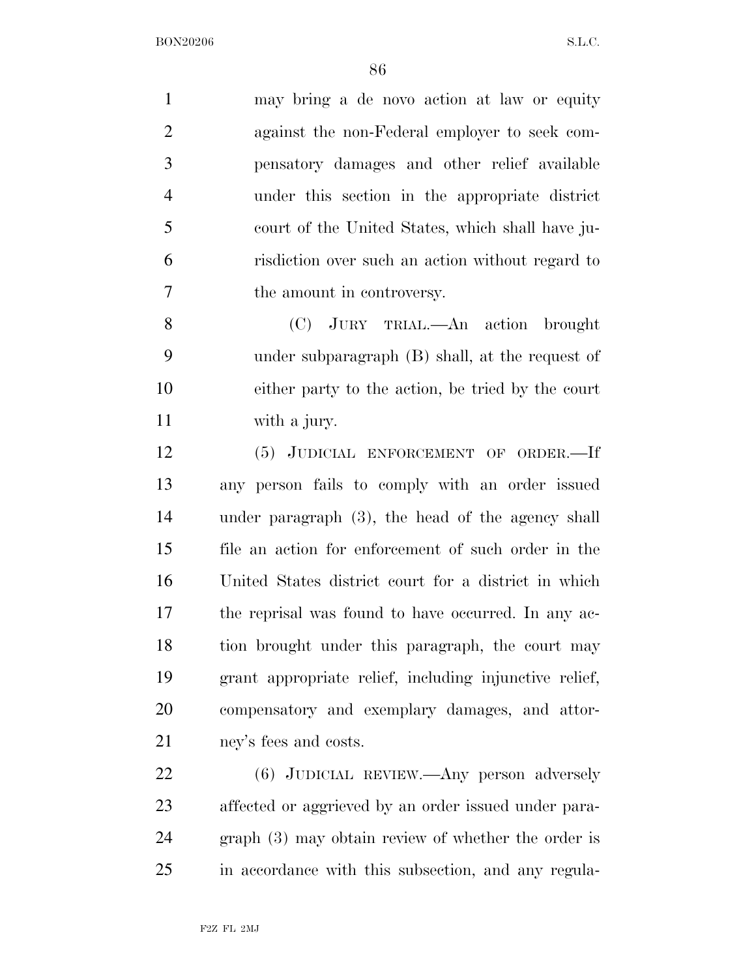may bring a de novo action at law or equity against the non-Federal employer to seek com- pensatory damages and other relief available under this section in the appropriate district court of the United States, which shall have ju- risdiction over such an action without regard to the amount in controversy.

 (C) JURY TRIAL.—An action brought under subparagraph (B) shall, at the request of either party to the action, be tried by the court with a jury.

 (5) JUDICIAL ENFORCEMENT OF ORDER.—If any person fails to comply with an order issued under paragraph (3), the head of the agency shall file an action for enforcement of such order in the United States district court for a district in which the reprisal was found to have occurred. In any ac-18 tion brought under this paragraph, the court may grant appropriate relief, including injunctive relief, compensatory and exemplary damages, and attor-ney's fees and costs.

 (6) JUDICIAL REVIEW.—Any person adversely affected or aggrieved by an order issued under para- graph (3) may obtain review of whether the order is in accordance with this subsection, and any regula-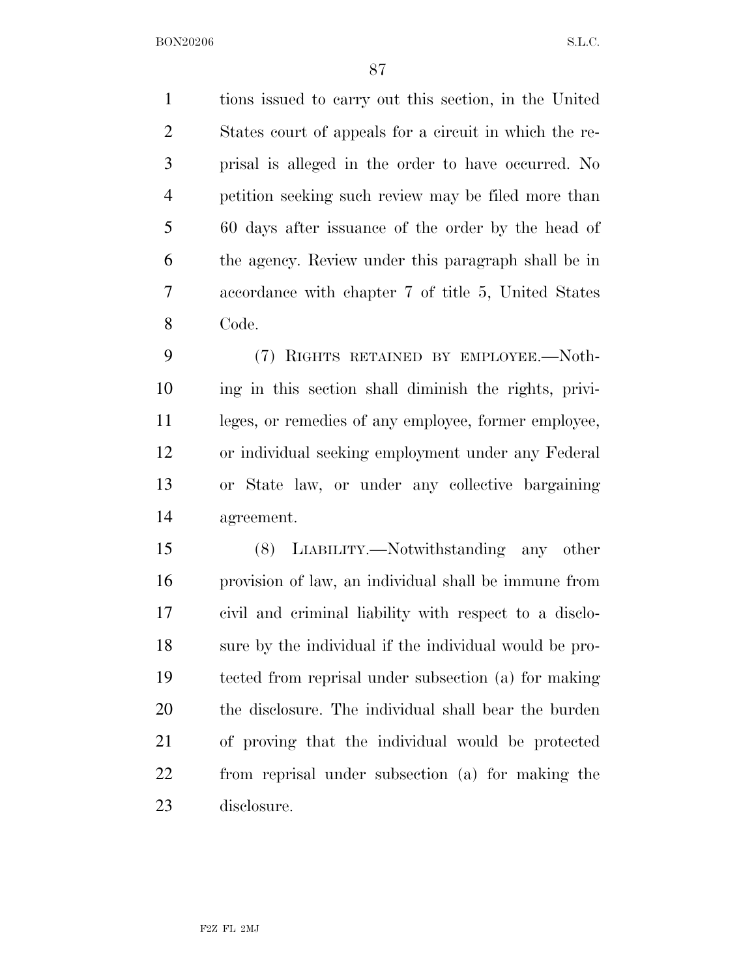tions issued to carry out this section, in the United States court of appeals for a circuit in which the re- prisal is alleged in the order to have occurred. No petition seeking such review may be filed more than 60 days after issuance of the order by the head of the agency. Review under this paragraph shall be in accordance with chapter 7 of title 5, United States Code.

 (7) RIGHTS RETAINED BY EMPLOYEE.—Noth- ing in this section shall diminish the rights, privi- leges, or remedies of any employee, former employee, or individual seeking employment under any Federal or State law, or under any collective bargaining agreement.

 (8) LIABILITY.—Notwithstanding any other provision of law, an individual shall be immune from civil and criminal liability with respect to a disclo- sure by the individual if the individual would be pro- tected from reprisal under subsection (a) for making the disclosure. The individual shall bear the burden of proving that the individual would be protected from reprisal under subsection (a) for making the disclosure.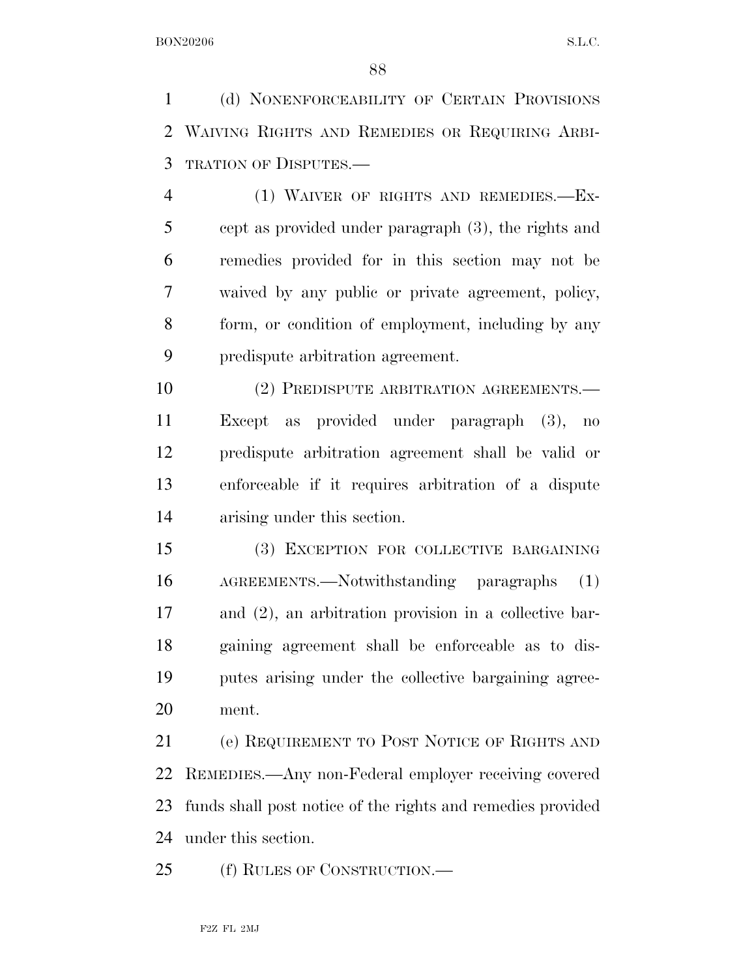(d) NONENFORCEABILITY OF CERTAIN PROVISIONS WAIVING RIGHTS AND REMEDIES OR REQUIRING ARBI-TRATION OF DISPUTES.—

 (1) WAIVER OF RIGHTS AND REMEDIES.—Ex- cept as provided under paragraph (3), the rights and remedies provided for in this section may not be waived by any public or private agreement, policy, form, or condition of employment, including by any predispute arbitration agreement.

10 (2) PREDISPUTE ARBITRATION AGREEMENTS. Except as provided under paragraph (3), no predispute arbitration agreement shall be valid or enforceable if it requires arbitration of a dispute arising under this section.

 (3) EXCEPTION FOR COLLECTIVE BARGAINING AGREEMENTS.—Notwithstanding paragraphs (1) and (2), an arbitration provision in a collective bar- gaining agreement shall be enforceable as to dis- putes arising under the collective bargaining agree-ment.

 (e) REQUIREMENT TO POST NOTICE OF RIGHTS AND REMEDIES.—Any non-Federal employer receiving covered funds shall post notice of the rights and remedies provided under this section.

(f) RULES OF CONSTRUCTION.—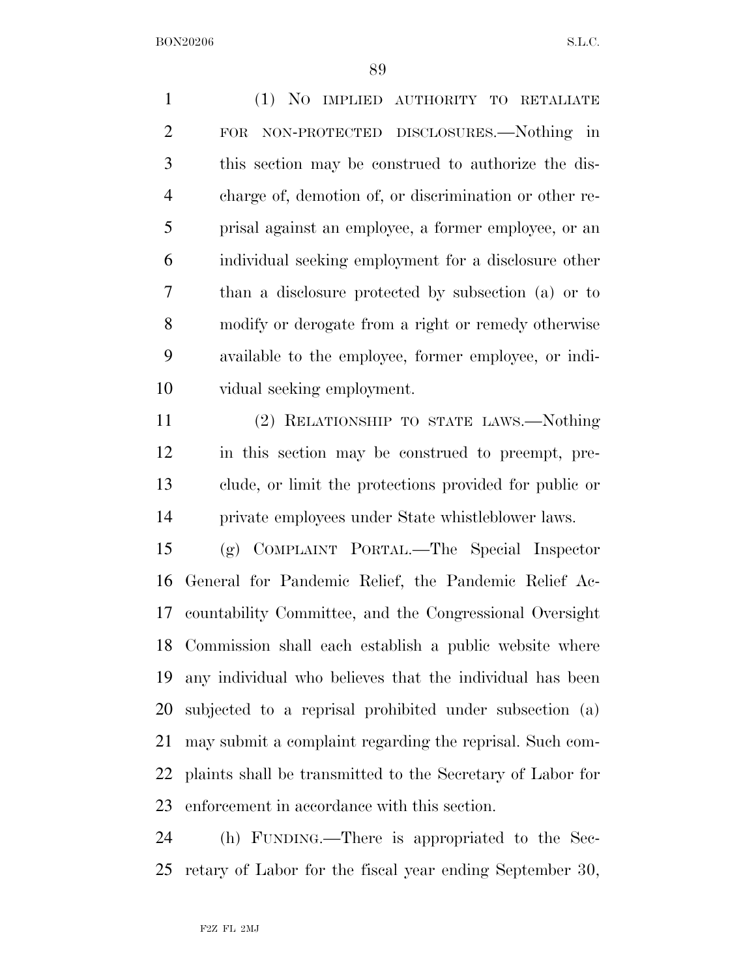(1) NO IMPLIED AUTHORITY TO RETALIATE FOR NON-PROTECTED DISCLOSURES.—Nothing in this section may be construed to authorize the dis- charge of, demotion of, or discrimination or other re- prisal against an employee, a former employee, or an individual seeking employment for a disclosure other than a disclosure protected by subsection (a) or to modify or derogate from a right or remedy otherwise available to the employee, former employee, or indi-vidual seeking employment.

 (2) RELATIONSHIP TO STATE LAWS.—Nothing in this section may be construed to preempt, pre- clude, or limit the protections provided for public or private employees under State whistleblower laws.

 (g) COMPLAINT PORTAL.—The Special Inspector General for Pandemic Relief, the Pandemic Relief Ac- countability Committee, and the Congressional Oversight Commission shall each establish a public website where any individual who believes that the individual has been subjected to a reprisal prohibited under subsection (a) may submit a complaint regarding the reprisal. Such com- plaints shall be transmitted to the Secretary of Labor for enforcement in accordance with this section.

 (h) FUNDING.—There is appropriated to the Sec-retary of Labor for the fiscal year ending September 30,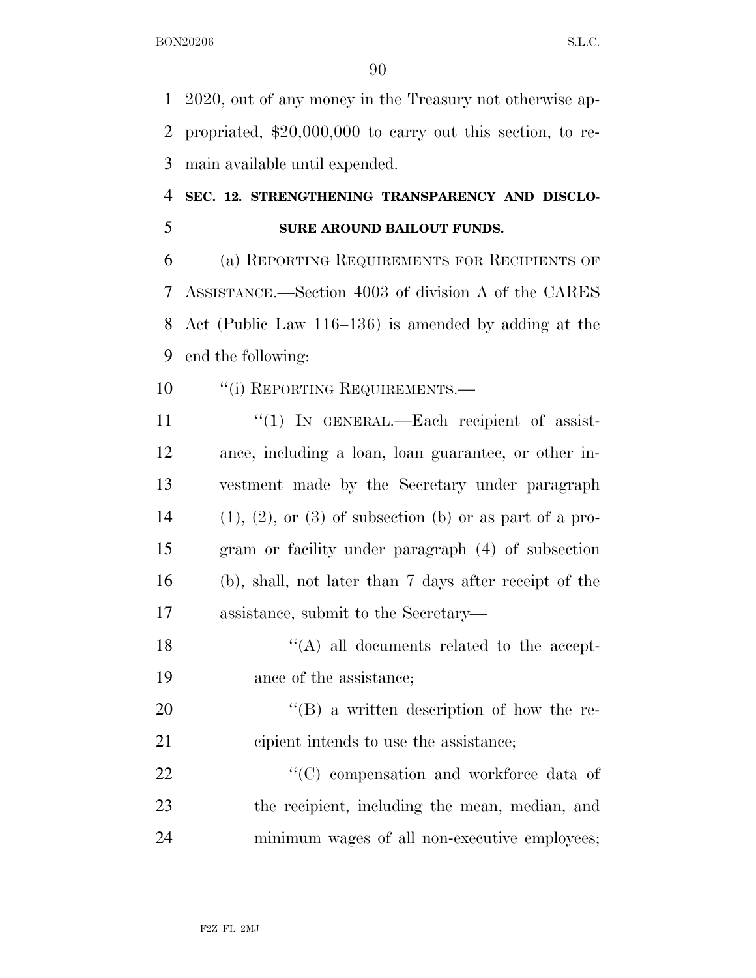2020, out of any money in the Treasury not otherwise ap- propriated, \$20,000,000 to carry out this section, to re-main available until expended.

## **SEC. 12. STRENGTHENING TRANSPARENCY AND DISCLO-SURE AROUND BAILOUT FUNDS.**

 (a) REPORTING REQUIREMENTS FOR RECIPIENTS OF ASSISTANCE.—Section 4003 of division A of the CARES Act (Public Law 116–136) is amended by adding at the end the following:

- 10 "(i) REPORTING REQUIREMENTS.—
- ''(1) IN GENERAL.—Each recipient of assist- ance, including a loan, loan guarantee, or other in- vestment made by the Secretary under paragraph 14 (1), (2), or (3) of subsection (b) or as part of a pro- gram or facility under paragraph (4) of subsection (b), shall, not later than 7 days after receipt of the assistance, submit to the Secretary—
- 18 ''(A) all documents related to the accept-ance of the assistance;
- 20  $\text{``(B)}$  a written description of how the re-cipient intends to use the assistance;
- 22 "'(C) compensation and workforce data of the recipient, including the mean, median, and minimum wages of all non-executive employees;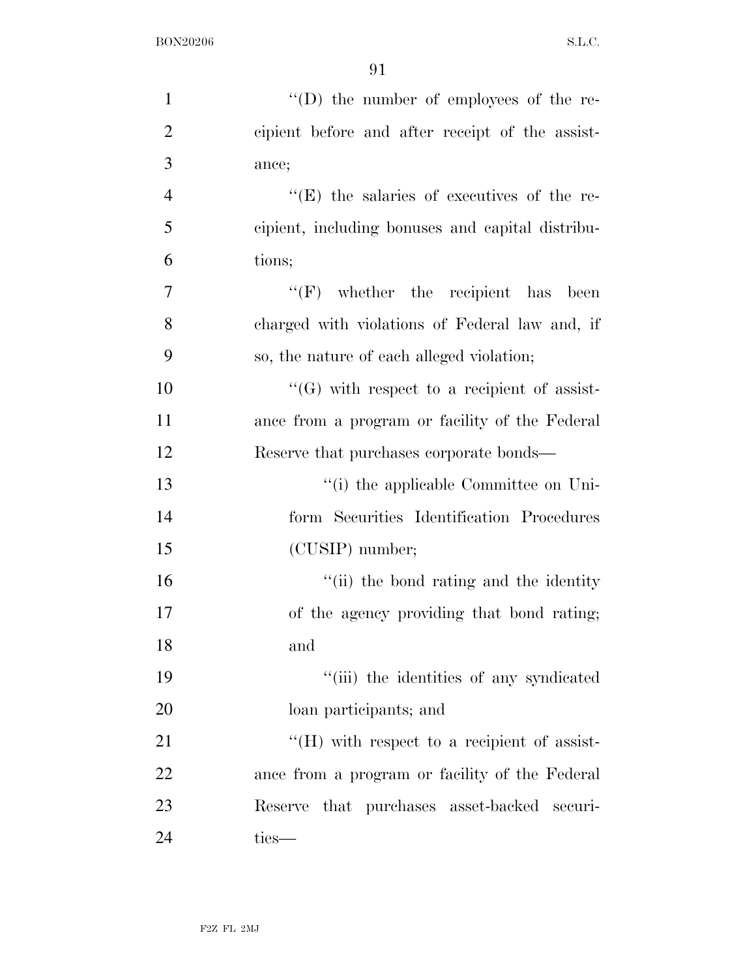| $\mathbf{1}$   | $\lq\lq$ the number of employees of the re-        |
|----------------|----------------------------------------------------|
| $\overline{2}$ | cipient before and after receipt of the assist-    |
| 3              | ance;                                              |
| $\overline{4}$ | "(E) the salaries of executives of the re-         |
| 5              | cipient, including bonuses and capital distribu-   |
| 6              | tions;                                             |
| 7              | $``(F)$ whether the recipient has been             |
| 8              | charged with violations of Federal law and, if     |
| 9              | so, the nature of each alleged violation;          |
| 10             | $\lq\lq(G)$ with respect to a recipient of assist- |
| 11             | ance from a program or facility of the Federal     |
| 12             | Reserve that purchases corporate bonds—            |
| 13             | "(i) the applicable Committee on Uni-              |
| 14             | form Securities Identification Procedures          |
| 15             | (CUSIP) number;                                    |
| 16             | "(ii) the bond rating and the identity             |
| 17             | of the agency providing that bond rating;          |
| 18             | and                                                |
| 19             | "(iii) the identities of any syndicated            |
| 20             | loan participants; and                             |
| 21             | $H(H)$ with respect to a recipient of assist-      |
| 22             | ance from a program or facility of the Federal     |
| 23             | that purchases asset-backed<br>Reserve<br>securi-  |
| 24             | ties-                                              |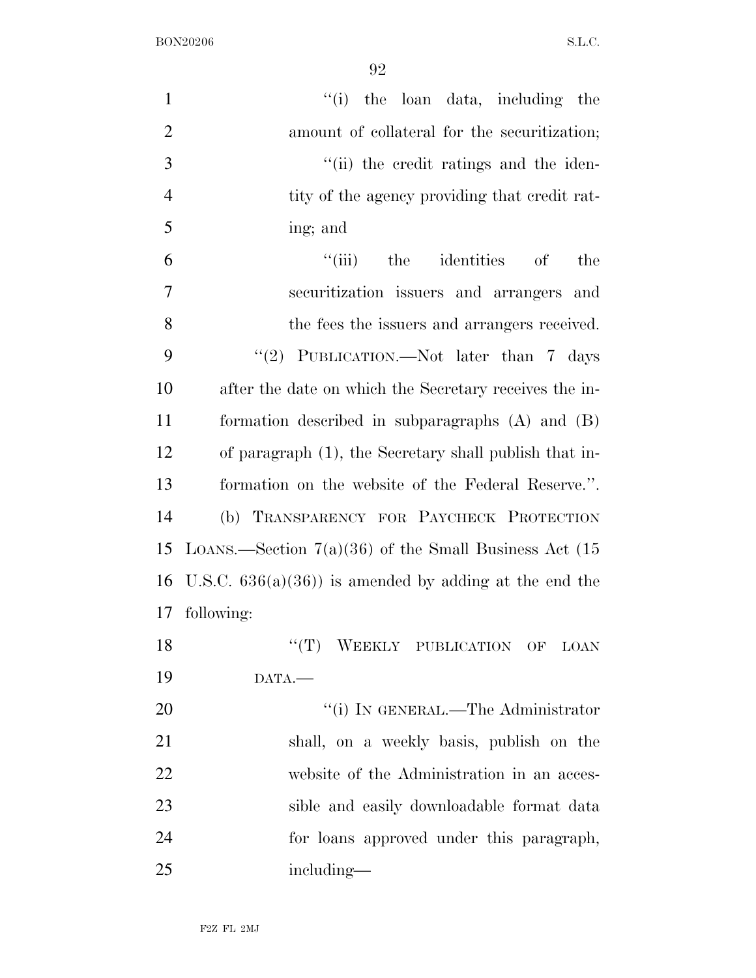| $\mathbf{1}$   | ``(i)<br>the loan data, including the                   |
|----------------|---------------------------------------------------------|
| $\overline{2}$ | amount of collateral for the securitization;            |
| 3              | "(ii) the credit ratings and the iden-                  |
| $\overline{4}$ | tity of the agency providing that credit rat-           |
| 5              | ing; and                                                |
| 6              | ``(iii)<br>the<br>identities of<br>the                  |
| 7              | securitization issuers and arrangers and                |
| 8              | the fees the issuers and arrangers received.            |
| 9              | "(2) PUBLICATION.—Not later than $7$ days               |
| 10             | after the date on which the Secretary receives the in-  |
| 11             | formation described in subparagraphs (A) and (B)        |
| 12             | of paragraph (1), the Secretary shall publish that in-  |
| 13             | formation on the website of the Federal Reserve.".      |
| 14             | (b) TRANSPARENCY FOR PAYCHECK PROTECTION                |
| 15             | LOANS.—Section $7(a)(36)$ of the Small Business Act (15 |
| 16             | U.S.C. $636(a)(36)$ is amended by adding at the end the |
| 17             | following:                                              |
| 18             | "(T) WEEKLY PUBLICATION OF<br>LOAN                      |
| 19             | DATA.                                                   |
| 20             | "(i) IN GENERAL.—The Administrator                      |
| 21             | shall, on a weekly basis, publish on the                |
| 22             | website of the Administration in an acces-              |
| 23             | sible and easily downloadable format data               |
| 24             | for loans approved under this paragraph,                |
| 25             | including—                                              |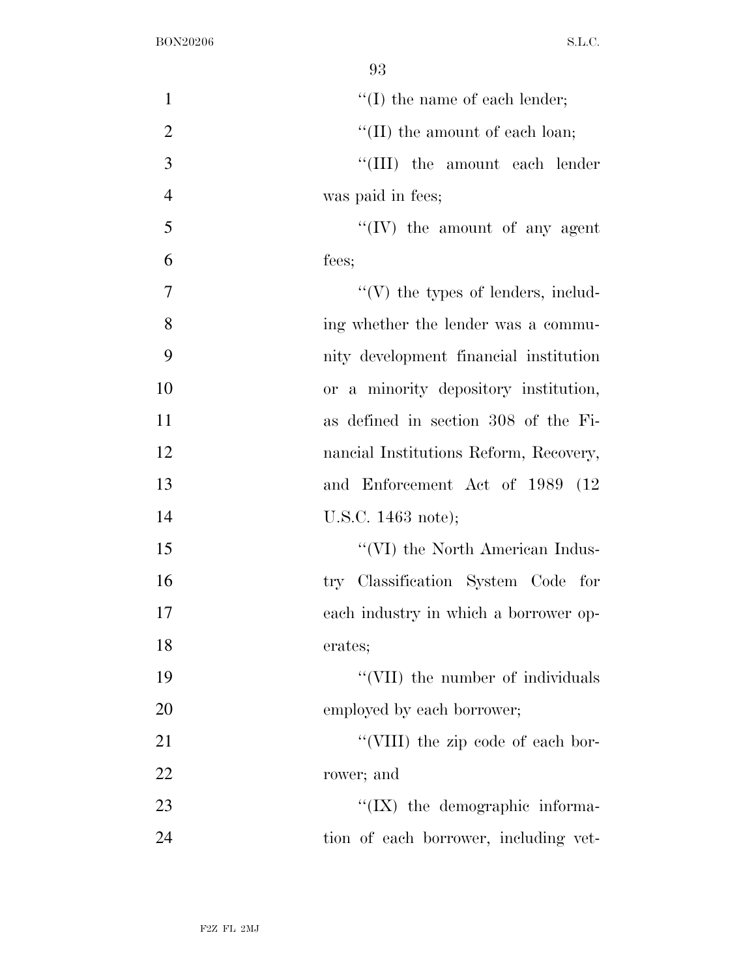| $\mathbf{1}$   | $\lq\lq$ (I) the name of each lender;     |
|----------------|-------------------------------------------|
| $\overline{2}$ | "(II) the amount of each loan;            |
| 3              | "(III) the amount each lender             |
| $\overline{4}$ | was paid in fees;                         |
| 5              | $\lq\lq (IV)$ the amount of any agent     |
| 6              | fees;                                     |
| $\overline{7}$ | $\lq\lq(V)$ the types of lenders, includ- |
| 8              | ing whether the lender was a commu-       |
| 9              | nity development financial institution    |
| 10             | or a minority depository institution,     |
| 11             | as defined in section 308 of the Fi-      |
| 12             | nancial Institutions Reform, Recovery,    |
| 13             | and Enforcement Act of 1989 (12)          |
| 14             | U.S.C. 1463 note);                        |
| 15             | "(VI) the North American Indus-           |
| 16             | try Classification System Code for        |
| 17             | each industry in which a borrower op-     |
| 18             | erates;                                   |
| 19             | "(VII) the number of individuals          |
| 20             | employed by each borrower;                |
| 21             | "(VIII) the zip code of each bor-         |
| 22             | rower; and                                |
| 23             | $\lq\lq$ (IX) the demographic informa-    |
| 24             | tion of each borrower, including vet-     |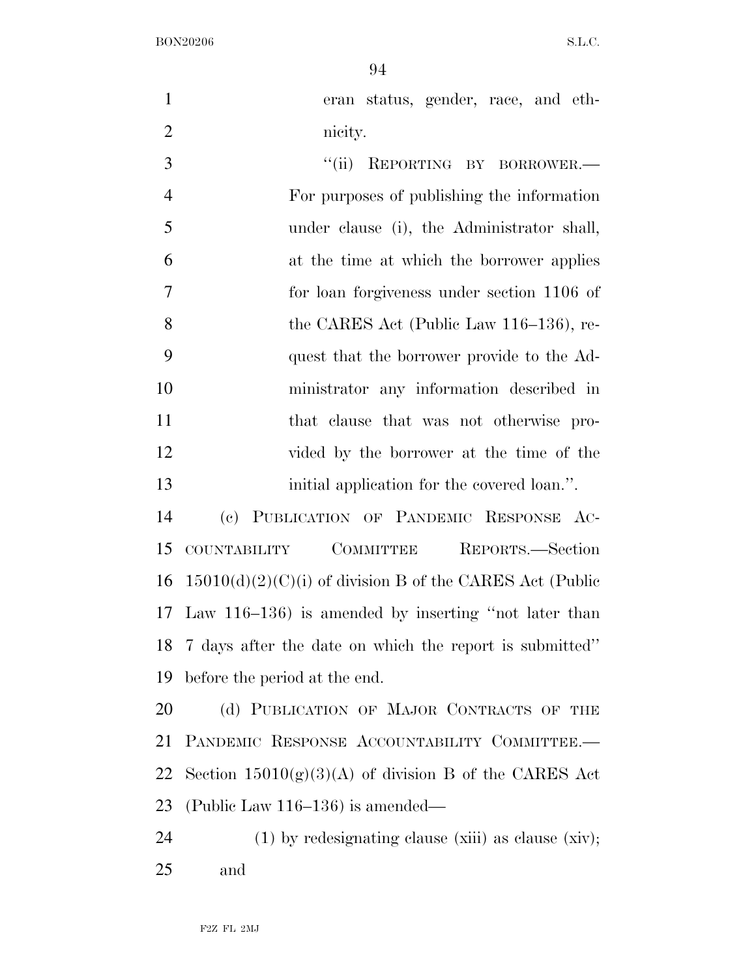| $\mathbf{1}$   | eran status, gender, race, and eth-                        |
|----------------|------------------------------------------------------------|
| $\overline{2}$ | nicity.                                                    |
| 3              | ``(ii)<br>REPORTING BY BORROWER.-                          |
| $\overline{4}$ | For purposes of publishing the information                 |
| 5              | under clause (i), the Administrator shall,                 |
| 6              | at the time at which the borrower applies                  |
| $\overline{7}$ | for loan forgiveness under section 1106 of                 |
| 8              | the CARES Act (Public Law 116–136), re-                    |
| 9              | quest that the borrower provide to the Ad-                 |
| 10             | ministrator any information described in                   |
| 11             | that clause that was not otherwise pro-                    |
| 12             | vided by the borrower at the time of the                   |
| 13             | initial application for the covered loan.".                |
| 14             | (c) PUBLICATION OF PANDEMIC RESPONSE AC-                   |
| 15             | COMMITTEE<br>REPORTS.—Section<br>COUNTABILITY              |
| 16             | $15010(d)(2)(C)(i)$ of division B of the CARES Act (Public |
| 17             | Law $116-136$ ) is amended by inserting "not later than    |
|                | 18 7 days after the date on which the report is submitted" |
| 19             | before the period at the end.                              |
| 20             | (d) PUBLICATION OF MAJOR CONTRACTS OF THE                  |
| 21             | PANDEMIC RESPONSE ACCOUNTABILITY COMMITTEE.-               |
| 22             | Section $15010(g)(3)(A)$ of division B of the CARES Act    |
| 23             | (Public Law $116-136$ ) is amended—                        |
| 24             | $(1)$ by redesignating clause (xiii) as clause (xiv);      |
| 25             | and                                                        |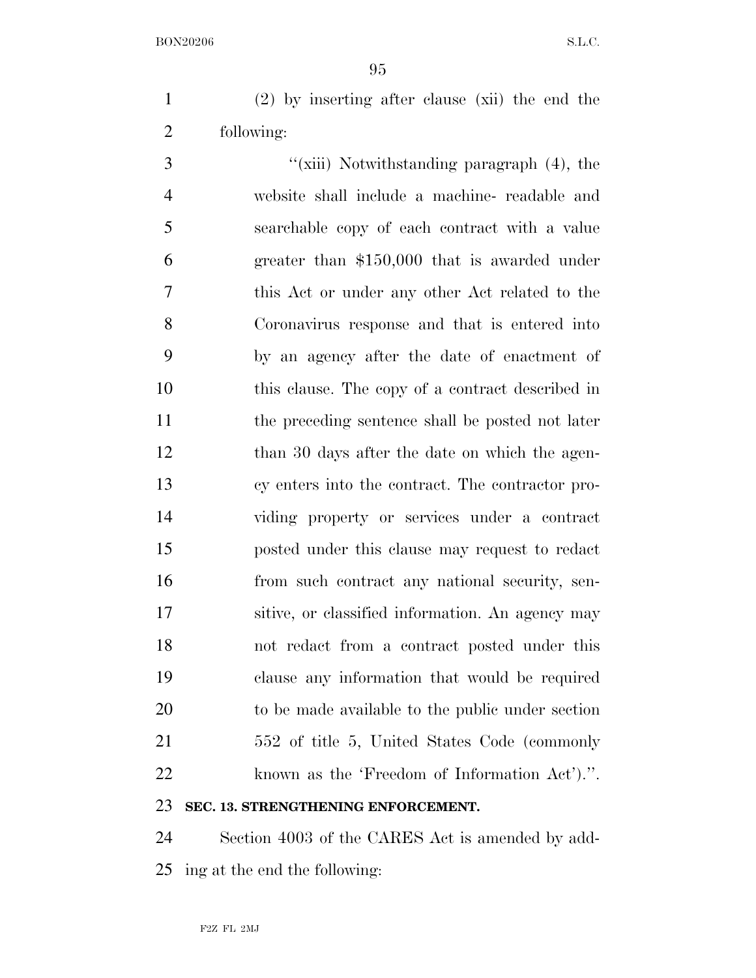(2) by inserting after clause (xii) the end the following:

3 ''(xiii) Notwithstanding paragraph (4), the website shall include a machine- readable and searchable copy of each contract with a value greater than \$150,000 that is awarded under this Act or under any other Act related to the Coronavirus response and that is entered into by an agency after the date of enactment of this clause. The copy of a contract described in the preceding sentence shall be posted not later 12 than 30 days after the date on which the agen- cy enters into the contract. The contractor pro- viding property or services under a contract posted under this clause may request to redact from such contract any national security, sen- sitive, or classified information. An agency may not redact from a contract posted under this clause any information that would be required to be made available to the public under section 552 of title 5, United States Code (commonly known as the 'Freedom of Information Act').''. **SEC. 13. STRENGTHENING ENFORCEMENT.** 

 Section 4003 of the CARES Act is amended by add-ing at the end the following: